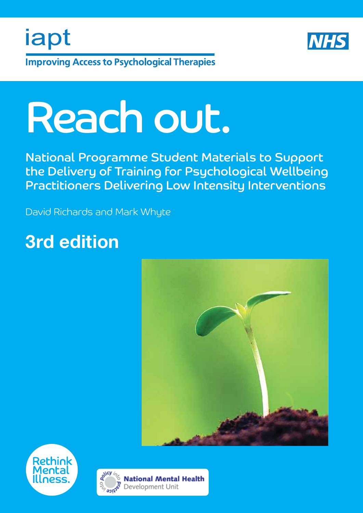

**Improving Access to Psychological Therapies** 

# Reach out.

National Programme Student Materials to Support the Delivery of Training for Psychological Wellbeing Practitioners Delivering Low Intensity Interventions

David Richards and Mark Whyte

## 3rd edition

iapt





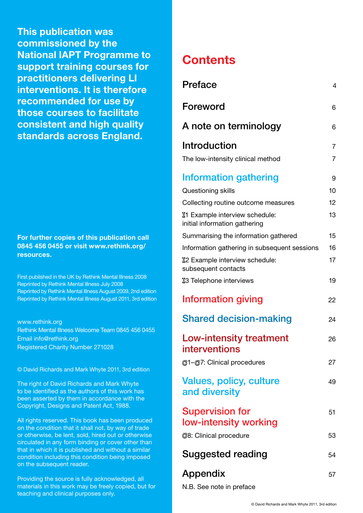This publication was commissioned by the National IAPT Programme to support training courses for practitioners delivering LI interventions. It is therefore recommended for use by those courses to facilitate consistent and high quality standards across England.

### For further copies of this publication call 0845 456 0455 or visit www.rethink.org/ resources.

First published in the UK by Rethink Mental Illness 2008 Reprinted by Rethink Mental Illness July 2008 Reprinted by Rethink Mental Illness August 2009, 2nd edition Reprinted by Rethink Mental Illness August 2011, 3rd edition

www.rethink.org Rethink Mental Illness Welcome Team 0845 456 0455 Email info@rethink.org Registered Charity Number 271028

© David Richards and Mark Whyte 2011, 3rd edition

The right of David Richards and Mark Whyte to be identified as the authors of this work has been asserted by them in accordance with the Copyright, Designs and Patent Act, 1988.

All rights reserved. This book has been produced on the condition that it shall not, by way of trade or otherwise, be lent, sold, hired out or otherwise circulated in any form binding or cover other than that in which it is published and without a similar condition including this condition being imposed on the subsequent reader.

Providing the source is fully acknowledged, all materials in this work may be freely copied, but for teaching and clinical purposes only.

## **Contents**

| Preface                                                         | $\overline{\mathcal{L}}$ |
|-----------------------------------------------------------------|--------------------------|
| Foreword                                                        | 6                        |
| A note on terminology                                           | 6                        |
| <b>Introduction</b>                                             | 7                        |
| The low-intensity clinical method                               | $\overline{7}$           |
| <b>Information gathering</b>                                    | 9                        |
| Questioning skills                                              | 10                       |
| Collecting routine outcome measures                             | 12                       |
| I1 Example interview schedule:<br>initial information gathering | 13                       |
| Summarising the information gathered                            | 15                       |
| Information gathering in subsequent sessions                    | 16                       |
| I2 Example interview schedule:<br>subsequent contacts           | 17                       |
| I3 Telephone interviews                                         | 19                       |
| <b>Information giving</b>                                       | 22                       |
| <b>Shared decision-making</b>                                   | 24                       |
| Low-intensity treatment<br>interventions                        | 26                       |
| @1-@7: Clinical procedures                                      | 27                       |
| <b>Values, policy, culture</b><br>and diversity                 | 49                       |
| <b>Supervision for</b><br>low-intensity working                 | 51                       |
| <b>C8: Clinical procedure</b>                                   | 53                       |
| Suggested reading                                               | 54                       |
| Appendix                                                        | 57                       |

N.B. See note in preface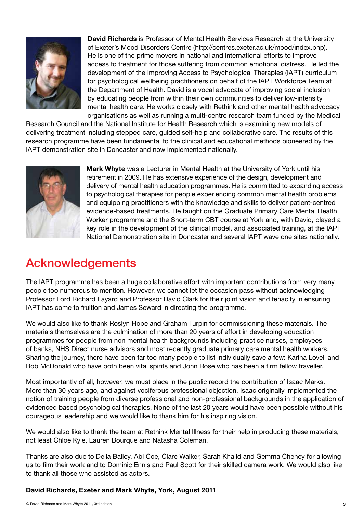

David Richards is Professor of Mental Health Services Research at the University of Exeter's Mood Disorders Centre (http://centres.exeter.ac.uk/mood/index.php). He is one of the prime movers in national and international efforts to improve access to treatment for those suffering from common emotional distress. He led the development of the Improving Access to Psychological Therapies (IAPT) curriculum for psychological wellbeing practitioners on behalf of the IAPT Workforce Team at the Department of Health. David is a vocal advocate of improving social inclusion by educating people from within their own communities to deliver low-intensity mental health care. He works closely with Rethink and other mental health advocacy organisations as well as running a multi-centre research team funded by the Medical

Research Council and the National Institute for Health Research which is examining new models of delivering treatment including stepped care, guided self-help and collaborative care. The results of this research programme have been fundamental to the clinical and educational methods pioneered by the IAPT demonstration site in Doncaster and now implemented nationally.



Mark Whyte was a Lecturer in Mental Health at the University of York until his retirement in 2009. He has extensive experience of the design, development and delivery of mental health education programmes. He is committed to expanding access to psychological therapies for people experiencing common mental health problems and equipping practitioners with the knowledge and skills to deliver patient-centred evidence-based treatments. He taught on the Graduate Primary Care Mental Health Worker programme and the Short-term CBT course at York and, with David, played a key role in the development of the clinical model, and associated training, at the IAPT National Demonstration site in Doncaster and several IAPT wave one sites nationally.

## Acknowledgements

The IAPT programme has been a huge collaborative effort with important contributions from very many people too numerous to mention. However, we cannot let the occasion pass without acknowledging Professor Lord Richard Layard and Professor David Clark for their joint vision and tenacity in ensuring IAPT has come to fruition and James Seward in directing the programme.

We would also like to thank Roslyn Hope and Graham Turpin for commissioning these materials. The materials themselves are the culmination of more than 20 years of effort in developing education programmes for people from non mental health backgrounds including practice nurses, employees of banks, NHS Direct nurse advisors and most recently graduate primary care mental health workers. Sharing the journey, there have been far too many people to list individually save a few: Karina Lovell and Bob McDonald who have both been vital spirits and John Rose who has been a firm fellow traveller.

Most importantly of all, however, we must place in the public record the contribution of Isaac Marks. More than 30 years ago, and against vociferous professional objection, Isaac originally implemented the notion of training people from diverse professional and non-professional backgrounds in the application of evidenced based psychological therapies. None of the last 20 years would have been possible without his courageous leadership and we would like to thank him for his inspiring vision.

We would also like to thank the team at Rethink Mental Illness for their help in producing these materials, not least Chloe Kyle, Lauren Bourque and Natasha Coleman.

Thanks are also due to Della Bailey, Abi Coe, Clare Walker, Sarah Khalid and Gemma Cheney for allowing us to film their work and to Dominic Ennis and Paul Scott for their skilled camera work. We would also like to thank all those who assisted as actors.

### David Richards, Exeter and Mark Whyte, York, August 2011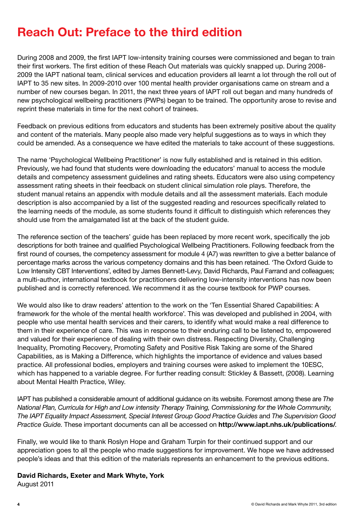## Reach Out: Preface to the third edition

During 2008 and 2009, the first IAPT low-intensity training courses were commissioned and began to train their first workers. The first edition of these Reach Out materials was quickly snapped up. During 2008- 2009 the IAPT national team, clinical services and education providers all learnt a lot through the roll out of IAPT to 35 new sites. In 2009-2010 over 100 mental health provider organisations came on stream and a number of new courses began. In 2011, the next three years of IAPT roll out began and many hundreds of new psychological wellbeing practitioners (PWPs) began to be trained. The opportunity arose to revise and reprint these materials in time for the next cohort of trainees.

Feedback on previous editions from educators and students has been extremely positive about the quality and content of the materials. Many people also made very helpful suggestions as to ways in which they could be amended. As a consequence we have edited the materials to take account of these suggestions.

The name 'Psychological Wellbeing Practitioner' is now fully established and is retained in this edition. Previously, we had found that students were downloading the educators' manual to access the module details and competency assessment guidelines and rating sheets. Educators were also using competency assessment rating sheets in their feedback on student clinical simulation role plays. Therefore, the student manual retains an appendix with module details and all the assessment materials. Each module description is also accompanied by a list of the suggested reading and resources specifically related to the learning needs of the module, as some students found it difficult to distinguish which references they should use from the amalgamated list at the back of the student guide.

The reference section of the teachers' guide has been replaced by more recent work, specifically the job descriptions for both trainee and qualified Psychological Wellbeing Practitioners. Following feedback from the first round of courses, the competency assessment for module 4 (A7) was rewritten to give a better balance of percentage marks across the various competency domains and this has been retained. 'The Oxford Guide to Low Intensity CBT Interventions', edited by James Bennett-Levy, David Richards, Paul Farrand and colleagues; a multi-author, international textbook for practitioners delivering low-intensity interventions has now been published and is correctly referenced. We recommend it as the course textbook for PWP courses.

We would also like to draw readers' attention to the work on the 'Ten Essential Shared Capabilities: A framework for the whole of the mental health workforce'. This was developed and published in 2004, with people who use mental health services and their carers, to identify what would make a real difference to them in their experience of care. This was in response to their enduring call to be listened to, empowered and valued for their experience of dealing with their own distress. Respecting Diversity, Challenging Inequality, Promoting Recovery, Promoting Safety and Positive Risk Taking are some of the Shared Capabilities, as is Making a Difference, which highlights the importance of evidence and values based practice. All professional bodies, employers and training courses were asked to implement the 10ESC, which has happened to a variable degree. For further reading consult: Stickley & Bassett, (2008). Learning about Mental Health Practice, Wiley.

IAPT has published a considerable amount of additional guidance on its website. Foremost among these are *The National Plan, Curricula for High and Low intensity Therapy Training, Commissioning for the Whole Community, The IAPT Equality Impact Assessment, Special Interest Group Good Practice Guides* and *The Supervision Good Practice Guide*. These important documents can all be accessed on http://www.iapt.nhs.uk/publications/.

Finally, we would like to thank Roslyn Hope and Graham Turpin for their continued support and our appreciation goes to all the people who made suggestions for improvement. We hope we have addressed people's ideas and that this edition of the materials represents an enhancement to the previous editions.

### David Richards, Exeter and Mark Whyte, York

August 2011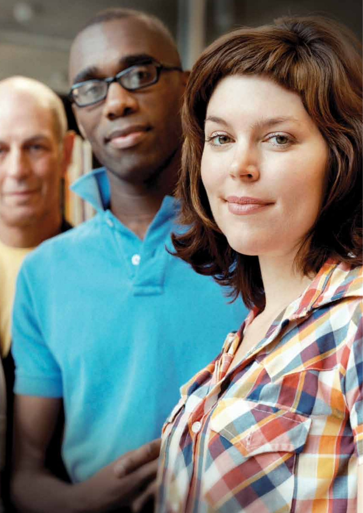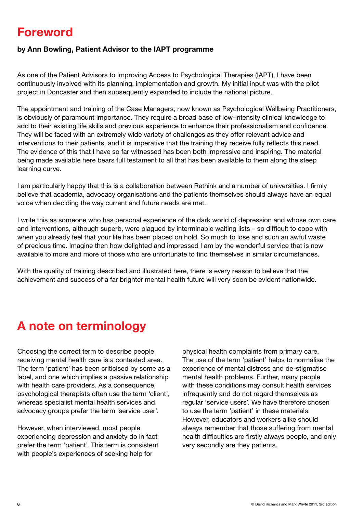## Foreword

### by Ann Bowling, Patient Advisor to the IAPT programme

As one of the Patient Advisors to Improving Access to Psychological Therapies (IAPT), I have been continuously involved with its planning, implementation and growth. My initial input was with the pilot project in Doncaster and then subsequently expanded to include the national picture.

The appointment and training of the Case Managers, now known as Psychological Wellbeing Practitioners, is obviously of paramount importance. They require a broad base of low-intensity clinical knowledge to add to their existing life skills and previous experience to enhance their professionalism and confidence. They will be faced with an extremely wide variety of challenges as they offer relevant advice and interventions to their patients, and it is imperative that the training they receive fully reflects this need. The evidence of this that I have so far witnessed has been both impressive and inspiring. The material being made available here bears full testament to all that has been available to them along the steep learning curve.

I am particularly happy that this is a collaboration between Rethink and a number of universities. I firmly believe that academia, advocacy organisations and the patients themselves should always have an equal voice when deciding the way current and future needs are met.

I write this as someone who has personal experience of the dark world of depression and whose own care and interventions, although superb, were plagued by interminable waiting lists – so difficult to cope with when you already feel that your life has been placed on hold. So much to lose and such an awful waste of precious time. Imagine then how delighted and impressed I am by the wonderful service that is now available to more and more of those who are unfortunate to find themselves in similar circumstances.

With the quality of training described and illustrated here, there is every reason to believe that the achievement and success of a far brighter mental health future will very soon be evident nationwide.

## A note on terminology

Choosing the correct term to describe people receiving mental health care is a contested area. The term 'patient' has been criticised by some as a label, and one which implies a passive relationship with health care providers. As a consequence, psychological therapists often use the term 'client', whereas specialist mental health services and advocacy groups prefer the term 'service user'.

However, when interviewed, most people experiencing depression and anxiety do in fact prefer the term 'patient'. This term is consistent with people's experiences of seeking help for

physical health complaints from primary care. The use of the term 'patient' helps to normalise the experience of mental distress and de-stigmatise mental health problems. Further, many people with these conditions may consult health services infrequently and do not regard themselves as regular 'service users'. We have therefore chosen to use the term 'patient' in these materials. However, educators and workers alike should always remember that those suffering from mental health difficulties are firstly always people, and only very secondly are they patients.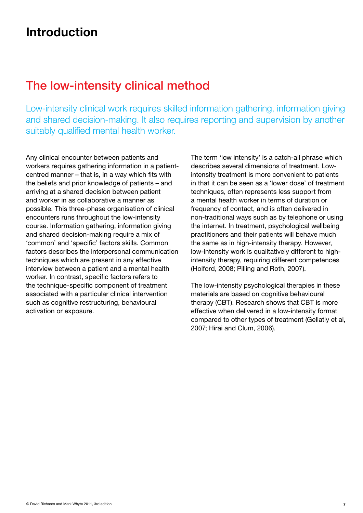## Introduction

## The low-intensity clinical method

Low-intensity clinical work requires skilled information gathering, information giving and shared decision-making. It also requires reporting and supervision by another suitably qualified mental health worker.

Any clinical encounter between patients and workers requires gathering information in a patientcentred manner – that is, in a way which fits with the beliefs and prior knowledge of patients – and arriving at a shared decision between patient and worker in as collaborative a manner as possible. This three-phase organisation of clinical encounters runs throughout the low-intensity course. Information gathering, information giving and shared decision-making require a mix of 'common' and 'specific' factors skills. Common factors describes the interpersonal communication techniques which are present in any effective interview between a patient and a mental health worker. In contrast, specific factors refers to the technique-specific component of treatment associated with a particular clinical intervention such as cognitive restructuring, behavioural activation or exposure.

The term 'low intensity' is a catch-all phrase which describes several dimensions of treatment. Lowintensity treatment is more convenient to patients in that it can be seen as a 'lower dose' of treatment techniques, often represents less support from a mental health worker in terms of duration or frequency of contact, and is often delivered in non-traditional ways such as by telephone or using the internet. In treatment, psychological wellbeing practitioners and their patients will behave much the same as in high-intensity therapy. However, low-intensity work is qualitatively different to highintensity therapy, requiring different competences (Holford, 2008; Pilling and Roth, 2007).

The low-intensity psychological therapies in these materials are based on cognitive behavioural therapy (CBT). Research shows that CBT is more effective when delivered in a low-intensity format compared to other types of treatment (Gellatly et al, 2007; Hirai and Clum, 2006).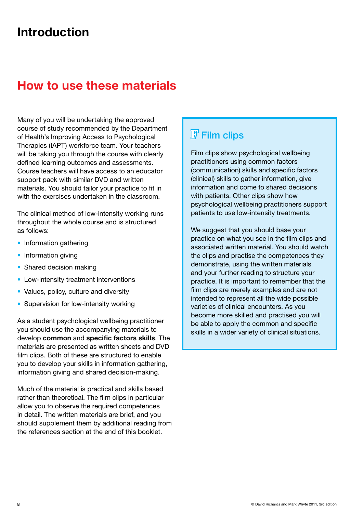## Introduction

## How to use these materials

Many of you will be undertaking the approved course of study recommended by the Department of Health's Improving Access to Psychological Therapies (IAPT) workforce team. Your teachers will be taking you through the course with clearly defined learning outcomes and assessments. Course teachers will have access to an educator support pack with similar DVD and written materials. You should tailor your practice to fit in with the exercises undertaken in the classroom.

The clinical method of low-intensity working runs throughout the whole course and is structured as follows:

- Information gathering
- Information giving
- Shared decision making
- Low-intensity treatment interventions
- Values, policy, culture and diversity
- Supervision for low-intensity working

As a student psychological wellbeing practitioner you should use the accompanying materials to develop common and specific factors skills. The materials are presented as written sheets and DVD film clips. Both of these are structured to enable you to develop your skills in information gathering, information giving and shared decision-making.

Much of the material is practical and skills based rather than theoretical. The film clips in particular allow you to observe the required competences in detail. The written materials are brief, and you should supplement them by additional reading from the references section at the end of this booklet.

## **F** Film clips

Film clips show psychological wellbeing practitioners using common factors (communication) skills and specific factors (clinical) skills to gather information, give information and come to shared decisions with patients. Other clips show how psychological wellbeing practitioners support patients to use low-intensity treatments.

We suggest that you should base your practice on what you see in the film clips and associated written material. You should watch the clips and practise the competences they demonstrate, using the written materials and your further reading to structure your practice. It is important to remember that the film clips are merely examples and are not intended to represent all the wide possible varieties of clinical encounters. As you become more skilled and practised you will be able to apply the common and specific skills in a wider variety of clinical situations.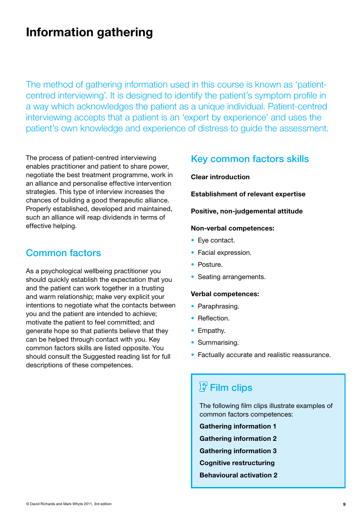## Information gathering

The method of gathering information used in this course is known as 'patientcentred interviewing'. It is designed to identify the patient's symptom profile in a way which acknowledges the patient as a unique individual. Patient-centred interviewing accepts that a patient is an 'expert by experience' and uses the patient's own knowledge and experience of distress to guide the assessment.

The process of patient-centred interviewing enables practitioner and patient to share power, negotiate the best treatment programme, work in an alliance and personalise effective intervention strategies. This type of interview increases the chances of building a good therapeutic alliance. Properly established, developed and maintained, such an alliance will reap dividends in terms of effective helping.

### Common factors

As a psychological wellbeing practitioner you should quickly establish the expectation that you and the patient can work together in a trusting and warm relationship; make very explicit your intentions to negotiate what the contacts between you and the patient are intended to achieve; motivate the patient to feel committed; and generate hope so that patients believe that they can be helped through contact with you. Key common factors skills are listed opposite. You should consult the Suggested reading list for full descriptions of these competences.

### Key common factors skills

### Clear introduction

### Establishment of relevant expertise

### Positive, non-judgemental attitude

### Non-verbal competences:

- Eye contact.
- Facial expression.
- Posture.
- Seating arrangements.

### Verbal competences:

- Paraphrasing.
- Reflection.
- Empathy.
- Summarising.
- Factually accurate and realistic reassurance.

## **F** Film clips

The following film clips illustrate examples of common factors competences:

- Gathering information 1
- Gathering information 2
- Gathering information 3
- Cognitive restructuring
- Behavioural activation 2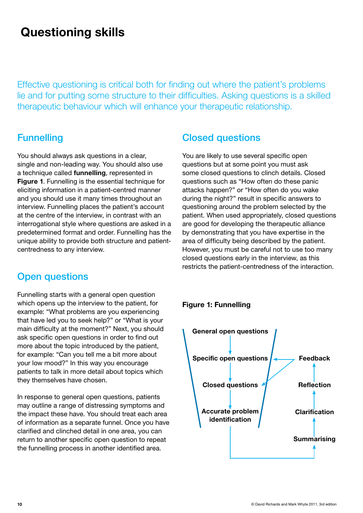## Questioning skills

Effective questioning is critical both for finding out where the patient's problems lie and for putting some structure to their difficulties. Asking questions is a skilled therapeutic behaviour which will enhance your therapeutic relationship.

### **Funnelling**

You should always ask questions in a clear, single and non-leading way. You should also use a technique called funnelling, represented in **Figure 1.** Funnelling is the essential technique for eliciting information in a patient-centred manner and you should use it many times throughout an interview. Funnelling places the patient's account at the centre of the interview, in contrast with an interrogational style where questions are asked in a predetermined format and order. Funnelling has the unique ability to provide both structure and patientcentredness to any interview.

### Open questions

Funnelling starts with a general open question which opens up the interview to the patient, for example: "What problems are you experiencing that have led you to seek help?" or "What is your main difficulty at the moment?" Next, you should ask specific open questions in order to find out more about the topic introduced by the patient, for example: "Can you tell me a bit more about your low mood?" In this way you encourage patients to talk in more detail about topics which they themselves have chosen.

In response to general open questions, patients may outline a range of distressing symptoms and the impact these have. You should treat each area of information as a separate funnel. Once you have clarified and clinched detail in one area, you can return to another specific open question to repeat the funnelling process in another identified area.

### Closed questions

You are likely to use several specific open questions but at some point you must ask some closed questions to clinch details. Closed questions such as "How often do these panic attacks happen?" or "How often do you wake during the night?" result in specific answers to questioning around the problem selected by the patient. When used appropriately, closed questions are good for developing the therapeutic alliance by demonstrating that you have expertise in the area of difficulty being described by the patient. However, you must be careful not to use too many closed questions early in the interview, as this restricts the patient-centredness of the interaction.

### Figure 1: Funnelling

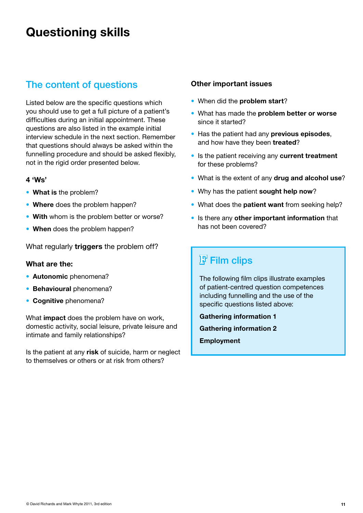## Questioning skills

### The content of questions

Listed below are the specific questions which you should use to get a full picture of a patient's difficulties during an initial appointment. These questions are also listed in the example initial interview schedule in the next section. Remember that questions should always be asked within the funnelling procedure and should be asked flexibly, not in the rigid order presented below.

### 4 'Ws'

- What is the problem?
- Where does the problem happen?
- With whom is the problem better or worse?
- When does the problem happen?

What regularly **triggers** the problem off?

### What are the:

- Autonomic phenomena?
- Behavioural phenomena?
- Cognitive phenomena?

What impact does the problem have on work, domestic activity, social leisure, private leisure and intimate and family relationships?

Is the patient at any risk of suicide, harm or neglect to themselves or others or at risk from others?

### Other important issues

- When did the problem start?
- What has made the problem better or worse since it started?
- Has the patient had any previous episodes, and how have they been treated?
- Is the patient receiving any current treatment for these problems?
- What is the extent of any drug and alcohol use?
- Why has the patient sought help now?
- What does the **patient want** from seeking help?
- Is there any other important information that has not been covered?

## **F** Film clips

The following film clips illustrate examples of patient-centred question competences including funnelling and the use of the specific questions listed above:

Gathering information 1 Gathering information 2 Employment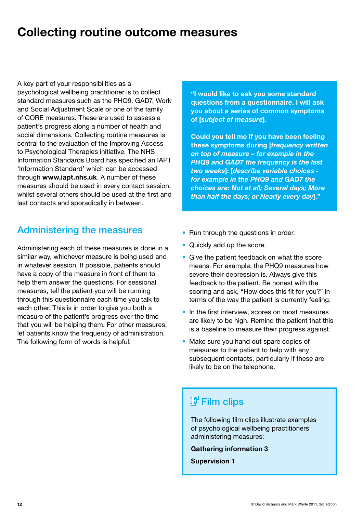## Collecting routine outcome measures

A key part of your responsibilities as a psychological wellbeing practitioner is to collect standard measures such as the PHQ9, GAD7, Work and Social Adjustment Scale or one of the family of CORE measures. These are used to assess a patient's progress along a number of health and social dimensions. Collecting routine measures is central to the evaluation of the Improving Access to Psychological Therapies initiative. The NHS Information Standards Board has specified an IAPT 'Information Standard' which can be accessed through www.iapt.nhs.uk. A number of these measures should be used in every contact session, whilst several others should be used at the first and last contacts and sporadically in between.

### Administering the measures

Administering each of these measures is done in a similar way, whichever measure is being used and in whatever session. If possible, patients should have a copy of the measure in front of them to help them answer the questions. For sessional measures, tell the patient you will be running through this questionnaire each time you talk to each other. This is in order to give you both a measure of the patient's progress over the time that you will be helping them. For other measures, let patients know the frequency of administration. The following form of words is helpful:

"I would like to ask you some standard questions from a questionnaire. I will ask you about a series of common symptoms of [*subject of measure*].

Could you tell me if you have been feeling these symptoms during [*frequency written on top of measure – for example in the PHQ9 and GAD7 the frequency is the last two weeks*]: [*describe variable choices for example in the PHQ9 and GAD7 the choices are: Not at all; Several days; More than half the days; or Nearly every day*]."

- Run through the questions in order.
- Quickly add up the score.
- Give the patient feedback on what the score means. For example, the PHQ9 measures how severe their depression is. Always give this feedback to the patient. Be honest with the scoring and ask, "How does this fit for you?" in terms of the way the patient is currently feeling.
- In the first interview, scores on most measures are likely to be high. Remind the patient that this is a baseline to measure their progress against.
- Make sure you hand out spare copies of measures to the patient to help with any subsequent contacts, particularly if these are likely to be on the telephone.

## **F** Film clips

The following film clips illustrate examples of psychological wellbeing practitioners administering measures:

### Gathering information 3

Supervision 1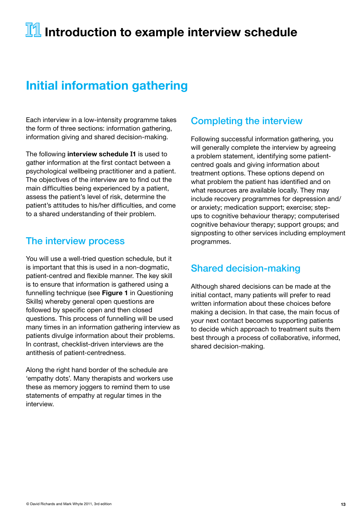## Initial information gathering

Each interview in a low-intensity programme takes the form of three sections: information gathering, information giving and shared decision-making.

The following interview schedule **I**1 is used to gather information at the first contact between a psychological wellbeing practitioner and a patient. The objectives of the interview are to find out the main difficulties being experienced by a patient, assess the patient's level of risk, determine the patient's attitudes to his/her difficulties, and come to a shared understanding of their problem.

### The interview process

You will use a well-tried question schedule, but it is important that this is used in a non-dogmatic, patient-centred and flexible manner. The key skill is to ensure that information is gathered using a funnelling technique (see Figure 1 in Questioning Skills) whereby general open questions are followed by specific open and then closed questions. This process of funnelling will be used many times in an information gathering interview as patients divulge information about their problems. In contrast, checklist-driven interviews are the antithesis of patient-centredness.

Along the right hand border of the schedule are 'empathy dots'. Many therapists and workers use these as memory joggers to remind them to use statements of empathy at regular times in the interview.

### Completing the interview

Following successful information gathering, you will generally complete the interview by agreeing a problem statement, identifying some patientcentred goals and giving information about treatment options. These options depend on what problem the patient has identified and on what resources are available locally. They may include recovery programmes for depression and/ or anxiety; medication support; exercise; stepups to cognitive behaviour therapy; computerised cognitive behaviour therapy; support groups; and signposting to other services including employment programmes.

### Shared decision-making

Although shared decisions can be made at the initial contact, many patients will prefer to read written information about these choices before making a decision. In that case, the main focus of your next contact becomes supporting patients to decide which approach to treatment suits them best through a process of collaborative, informed, shared decision-making.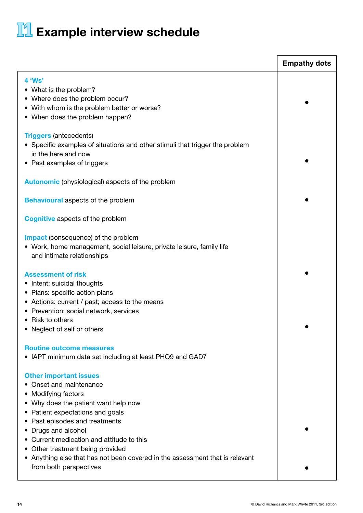## **I1** Example interview schedule

|                                                                                                                                                                                                                                                                                                                                                                                                               | <b>Empathy dots</b> |
|---------------------------------------------------------------------------------------------------------------------------------------------------------------------------------------------------------------------------------------------------------------------------------------------------------------------------------------------------------------------------------------------------------------|---------------------|
| 4 'Ws'<br>• What is the problem?<br>• Where does the problem occur?<br>• With whom is the problem better or worse?<br>• When does the problem happen?                                                                                                                                                                                                                                                         |                     |
| <b>Triggers (antecedents)</b><br>• Specific examples of situations and other stimuli that trigger the problem<br>in the here and now<br>• Past examples of triggers                                                                                                                                                                                                                                           |                     |
| <b>Autonomic</b> (physiological) aspects of the problem                                                                                                                                                                                                                                                                                                                                                       |                     |
| <b>Behavioural</b> aspects of the problem                                                                                                                                                                                                                                                                                                                                                                     |                     |
| <b>Cognitive aspects of the problem</b>                                                                                                                                                                                                                                                                                                                                                                       |                     |
| <b>Impact</b> (consequence) of the problem<br>• Work, home management, social leisure, private leisure, family life<br>and intimate relationships                                                                                                                                                                                                                                                             |                     |
| <b>Assessment of risk</b><br>• Intent: suicidal thoughts<br>• Plans: specific action plans<br>• Actions: current / past; access to the means<br>• Prevention: social network, services<br>• Risk to others<br>• Neglect of self or others                                                                                                                                                                     |                     |
| <b>Routine outcome measures</b><br>• IAPT minimum data set including at least PHQ9 and GAD7                                                                                                                                                                                                                                                                                                                   |                     |
| <b>Other important issues</b><br>• Onset and maintenance<br>Modifying factors<br>• Why does the patient want help now<br>• Patient expectations and goals<br>• Past episodes and treatments<br>• Drugs and alcohol<br>• Current medication and attitude to this<br>• Other treatment being provided<br>• Anything else that has not been covered in the assessment that is relevant<br>from both perspectives |                     |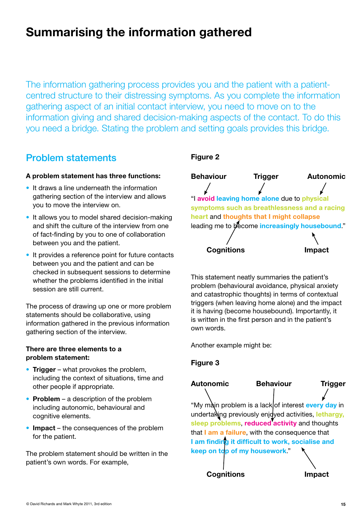## Summarising the information gathered

The information gathering process provides you and the patient with a patientcentred structure to their distressing symptoms. As you complete the information gathering aspect of an initial contact interview, you need to move on to the information giving and shared decision-making aspects of the contact. To do this you need a bridge. Stating the problem and setting goals provides this bridge.

### Problem statements

### A problem statement has three functions:

- It draws a line underneath the information gathering section of the interview and allows you to move the interview on.
- It allows you to model shared decision-making and shift the culture of the interview from one of fact-finding by you to one of collaboration between you and the patient.
- It provides a reference point for future contacts between you and the patient and can be checked in subsequent sessions to determine whether the problems identified in the initial session are still current.

The process of drawing up one or more problem statements should be collaborative, using information gathered in the previous information gathering section of the interview.

### There are three elements to a problem statement:

- Trigger what provokes the problem, including the context of situations, time and other people if appropriate.
- Problem a description of the problem including autonomic, behavioural and cognitive elements.
- Impact the consequences of the problem for the patient.

The problem statement should be written in the patient's own words. For example,

### Figure 2



This statement neatly summaries the patient's problem (behavioural avoidance, physical anxiety and catastrophic thoughts) in terms of contextual triggers (when leaving home alone) and the impact it is having (become housebound). Importantly, it is written in the first person and in the patient's own words.

Another example might be:

### Figure 3

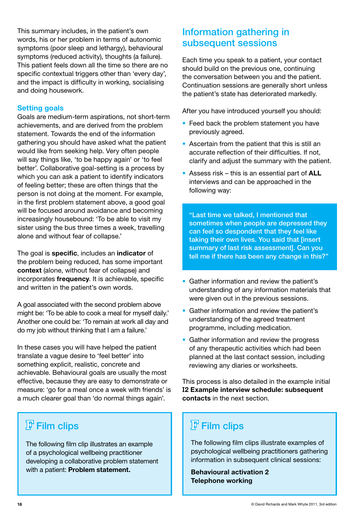This summary includes, in the patient's own words, his or her problem in terms of autonomic symptoms (poor sleep and lethargy), behavioural symptoms (reduced activity), thoughts (a failure). This patient feels down all the time so there are no specific contextual triggers other than 'every day', and the impact is difficulty in working, socialising and doing housework.

### Setting goals

Goals are medium-term aspirations, not short-term achievements, and are derived from the problem statement. Towards the end of the information gathering you should have asked what the patient would like from seeking help. Very often people will say things like, 'to be happy again' or 'to feel better'. Collaborative goal-setting is a process by which you can ask a patient to identify indicators of feeling better; these are often things that the person is not doing at the moment. For example, in the first problem statement above, a good goal will be focused around avoidance and becoming increasingly housebound: 'To be able to visit my sister using the bus three times a week, travelling alone and without fear of collapse.'

The goal is specific, includes an indicator of the problem being reduced, has some important context (alone, without fear of collapse) and incorporates frequency. It is achievable, specific and written in the patient's own words.

A goal associated with the second problem above might be: 'To be able to cook a meal for myself daily.' Another one could be: 'To remain at work all day and do my job without thinking that I am a failure.'

In these cases you will have helped the patient translate a vague desire to 'feel better' into something explicit, realistic, concrete and achievable. Behavioural goals are usually the most effective, because they are easy to demonstrate or measure: 'go for a meal once a week with friends' is a much clearer goal than 'do normal things again'.

## **F** Film clips

The following film clip illustrates an example of a psychological wellbeing practitioner developing a collaborative problem statement with a patient: Problem statement.

### Information gathering in subsequent sessions

Each time you speak to a patient, your contact should build on the previous one, continuing the conversation between you and the patient. Continuation sessions are generally short unless the patient's state has deteriorated markedly.

After you have introduced yourself you should:

- Feed back the problem statement you have previously agreed.
- Ascertain from the patient that this is still an accurate reflection of their difficulties. If not, clarify and adjust the summary with the patient.
- Assess risk this is an essential part of **ALL** interviews and can be approached in the following way:

"Last time we talked, I mentioned that sometimes when people are depressed they can feel so despondent that they feel like taking their own lives. You said that [insert summary of last risk assessment]. Can you tell me if there has been any change in this?"

- Gather information and review the patient's understanding of any information materials that were given out in the previous sessions.
- Gather information and review the patient's understanding of the agreed treatment programme, including medication.
- Gather information and review the progress of any therapeutic activities which had been planned at the last contact session, including reviewing any diaries or worksheets.

This process is also detailed in the example initial **I**2 Example interview schedule: subsequent contacts in the next section.

## **F** Film clips

The following film clips illustrate examples of psychological wellbeing practitioners gathering information in subsequent clinical sessions:

Behavioural activation 2 Telephone working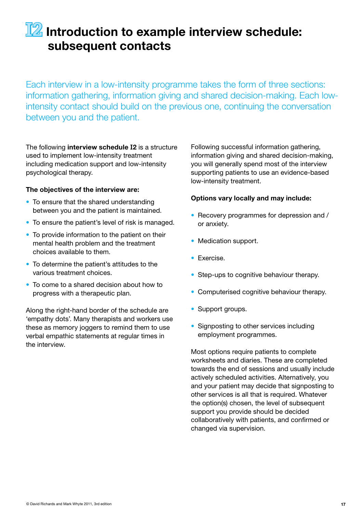## **IZ** Introduction to example interview schedule: subsequent contacts

Each interview in a low-intensity programme takes the form of three sections: information gathering, information giving and shared decision-making. Each lowintensity contact should build on the previous one, continuing the conversation between you and the patient.

The following interview schedule **I**2 is a structure used to implement low-intensity treatment including medication support and low-intensity psychological therapy.

### The objectives of the interview are:

- To ensure that the shared understanding between you and the patient is maintained.
- To ensure the patient's level of risk is managed.
- To provide information to the patient on their mental health problem and the treatment choices available to them.
- To determine the patient's attitudes to the various treatment choices.
- To come to a shared decision about how to progress with a therapeutic plan.

Along the right-hand border of the schedule are 'empathy dots'. Many therapists and workers use these as memory joggers to remind them to use verbal empathic statements at regular times in the interview.

Following successful information gathering, information giving and shared decision-making, you will generally spend most of the interview supporting patients to use an evidence-based low-intensity treatment.

### Options vary locally and may include:

- Recovery programmes for depression and / or anxiety.
- Medication support.
- Exercise.
- Step-ups to cognitive behaviour therapy.
- Computerised cognitive behaviour therapy.
- Support groups.
- Signposting to other services including employment programmes.

Most options require patients to complete worksheets and diaries. These are completed towards the end of sessions and usually include actively scheduled activities. Alternatively, you and your patient may decide that signposting to other services is all that is required. Whatever the option(s) chosen, the level of subsequent support you provide should be decided collaboratively with patients, and confirmed or changed via supervision.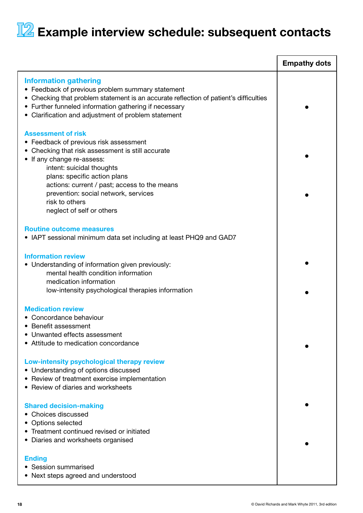## **I2** Example interview schedule: subsequent contacts

|                                                                                                                                                                                                                                                                                           | <b>Empathy dots</b> |
|-------------------------------------------------------------------------------------------------------------------------------------------------------------------------------------------------------------------------------------------------------------------------------------------|---------------------|
| <b>Information gathering</b><br>• Feedback of previous problem summary statement<br>• Checking that problem statement is an accurate reflection of patient's difficulties<br>• Further funneled information gathering if necessary<br>• Clarification and adjustment of problem statement |                     |
| <b>Assessment of risk</b><br>• Feedback of previous risk assessment<br>• Checking that risk assessment is still accurate<br>• If any change re-assess:<br>intent: suicidal thoughts<br>plans: specific action plans<br>actions: current / past; access to the means                       |                     |
| prevention: social network, services<br>risk to others<br>neglect of self or others                                                                                                                                                                                                       |                     |
| <b>Routine outcome measures</b><br>• IAPT sessional minimum data set including at least PHQ9 and GAD7                                                                                                                                                                                     |                     |
| <b>Information review</b><br>• Understanding of information given previously:<br>mental health condition information<br>medication information<br>low-intensity psychological therapies information                                                                                       |                     |
| <b>Medication review</b><br>• Concordance behaviour<br>• Benefit assessment<br>• Unwanted effects assessment                                                                                                                                                                              |                     |
| • Attitude to medication concordance                                                                                                                                                                                                                                                      |                     |
| Low-intensity psychological therapy review<br>• Understanding of options discussed<br>• Review of treatment exercise implementation<br>• Review of diaries and worksheets                                                                                                                 |                     |
| <b>Shared decision-making</b><br>• Choices discussed<br>• Options selected                                                                                                                                                                                                                |                     |
| • Treatment continued revised or initiated<br>• Diaries and worksheets organised<br><b>Ending</b>                                                                                                                                                                                         |                     |
| • Session summarised<br>• Next steps agreed and understood                                                                                                                                                                                                                                |                     |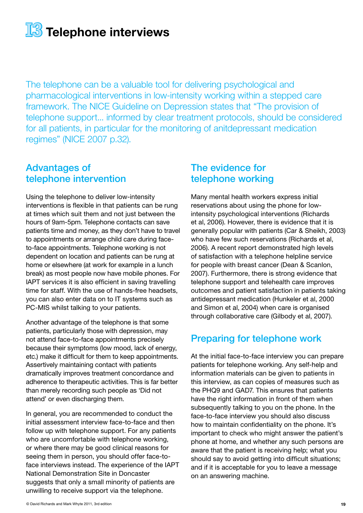**IS** Telephone interviews

The telephone can be a valuable tool for delivering psychological and pharmacological interventions in low-intensity working within a stepped care framework. The NICE Guideline on Depression states that "The provision of telephone support... informed by clear treatment protocols, should be considered for all patients, in particular for the monitoring of anitdepressant medication regimes" (NICE 2007 p.32).

### Advantages of telephone intervention

Using the telephone to deliver low-intensity interventions is flexible in that patients can be rung at times which suit them and not just between the hours of 9am-5pm. Telephone contacts can save patients time and money, as they don't have to travel to appointments or arrange child care during faceto-face appointments. Telephone working is not dependent on location and patients can be rung at home or elsewhere (at work for example in a lunch break) as most people now have mobile phones. For IAPT services it is also efficient in saving travelling time for staff. With the use of hands-free headsets, you can also enter data on to IT systems such as PC-MIS whilst talking to your patients.

Another advantage of the telephone is that some patients, particularly those with depression, may not attend face-to-face appointments precisely because their symptoms (low mood, lack of energy, etc.) make it difficult for them to keep appointments. Assertively maintaining contact with patients dramatically improves treatment concordance and adherence to therapeutic activities. This is far better than merely recording such people as 'Did not attend' or even discharging them.

In general, you are recommended to conduct the initial assessment interview face-to-face and then follow up with telephone support. For any patients who are uncomfortable with telephone working, or where there may be good clinical reasons for seeing them in person, you should offer face-toface interviews instead. The experience of the IAPT National Demonstration Site in Doncaster suggests that only a small minority of patients are unwilling to receive support via the telephone.

### The evidence for telephone working

Many mental health workers express initial reservations about using the phone for lowintensity psychological interventions (Richards et al, 2006). However, there is evidence that it is generally popular with patients (Car & Sheikh, 2003) who have few such reservations (Richards et al, 2006). A recent report demonstrated high levels of satisfaction with a telephone helpline service for people with breast cancer (Dean & Scanlon, 2007). Furthermore, there is strong evidence that telephone support and telehealth care improves outcomes and patient satisfaction in patients taking antidepressant medication (Hunkeler et al, 2000 and Simon et al, 2004) when care is organised through collaborative care (Gilbody et al, 2007).

### Preparing for telephone work

At the initial face-to-face interview you can prepare patients for telephone working. Any self-help and information materials can be given to patients in this interview, as can copies of measures such as the PHQ9 and GAD7. This ensures that patients have the right information in front of them when subsequently talking to you on the phone. In the face-to-face interview you should also discuss how to maintain confidentiality on the phone. It's important to check who might answer the patient's phone at home, and whether any such persons are aware that the patient is receiving help; what you should say to avoid getting into difficult situations; and if it is acceptable for you to leave a message on an answering machine.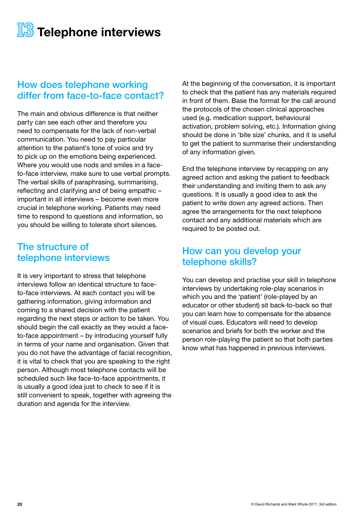

**I3** Telephone interviews

### How does telephone working differ from face-to-face contact?

The main and obvious difference is that neither party can see each other and therefore you need to compensate for the lack of non-verbal communication. You need to pay particular attention to the patient's tone of voice and try to pick up on the emotions being experienced. Where you would use nods and smiles in a faceto-face interview, make sure to use verbal prompts. The verbal skills of paraphrasing, summarising, reflecting and clarifying and of being empathic – important in all interviews – become even more crucial in telephone working. Patients may need time to respond to questions and information, so you should be willing to tolerate short silences.

### The structure of telephone interviews

It is very important to stress that telephone interviews follow an identical structure to faceto-face interviews. At each contact you will be gathering information, giving information and coming to a shared decision with the patient regarding the next steps or action to be taken. You should begin the call exactly as they would a faceto-face appointment – by introducing yourself fully in terms of your name and organisation. Given that you do not have the advantage of facial recognition, it is vital to check that you are speaking to the right person. Although most telephone contacts will be scheduled such like face-to-face appointments, it is usually a good idea just to check to see if it is still convenient to speak, together with agreeing the duration and agenda for the interview.

At the beginning of the conversation, it is important to check that the patient has any materials required in front of them. Base the format for the call around the protocols of the chosen clinical approaches used (e.g. medication support, behavioural activation, problem solving, etc.). Information giving should be done in 'bite size' chunks, and it is useful to get the patient to summarise their understanding of any information given.

End the telephone interview by recapping on any agreed action and asking the patient to feedback their understanding and inviting them to ask any questions. It is usually a good idea to ask the patient to write down any agreed actions. Then agree the arrangements for the next telephone contact and any additional materials which are required to be posted out.

### How can you develop your telephone skills?

You can develop and practise your skill in telephone interviews by undertaking role-play scenarios in which you and the 'patient' (role-played by an educator or other student) sit back-to-back so that you can learn how to compensate for the absence of visual cues. Educators will need to develop scenarios and briefs for both the worker and the person role-playing the patient so that both parties know what has happened in previous interviews.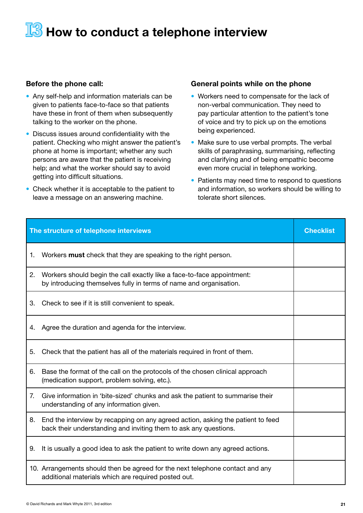## **I3** How to conduct a telephone interview

### Before the phone call:

- Any self-help and information materials can be given to patients face-to-face so that patients have these in front of them when subsequently talking to the worker on the phone.
- Discuss issues around confidentiality with the patient. Checking who might answer the patient's phone at home is important; whether any such persons are aware that the patient is receiving help; and what the worker should say to avoid getting into difficult situations.
- Check whether it is acceptable to the patient to leave a message on an answering machine.

### General points while on the phone

- Workers need to compensate for the lack of non-verbal communication. They need to pay particular attention to the patient's tone of voice and try to pick up on the emotions being experienced.
- Make sure to use verbal prompts. The verbal skills of paraphrasing, summarising, reflecting and clarifying and of being empathic become even more crucial in telephone working.
- Patients may need time to respond to questions and information, so workers should be willing to tolerate short silences.

| The structure of telephone interviews | <b>Checklist</b>                                                                                                                                    |  |
|---------------------------------------|-----------------------------------------------------------------------------------------------------------------------------------------------------|--|
| 1.                                    | Workers <b>must</b> check that they are speaking to the right person.                                                                               |  |
| 2.                                    | Workers should begin the call exactly like a face-to-face appointment:<br>by introducing themselves fully in terms of name and organisation.        |  |
| 3.                                    | Check to see if it is still convenient to speak.                                                                                                    |  |
| 4.                                    | Agree the duration and agenda for the interview.                                                                                                    |  |
| 5.                                    | Check that the patient has all of the materials required in front of them.                                                                          |  |
| 6.                                    | Base the format of the call on the protocols of the chosen clinical approach<br>(medication support, problem solving, etc.).                        |  |
| 7.                                    | Give information in 'bite-sized' chunks and ask the patient to summarise their<br>understanding of any information given.                           |  |
| 8.                                    | End the interview by recapping on any agreed action, asking the patient to feed<br>back their understanding and inviting them to ask any questions. |  |
| 9.                                    | It is usually a good idea to ask the patient to write down any agreed actions.                                                                      |  |
|                                       | 10. Arrangements should then be agreed for the next telephone contact and any<br>additional materials which are required posted out.                |  |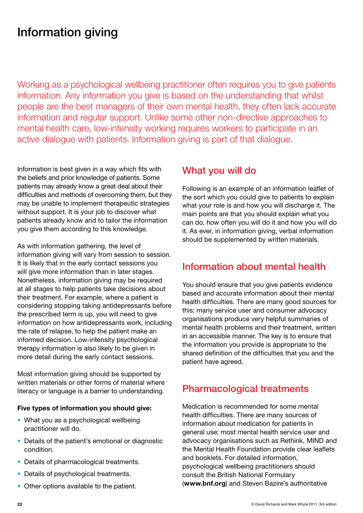## Information giving

Working as a psychological wellbeing practitioner often requires you to give patients information. Any information you give is based on the understanding that whilst people are the best managers of their own mental health, they often lack accurate information and regular support. Unlike some other non-directive approaches to mental health care, low-intensity working requires workers to participate in an active dialogue with patients. Information giving is part of that dialogue.

Information is best given in a way which fits with the beliefs and prior knowledge of patients. Some patients may already know a great deal about their difficulties and methods of overcoming them, but they may be unable to implement therapeutic strategies without support. It is your job to discover what patients already know and to tailor the information you give them according to this knowledge.

As with information gathering, the level of information giving will vary from session to session. It is likely that in the early contact sessions you will give more information than in later stages. Nonetheless, information giving may be required at all stages to help patients take decisions about their treatment. For example, where a patient is considering stopping taking antidepressants before the prescribed term is up, you will need to give information on how antidepressants work, including the rate of relapse, to help the patient make an informed decision. Low-intensity psychological therapy information is also likely to be given in more detail during the early contact sessions.

Most information giving should be supported by written materials or other forms of material where literacy or language is a barrier to understanding.

### Five types of information you should give:

- What you as a psychological wellbeing practitioner will do.
- Details of the patient's emotional or diagnostic condition.
- Details of pharmacological treatments.
- Details of psychological treatments.
- Other options available to the patient.

### What you will do

Following is an example of an information leaflet of the sort which you could give to patients to explain what your role is and how you will discharge it. The main points are that you should explain what you can do, how often you will do it and how you will do it. As ever, in information giving, verbal information should be supplemented by written materials.

### Information about mental health

You should ensure that you give patients evidence based and accurate information about their mental health difficulties. There are many good sources for this: many service user and consumer advocacy organisations produce very helpful summaries of mental health problems and their treatment, written in an accessible manner. The key is to ensure that the information you provide is appropriate to the shared definition of the difficulties that you and the patient have agreed.

### Pharmacological treatments

Medication is recommended for some mental health difficulties. There are many sources of information about medication for patients in general use; most mental health service user and advocacy organisations such as Rethink, MIND and the Mental Health Foundation provide clear leaflets and booklets. For detailed information, psychological wellbeing practitioners should consult the British National Formulary (www.bnf.org) and Steven Bazire's authoritative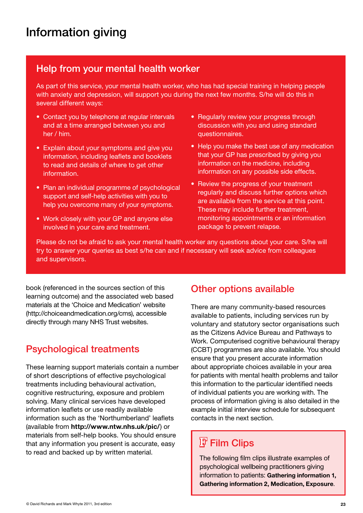### Help from your mental health worker

As part of this service, your mental health worker, who has had special training in helping people with anxiety and depression, will support you during the next few months. S/he will do this in several different ways:

- Contact you by telephone at regular intervals and at a time arranged between you and her / him.
- Explain about your symptoms and give you information, including leaflets and booklets to read and details of where to get other information.
- Plan an individual programme of psychological support and self-help activities with you to help you overcome many of your symptoms.
- Work closely with your GP and anyone else involved in your care and treatment.
- Regularly review your progress through discussion with you and using standard questionnaires.
- Help you make the best use of any medication that your GP has prescribed by giving you information on the medicine, including information on any possible side effects.
- Review the progress of your treatment regularly and discuss further options which are available from the service at this point. These may include further treatment, monitoring appointments or an information package to prevent relapse.

Please do not be afraid to ask your mental health worker any questions about your care. S/he will try to answer your queries as best s/he can and if necessary will seek advice from colleagues and supervisors.

book (referenced in the sources section of this learning outcome) and the associated web based materials at the 'Choice and Medication' website (http://choiceandmedication.org/cms), accessible directly through many NHS Trust websites.

### Psychological treatments

These learning support materials contain a number of short descriptions of effective psychological treatments including behavioural activation, cognitive restructuring, exposure and problem solving. Many clinical services have developed information leaflets or use readily available information such as the 'Northumberland' leaflets (available from http://www.ntw.nhs.uk/pic/) or materials from self-help books. You should ensure that any information you present is accurate, easy to read and backed up by written material.

### Other options available

There are many community-based resources available to patients, including services run by voluntary and statutory sector organisations such as the Citizens Advice Bureau and Pathways to Work. Computerised cognitive behavioural therapy (CCBT) programmes are also available. You should ensure that you present accurate information about appropriate choices available in your area for patients with mental health problems and tailor this information to the particular identified needs of individual patients you are working with. The process of information giving is also detailed in the example initial interview schedule for subsequent contacts in the next section.

## **F** Film Clips

The following film clips illustrate examples of psychological wellbeing practitioners giving information to patients: Gathering information 1, Gathering information 2, Medication, Exposure.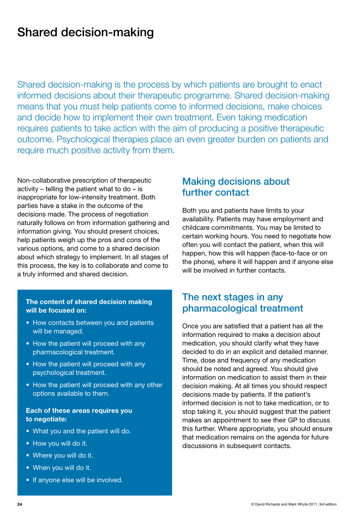## Shared decision-making

Shared decision-making is the process by which patients are brought to enact informed decisions about their therapeutic programme. Shared decision-making means that you must help patients come to informed decisions, make choices and decide how to implement their own treatment. Even taking medication requires patients to take action with the aim of producing a positive therapeutic outcome. Psychological therapies place an even greater burden on patients and require much positive activity from them.

Non-collaborative prescription of therapeutic activity – telling the patient what to do – is inappropriate for low-intensity treatment. Both parties have a stake in the outcome of the decisions made. The process of negotiation naturally follows on from information gathering and information giving. You should present choices, help patients weigh up the pros and cons of the various options, and come to a shared decision about which strategy to implement. In all stages of this process, the key is to collaborate and come to a truly informed and shared decision.

### The content of shared decision making will be focused on:

- How contacts between you and patients will be managed.
- How the patient will proceed with any pharmacological treatment.
- How the patient will proceed with any psychological treatment.
- How the patient will proceed with any other options available to them.

### Each of these areas requires you to negotiate:

- What you and the patient will do.
- How you will do it.
- Where you will do it.
- When you will do it.
- If anyone else will be involved.

### Making decisions about further contact

Both you and patients have limits to your availability. Patients may have employment and childcare commitments. You may be limited to certain working hours. You need to negotiate how often you will contact the patient, when this will happen, how this will happen (face-to-face or on the phone), where it will happen and if anyone else will be involved in further contacts.

### The next stages in any pharmacological treatment

Once you are satisfied that a patient has all the information required to make a decision about medication, you should clarify what they have decided to do in an explicit and detailed manner. Time, dose and frequency of any medication should be noted and agreed. You should give information on medication to assist them in their decision making. At all times you should respect decisions made by patients. If the patient's informed decision is not to take medication, or to stop taking it, you should suggest that the patient makes an appointment to see their GP to discuss this further. Where appropriate, you should ensure that medication remains on the agenda for future discussions in subsequent contacts.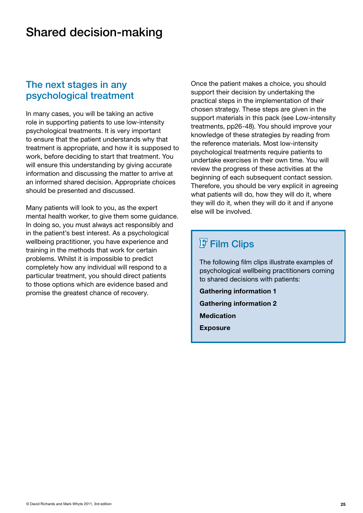## Shared decision-making

### The next stages in any psychological treatment

In many cases, you will be taking an active role in supporting patients to use low-intensity psychological treatments. It is very important to ensure that the patient understands why that treatment is appropriate, and how it is supposed to work, before deciding to start that treatment. You will ensure this understanding by giving accurate information and discussing the matter to arrive at an informed shared decision. Appropriate choices should be presented and discussed.

Many patients will look to you, as the expert mental health worker, to give them some guidance. In doing so, you must always act responsibly and in the patient's best interest. As a psychological wellbeing practitioner, you have experience and training in the methods that work for certain problems. Whilst it is impossible to predict completely how any individual will respond to a particular treatment, you should direct patients to those options which are evidence based and promise the greatest chance of recovery.

Once the patient makes a choice, you should support their decision by undertaking the practical steps in the implementation of their chosen strategy. These steps are given in the support materials in this pack (see Low-intensity treatments, pp26-48). You should improve your knowledge of these strategies by reading from the reference materials. Most low-intensity psychological treatments require patients to undertake exercises in their own time. You will review the progress of these activities at the beginning of each subsequent contact session. Therefore, you should be very explicit in agreeing what patients will do, how they will do it, where they will do it, when they will do it and if anyone else will be involved.

## **F** Film Clips

The following film clips illustrate examples of psychological wellbeing practitioners coming to shared decisions with patients:

Gathering information 1 Gathering information 2 **Medication** Exposure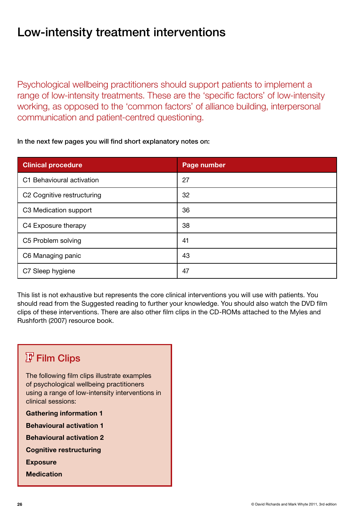## Low-intensity treatment interventions

Psychological wellbeing practitioners should support patients to implement a range of low-intensity treatments. These are the 'specific factors' of low-intensity working, as opposed to the 'common factors' of alliance building, interpersonal communication and patient-centred questioning.

In the next few pages you will find short explanatory notes on:

| <b>Clinical procedure</b>  | Page number |
|----------------------------|-------------|
| C1 Behavioural activation  | 27          |
| C2 Cognitive restructuring | 32          |
| C3 Medication support      | 36          |
| C4 Exposure therapy        | 38          |
| C5 Problem solving         | 41          |
| C6 Managing panic          | 43          |
| C7 Sleep hygiene           | 47          |

This list is not exhaustive but represents the core clinical interventions you will use with patients. You should read from the Suggested reading to further your knowledge. You should also watch the DVD film clips of these interventions. There are also other film clips in the CD-ROMs attached to the Myles and Rushforth (2007) resource book.

## **F** Film Clips The following film clips illustrate examples of psychological wellbeing practitioners using a range of low-intensity interventions in clinical sessions: Gathering information 1 Behavioural activation 1 Behavioural activation 2 Cognitive restructuring Exposure **Medication**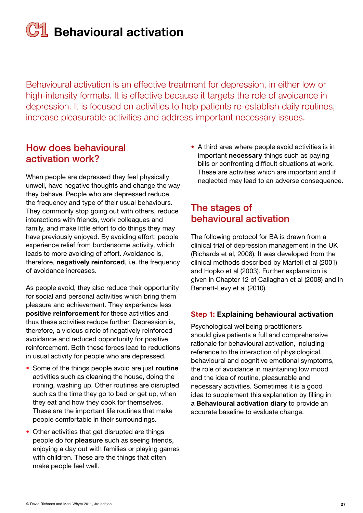## **C1** Behavioural activation

Behavioural activation is an effective treatment for depression, in either low or high-intensity formats. It is effective because it targets the role of avoidance in depression. It is focused on activities to help patients re-establish daily routines, increase pleasurable activities and address important necessary issues.

### How does behavioural activation work?

When people are depressed they feel physically unwell, have negative thoughts and change the way they behave. People who are depressed reduce the frequency and type of their usual behaviours. They commonly stop going out with others, reduce interactions with friends, work colleagues and family, and make little effort to do things they may have previously enjoyed. By avoiding effort, people experience relief from burdensome activity, which leads to more avoiding of effort. Avoidance is, therefore, negatively reinforced, i.e. the frequency of avoidance increases.

As people avoid, they also reduce their opportunity for social and personal activities which bring them pleasure and achievement. They experience less positive reinforcement for these activities and thus these activities reduce further. Depression is, therefore, a vicious circle of negatively reinforced avoidance and reduced opportunity for positive reinforcement. Both these forces lead to reductions in usual activity for people who are depressed.

- Some of the things people avoid are just routine activities such as cleaning the house, doing the ironing, washing up. Other routines are disrupted such as the time they go to bed or get up, when they eat and how they cook for themselves. These are the important life routines that make people comfortable in their surroundings.
- Other activities that get disrupted are things people do for pleasure such as seeing friends, enjoying a day out with families or playing games with children. These are the things that often make people feel well.

• A third area where people avoid activities is in important necessary things such as paying bills or confronting difficult situations at work. These are activities which are important and if neglected may lead to an adverse consequence.

### The stages of behavioural activation

The following protocol for BA is drawn from a clinical trial of depression management in the UK (Richards et al, 2008). It was developed from the clinical methods described by Martell et al (2001) and Hopko et al (2003). Further explanation is given in Chapter 12 of Callaghan et al (2008) and in Bennett-Levy et al (2010).

### Step 1: Explaining behavioural activation

Psychological wellbeing practitioners should give patients a full and comprehensive rationale for behavioural activation, including reference to the interaction of physiological, behavioural and cognitive emotional symptoms, the role of avoidance in maintaining low mood and the idea of routine, pleasurable and necessary activities. Sometimes it is a good idea to supplement this explanation by filling in a Behavioural activation diary to provide an accurate baseline to evaluate change.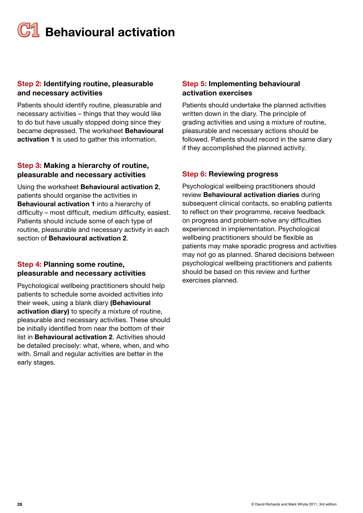**C11** Behavioural activation

### Step 2: Identifying routine, pleasurable and necessary activities

Patients should identify routine, pleasurable and necessary activities – things that they would like to do but have usually stopped doing since they became depressed. The worksheet Behavioural activation 1 is used to gather this information.

### Step 3: Making a hierarchy of routine, pleasurable and necessary activities

Using the worksheet Behavioural activation 2, patients should organise the activities in Behavioural activation 1 into a hierarchy of difficulty – most difficult, medium difficulty, easiest. Patients should include some of each type of routine, pleasurable and necessary activity in each section of Behavioural activation 2.

### Step 4: Planning some routine, pleasurable and necessary activities

Psychological wellbeing practitioners should help patients to schedule some avoided activities into their week, using a blank diary (Behavioural activation diary) to specify a mixture of routine, pleasurable and necessary activities. These should be initially identified from near the bottom of their list in **Behavioural activation 2.** Activities should be detailed precisely: what, where, when, and who with. Small and regular activities are better in the early stages.

### Step 5: Implementing behavioural activation exercises

Patients should undertake the planned activities written down in the diary. The principle of grading activities and using a mixture of routine, pleasurable and necessary actions should be followed. Patients should record in the same diary if they accomplished the planned activity.

### Step 6: Reviewing progress

Psychological wellbeing practitioners should review Behavioural activation diaries during subsequent clinical contacts, so enabling patients to reflect on their programme, receive feedback on progress and problem-solve any difficulties experienced in implementation. Psychological wellbeing practitioners should be flexible as patients may make sporadic progress and activities may not go as planned. Shared decisions between psychological wellbeing practitioners and patients should be based on this review and further exercises planned.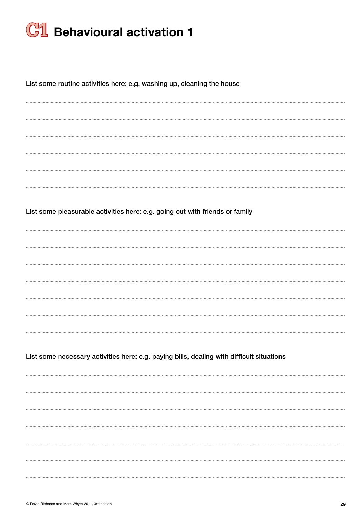

List some routine activities here: e.g. washing up, cleaning the house

List some pleasurable activities here: e.g. going out with friends or family

List some necessary activities here: e.g. paying bills, dealing with difficult situations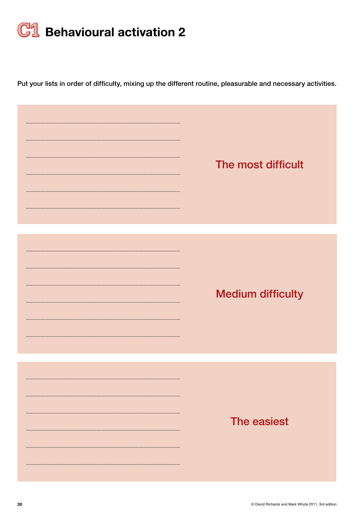

Put your lists in order of difficulty, mixing up the different routine, pleasurable and necessary activities.

| The most difficult       |
|--------------------------|
| <b>Medium difficulty</b> |
| The easiest              |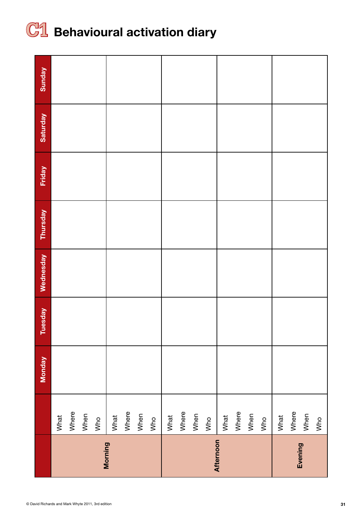## **C1** Behavioural activation diary

|           |       | <b>Monday</b> | Tuesday | Wednesday | Thursday | Friday | Saturday | Sunday |
|-----------|-------|---------------|---------|-----------|----------|--------|----------|--------|
|           | What  |               |         |           |          |        |          |        |
|           | Where |               |         |           |          |        |          |        |
|           | When  |               |         |           |          |        |          |        |
|           | Who   |               |         |           |          |        |          |        |
| Morning   | What  |               |         |           |          |        |          |        |
|           | Where |               |         |           |          |        |          |        |
|           | When  |               |         |           |          |        |          |        |
|           | Who   |               |         |           |          |        |          |        |
|           | What  |               |         |           |          |        |          |        |
|           | Where |               |         |           |          |        |          |        |
|           | When  |               |         |           |          |        |          |        |
|           | Who   |               |         |           |          |        |          |        |
| Afternoon | What  |               |         |           |          |        |          |        |
|           | Where |               |         |           |          |        |          |        |
|           | When  |               |         |           |          |        |          |        |
|           | Who   |               |         |           |          |        |          |        |
|           | What  |               |         |           |          |        |          |        |
| Evening   | Where |               |         |           |          |        |          |        |
|           | When  |               |         |           |          |        |          |        |
|           | Who   |               |         |           |          |        |          |        |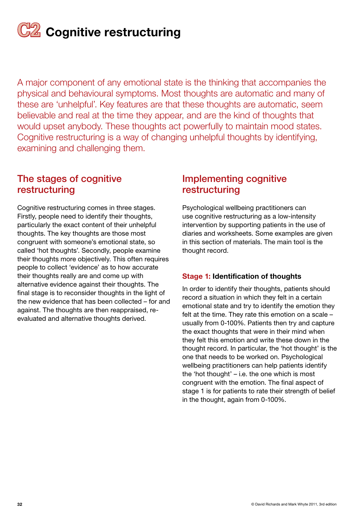**C2** Cognitive restructuring

A major component of any emotional state is the thinking that accompanies the physical and behavioural symptoms. Most thoughts are automatic and many of these are 'unhelpful'. Key features are that these thoughts are automatic, seem believable and real at the time they appear, and are the kind of thoughts that would upset anybody. These thoughts act powerfully to maintain mood states. Cognitive restructuring is a way of changing unhelpful thoughts by identifying, examining and challenging them.

### The stages of cognitive restructuring

Cognitive restructuring comes in three stages. Firstly, people need to identify their thoughts, particularly the exact content of their unhelpful thoughts. The key thoughts are those most congruent with someone's emotional state, so called 'hot thoughts'. Secondly, people examine their thoughts more objectively. This often requires people to collect 'evidence' as to how accurate their thoughts really are and come up with alternative evidence against their thoughts. The final stage is to reconsider thoughts in the light of the new evidence that has been collected – for and against. The thoughts are then reappraised, reevaluated and alternative thoughts derived.

### Implementing cognitive restructuring

Psychological wellbeing practitioners can use cognitive restructuring as a low-intensity intervention by supporting patients in the use of diaries and worksheets. Some examples are given in this section of materials. The main tool is the thought record.

### Stage 1: Identification of thoughts

In order to identify their thoughts, patients should record a situation in which they felt in a certain emotional state and try to identify the emotion they felt at the time. They rate this emotion on a scale – usually from 0-100%. Patients then try and capture the exact thoughts that were in their mind when they felt this emotion and write these down in the thought record. In particular, the 'hot thought' is the one that needs to be worked on. Psychological wellbeing practitioners can help patients identify the 'hot thought' – i.e. the one which is most congruent with the emotion. The final aspect of stage 1 is for patients to rate their strength of belief in the thought, again from 0-100%.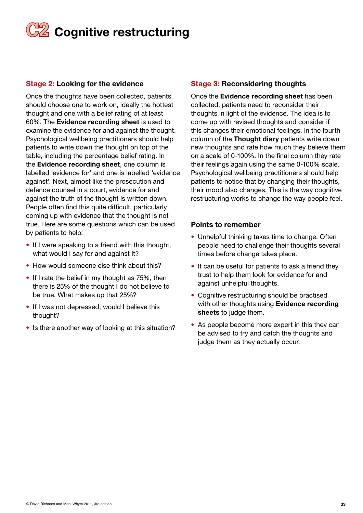## **C**2 Cognitive restructuring

### Stage 2: Looking for the evidence

Once the thoughts have been collected, patients should choose one to work on, ideally the hottest thought and one with a belief rating of at least 60%. The Evidence recording sheet is used to examine the evidence for and against the thought. Psychological wellbeing practitioners should help patients to write down the thought on top of the table, including the percentage belief rating. In the Evidence recording sheet, one column is labelled 'evidence for' and one is labelled 'evidence against'. Next, almost like the prosecution and defence counsel in a court, evidence for and against the truth of the thought is written down. People often find this quite difficult, particularly coming up with evidence that the thought is not true. Here are some questions which can be used by patients to help:

- If I were speaking to a friend with this thought, what would I say for and against it?
- How would someone else think about this?
- If I rate the belief in my thought as 75%, then there is 25% of the thought I do not believe to be true. What makes up that 25%?
- If I was not depressed, would I believe this thought?
- Is there another way of looking at this situation?

### Stage 3: Reconsidering thoughts

Once the Evidence recording sheet has been collected, patients need to reconsider their thoughts in light of the evidence. The idea is to come up with revised thoughts and consider if this changes their emotional feelings. In the fourth column of the Thought diary patients write down new thoughts and rate how much they believe them on a scale of 0-100%. In the final column they rate their feelings again using the same 0-100% scale. Psychological wellbeing practitioners should help patients to notice that by changing their thoughts, their mood also changes. This is the way cognitive restructuring works to change the way people feel.

### Points to remember

- Unhelpful thinking takes time to change. Often people need to challenge their thoughts several times before change takes place.
- It can be useful for patients to ask a friend they trust to help them look for evidence for and against unhelpful thoughts.
- Cognitive restructuring should be practised with other thoughts using Evidence recording sheets to judge them.
- As people become more expert in this they can be advised to try and catch the thoughts and judge them as they actually occur.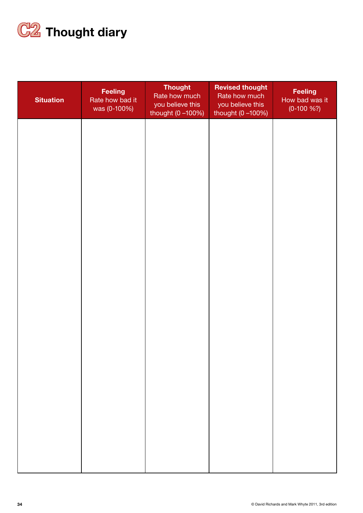

| <b>Situation</b> | <b>Feeling</b><br>Rate how bad it<br>was (0-100%) | <b>Thought</b><br>Rate how much<br>you believe this<br>thought (0-100%) | <b>Revised thought</b><br>Rate how much<br>you believe this<br>thought (0 -100%) | <b>Feeling</b><br>How bad was it<br>$(0-100\%?)$ |
|------------------|---------------------------------------------------|-------------------------------------------------------------------------|----------------------------------------------------------------------------------|--------------------------------------------------|
|                  |                                                   |                                                                         |                                                                                  |                                                  |
|                  |                                                   |                                                                         |                                                                                  |                                                  |
|                  |                                                   |                                                                         |                                                                                  |                                                  |
|                  |                                                   |                                                                         |                                                                                  |                                                  |
|                  |                                                   |                                                                         |                                                                                  |                                                  |
|                  |                                                   |                                                                         |                                                                                  |                                                  |
|                  |                                                   |                                                                         |                                                                                  |                                                  |
|                  |                                                   |                                                                         |                                                                                  |                                                  |
|                  |                                                   |                                                                         |                                                                                  |                                                  |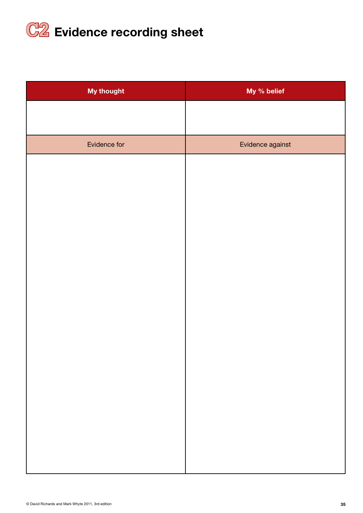

| <b>My thought</b> | My % belief      |
|-------------------|------------------|
|                   |                  |
|                   |                  |
| Evidence for      | Evidence against |
|                   |                  |
|                   |                  |
|                   |                  |
|                   |                  |
|                   |                  |
|                   |                  |
|                   |                  |
|                   |                  |
|                   |                  |
|                   |                  |
|                   |                  |
|                   |                  |
|                   |                  |
|                   |                  |
|                   |                  |
|                   |                  |
|                   |                  |
|                   |                  |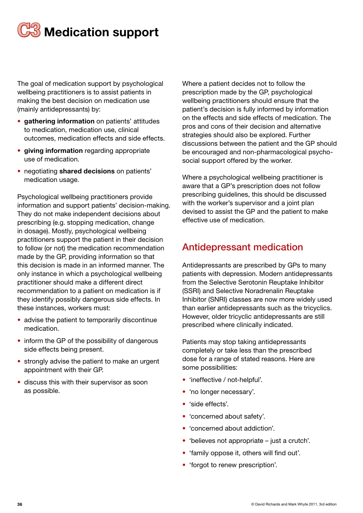

The goal of medication support by psychological wellbeing practitioners is to assist patients in making the best decision on medication use (mainly antidepressants) by:

- gathering information on patients' attitudes to medication, medication use, clinical outcomes, medication effects and side effects.
- giving information regarding appropriate use of medication.
- negotiating shared decisions on patients' medication usage.

Psychological wellbeing practitioners provide information and support patients' decision-making. They do not make independent decisions about prescribing (e.g. stopping medication, change in dosage). Mostly, psychological wellbeing practitioners support the patient in their decision to follow (or not) the medication recommendation made by the GP, providing information so that this decision is made in an informed manner. The only instance in which a psychological wellbeing practitioner should make a different direct recommendation to a patient on medication is if they identify possibly dangerous side effects. In these instances, workers must:

- advise the patient to temporarily discontinue medication.
- inform the GP of the possibility of dangerous side effects being present.
- strongly advise the patient to make an urgent appointment with their GP.
- discuss this with their supervisor as soon as possible.

Where a patient decides not to follow the prescription made by the GP, psychological wellbeing practitioners should ensure that the patient's decision is fully informed by information on the effects and side effects of medication. The pros and cons of their decision and alternative strategies should also be explored. Further discussions between the patient and the GP should be encouraged and non-pharmacological psychosocial support offered by the worker.

Where a psychological wellbeing practitioner is aware that a GP's prescription does not follow prescribing guidelines, this should be discussed with the worker's supervisor and a joint plan devised to assist the GP and the patient to make effective use of medication.

### Antidepressant medication

Antidepressants are prescribed by GPs to many patients with depression. Modern antidepressants from the Selective Serotonin Reuptake Inhibitor (SSRI) and Selective Noradrenalin Reuptake Inhibitor (SNRI) classes are now more widely used than earlier antidepressants such as the tricyclics. However, older tricyclic antidepressants are still prescribed where clinically indicated.

Patients may stop taking antidepressants completely or take less than the prescribed dose for a range of stated reasons. Here are some possibilities:

- 'ineffective / not-helpful'.
- 'no longer necessary'.
- 'side effects'.
- 'concerned about safety'.
- 'concerned about addiction'.
- 'believes not appropriate just a crutch'.
- 'family oppose it, others will find out'.
- 'forgot to renew prescription'.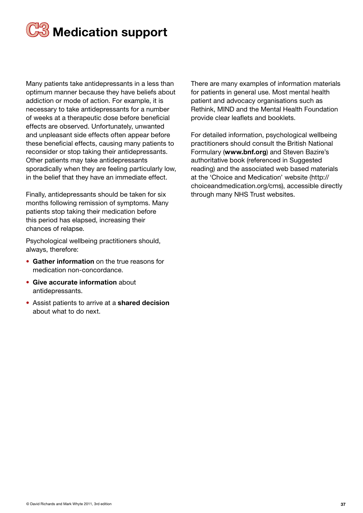

Many patients take antidepressants in a less than optimum manner because they have beliefs about addiction or mode of action. For example, it is necessary to take antidepressants for a number of weeks at a therapeutic dose before beneficial effects are observed. Unfortunately, unwanted and unpleasant side effects often appear before these beneficial effects, causing many patients to reconsider or stop taking their antidepressants. Other patients may take antidepressants sporadically when they are feeling particularly low, in the belief that they have an immediate effect.

Finally, antidepressants should be taken for six months following remission of symptoms. Many patients stop taking their medication before this period has elapsed, increasing their chances of relapse.

Psychological wellbeing practitioners should, always, therefore:

- Gather information on the true reasons for medication non-concordance.
- Give accurate information about antidepressants.
- Assist patients to arrive at a shared decision about what to do next.

There are many examples of information materials for patients in general use. Most mental health patient and advocacy organisations such as Rethink, MIND and the Mental Health Foundation provide clear leaflets and booklets.

For detailed information, psychological wellbeing practitioners should consult the British National Formulary (www.bnf.org) and Steven Bazire's authoritative book (referenced in Suggested reading) and the associated web based materials at the 'Choice and Medication' website (http:// choiceandmedication.org/cms), accessible directly through many NHS Trust websites.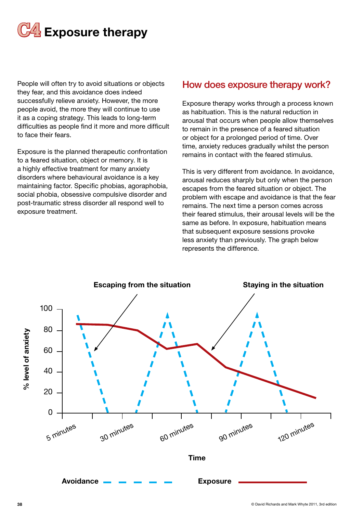

People will often try to avoid situations or objects they fear, and this avoidance does indeed successfully relieve anxiety. However, the more people avoid, the more they will continue to use it as a coping strategy. This leads to long-term difficulties as people find it more and more difficult to face their fears.

Exposure is the planned therapeutic confrontation to a feared situation, object or memory. It is a highly effective treatment for many anxiety disorders where behavioural avoidance is a key maintaining factor. Specific phobias, agoraphobia, social phobia, obsessive compulsive disorder and post-traumatic stress disorder all respond well to exposure treatment.

## How does exposure therapy work?

Exposure therapy works through a process known as habituation. This is the natural reduction in arousal that occurs when people allow themselves to remain in the presence of a feared situation or object for a prolonged period of time. Over time, anxiety reduces gradually whilst the person remains in contact with the feared stimulus.

This is very different from avoidance. In avoidance, arousal reduces sharply but only when the person escapes from the feared situation or object. The problem with escape and avoidance is that the fear remains. The next time a person comes across their feared stimulus, their arousal levels will be the same as before. In exposure, habituation means that subsequent exposure sessions provoke less anxiety than previously. The graph below represents the difference.

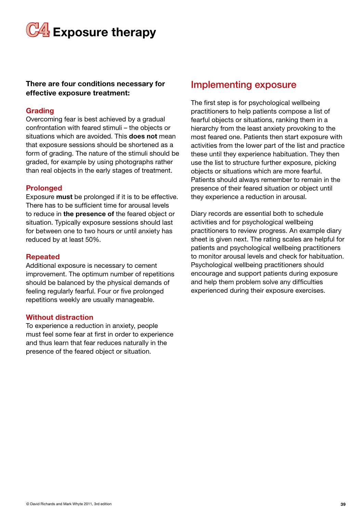**C4** Exposure therapy

#### There are four conditions necessary for effective exposure treatment:

#### Grading

Overcoming fear is best achieved by a gradual confrontation with feared stimuli – the objects or situations which are avoided. This **does not** mean that exposure sessions should be shortened as a form of grading. The nature of the stimuli should be graded, for example by using photographs rather than real objects in the early stages of treatment.

#### Prolonged

Exposure must be prolonged if it is to be effective. There has to be sufficient time for arousal levels to reduce in the presence of the feared object or situation. Typically exposure sessions should last for between one to two hours or until anxiety has reduced by at least 50%.

#### Repeated

Additional exposure is necessary to cement improvement. The optimum number of repetitions should be balanced by the physical demands of feeling regularly fearful. Four or five prolonged repetitions weekly are usually manageable.

#### Without distraction

To experience a reduction in anxiety, people must feel some fear at first in order to experience and thus learn that fear reduces naturally in the presence of the feared object or situation.

## Implementing exposure

The first step is for psychological wellbeing practitioners to help patients compose a list of fearful objects or situations, ranking them in a hierarchy from the least anxiety provoking to the most feared one. Patients then start exposure with activities from the lower part of the list and practice these until they experience habituation. They then use the list to structure further exposure, picking objects or situations which are more fearful. Patients should always remember to remain in the presence of their feared situation or object until they experience a reduction in arousal.

Diary records are essential both to schedule activities and for psychological wellbeing practitioners to review progress. An example diary sheet is given next. The rating scales are helpful for patients and psychological wellbeing practitioners to monitor arousal levels and check for habituation. Psychological wellbeing practitioners should encourage and support patients during exposure and help them problem solve any difficulties experienced during their exposure exercises.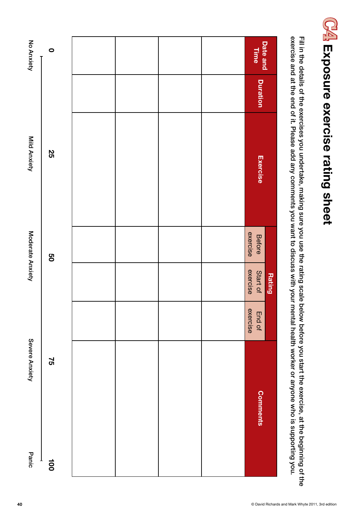| exercise and at the end of it. Please add any comments you want to discuss with your mental health worker or anyone who is supporting you.<br>Fill in the details of the exercises you undertake, making sure you use the rating scale below before you start the exercise, at the beginning of the<br><b>Duration</b><br>S2<br>Exercise<br>exercise<br>Before<br>8g<br>exercise<br>Start of<br><b>Rating</b><br>exercise<br>End of<br><b>25</b> | $\bullet$ |  |  | Date and<br>Time |  |
|--------------------------------------------------------------------------------------------------------------------------------------------------------------------------------------------------------------------------------------------------------------------------------------------------------------------------------------------------------------------------------------------------------------------------------------------------|-----------|--|--|------------------|--|
|                                                                                                                                                                                                                                                                                                                                                                                                                                                  |           |  |  |                  |  |
|                                                                                                                                                                                                                                                                                                                                                                                                                                                  |           |  |  |                  |  |
|                                                                                                                                                                                                                                                                                                                                                                                                                                                  |           |  |  |                  |  |
|                                                                                                                                                                                                                                                                                                                                                                                                                                                  |           |  |  | <b>Comments</b>  |  |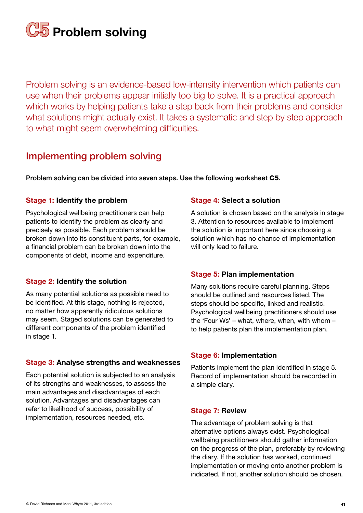

Problem solving is an evidence-based low-intensity intervention which patients can use when their problems appear initially too big to solve. It is a practical approach which works by helping patients take a step back from their problems and consider what solutions might actually exist. It takes a systematic and step by step approach to what might seem overwhelming difficulties.

## Implementing problem solving

Problem solving can be divided into seven steps. Use the following worksheet C5.

#### Stage 1: Identify the problem

Psychological wellbeing practitioners can help patients to identify the problem as clearly and precisely as possible. Each problem should be broken down into its constituent parts, for example, a financial problem can be broken down into the components of debt, income and expenditure.

#### Stage 2: Identify the solution

As many potential solutions as possible need to be identified. At this stage, nothing is rejected, no matter how apparently ridiculous solutions may seem. Staged solutions can be generated to different components of the problem identified in stage 1.

#### Stage 3: Analyse strengths and weaknesses

Each potential solution is subjected to an analysis of its strengths and weaknesses, to assess the main advantages and disadvantages of each solution. Advantages and disadvantages can refer to likelihood of success, possibility of implementation, resources needed, etc.

#### Stage 4: Select a solution

A solution is chosen based on the analysis in stage 3. Attention to resources available to implement the solution is important here since choosing a solution which has no chance of implementation will only lead to failure.

#### Stage 5: Plan implementation

Many solutions require careful planning. Steps should be outlined and resources listed. The steps should be specific, linked and realistic. Psychological wellbeing practitioners should use the 'Four Ws' – what, where, when, with whom – to help patients plan the implementation plan.

#### Stage 6: Implementation

Patients implement the plan identified in stage 5. Record of implementation should be recorded in a simple diary.

#### Stage 7: Review

The advantage of problem solving is that alternative options always exist. Psychological wellbeing practitioners should gather information on the progress of the plan, preferably by reviewing the diary. If the solution has worked, continued implementation or moving onto another problem is indicated. If not, another solution should be chosen.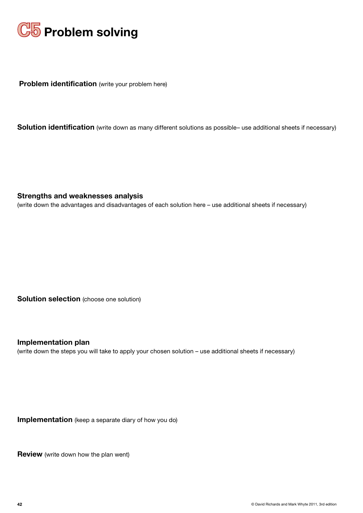

**Problem identification** (write your problem here)

Solution identification (write down as many different solutions as possible- use additional sheets if necessary)

Strengths and weaknesses analysis

(write down the advantages and disadvantages of each solution here – use additional sheets if necessary)

Solution selection (choose one solution)

Implementation plan

(write down the steps you will take to apply your chosen solution – use additional sheets if necessary)

Implementation (keep a separate diary of how you do)

**Review** (write down how the plan went)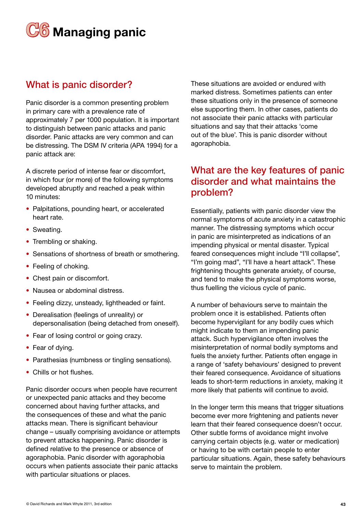

## What is panic disorder?

Panic disorder is a common presenting problem in primary care with a prevalence rate of approximately 7 per 1000 population. It is important to distinguish between panic attacks and panic disorder. Panic attacks are very common and can be distressing. The DSM IV criteria (APA 1994) for a panic attack are:

A discrete period of intense fear or discomfort, in which four (or more) of the following symptoms developed abruptly and reached a peak within 10 minutes:

- Palpitations, pounding heart, or accelerated heart rate.
- Sweating.
- Trembling or shaking.
- Sensations of shortness of breath or smothering.
- Feeling of choking.
- Chest pain or discomfort.
- Nausea or abdominal distress.
- Feeling dizzy, unsteady, lightheaded or faint.
- Derealisation (feelings of unreality) or depersonalisation (being detached from oneself).
- Fear of losing control or going crazy.
- Fear of dying.
- Parathesias (numbness or tingling sensations).
- Chills or hot flushes.

Panic disorder occurs when people have recurrent or unexpected panic attacks and they become concerned about having further attacks, and the consequences of these and what the panic attacks mean. There is significant behaviour change – usually comprising avoidance or attempts to prevent attacks happening. Panic disorder is defined relative to the presence or absence of agoraphobia. Panic disorder with agoraphobia occurs when patients associate their panic attacks with particular situations or places.

These situations are avoided or endured with marked distress. Sometimes patients can enter these situations only in the presence of someone else supporting them. In other cases, patients do not associate their panic attacks with particular situations and say that their attacks 'come out of the blue'. This is panic disorder without agoraphobia.

## What are the key features of panic disorder and what maintains the problem?

Essentially, patients with panic disorder view the normal symptoms of acute anxiety in a catastrophic manner. The distressing symptoms which occur in panic are misinterpreted as indications of an impending physical or mental disaster. Typical feared consequences might include "I'll collapse", "I'm going mad", "I'll have a heart attack". These frightening thoughts generate anxiety, of course, and tend to make the physical symptoms worse, thus fuelling the vicious cycle of panic.

A number of behaviours serve to maintain the problem once it is established. Patients often become hypervigilant for any bodily cues which might indicate to them an impending panic attack. Such hypervigilance often involves the misinterpretation of normal bodily symptoms and fuels the anxiety further. Patients often engage in a range of 'safety behaviours' designed to prevent their feared consequence. Avoidance of situations leads to short-term reductions in anxiety, making it more likely that patients will continue to avoid.

In the longer term this means that trigger situations become ever more frightening and patients never learn that their feared consequence doesn't occur. Other subtle forms of avoidance might involve carrying certain objects (e.g. water or medication) or having to be with certain people to enter particular situations. Again, these safety behaviours serve to maintain the problem.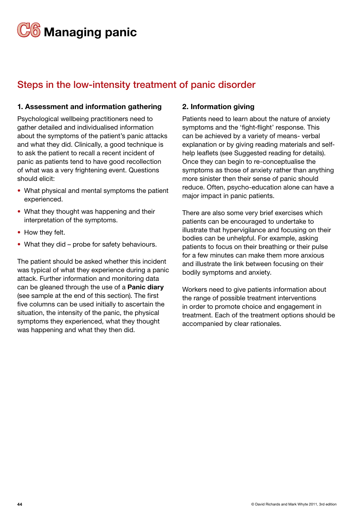# **C6** Managing panic

## Steps in the low-intensity treatment of panic disorder

#### 1. Assessment and information gathering

Psychological wellbeing practitioners need to gather detailed and individualised information about the symptoms of the patient's panic attacks and what they did. Clinically, a good technique is to ask the patient to recall a recent incident of panic as patients tend to have good recollection of what was a very frightening event. Questions should elicit:

- What physical and mental symptoms the patient experienced.
- What they thought was happening and their interpretation of the symptoms.
- How they felt.
- What they did probe for safety behaviours.

The patient should be asked whether this incident was typical of what they experience during a panic attack. Further information and monitoring data can be gleaned through the use of a Panic diary (see sample at the end of this section). The first five columns can be used initially to ascertain the situation, the intensity of the panic, the physical symptoms they experienced, what they thought was happening and what they then did.

#### 2. Information giving

Patients need to learn about the nature of anxiety symptoms and the 'fight-flight' response. This can be achieved by a variety of means- verbal explanation or by giving reading materials and selfhelp leaflets (see Suggested reading for details). Once they can begin to re-conceptualise the symptoms as those of anxiety rather than anything more sinister then their sense of panic should reduce. Often, psycho-education alone can have a major impact in panic patients.

There are also some very brief exercises which patients can be encouraged to undertake to illustrate that hypervigilance and focusing on their bodies can be unhelpful. For example, asking patients to focus on their breathing or their pulse for a few minutes can make them more anxious and illustrate the link between focusing on their bodily symptoms and anxiety.

Workers need to give patients information about the range of possible treatment interventions in order to promote choice and engagement in treatment. Each of the treatment options should be accompanied by clear rationales.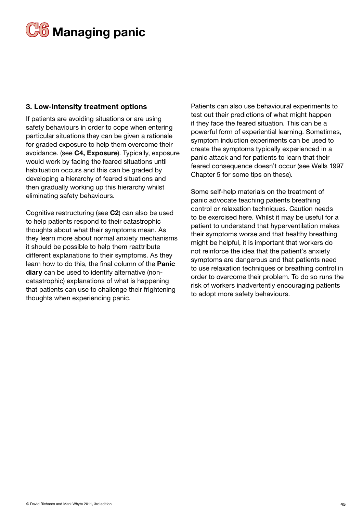

#### 3. Low-intensity treatment options

If patients are avoiding situations or are using safety behaviours in order to cope when entering particular situations they can be given a rationale for graded exposure to help them overcome their avoidance. (see C4, Exposure). Typically, exposure would work by facing the feared situations until habituation occurs and this can be graded by developing a hierarchy of feared situations and then gradually working up this hierarchy whilst eliminating safety behaviours.

Cognitive restructuring (see C2) can also be used to help patients respond to their catastrophic thoughts about what their symptoms mean. As they learn more about normal anxiety mechanisms it should be possible to help them reattribute different explanations to their symptoms. As they learn how to do this, the final column of the Panic diary can be used to identify alternative (noncatastrophic) explanations of what is happening that patients can use to challenge their frightening thoughts when experiencing panic.

Patients can also use behavioural experiments to test out their predictions of what might happen if they face the feared situation. This can be a powerful form of experiential learning. Sometimes, symptom induction experiments can be used to create the symptoms typically experienced in a panic attack and for patients to learn that their feared consequence doesn't occur (see Wells 1997 Chapter 5 for some tips on these).

Some self-help materials on the treatment of panic advocate teaching patients breathing control or relaxation techniques. Caution needs to be exercised here. Whilst it may be useful for a patient to understand that hyperventilation makes their symptoms worse and that healthy breathing might be helpful, it is important that workers do not reinforce the idea that the patient's anxiety symptoms are dangerous and that patients need to use relaxation techniques or breathing control in order to overcome their problem. To do so runs the risk of workers inadvertently encouraging patients to adopt more safety behaviours.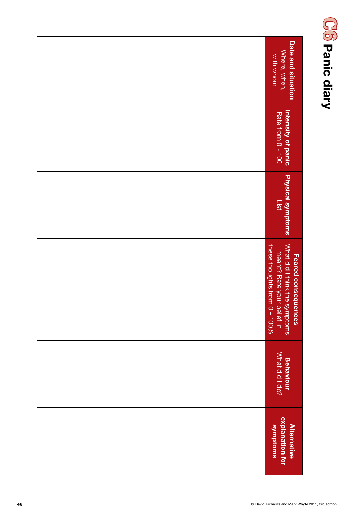

| Date and situation<br>Where, when,<br>with whom                                                                              |  |  |
|------------------------------------------------------------------------------------------------------------------------------|--|--|
| Intensity of panic<br>Rate from 0 - 100                                                                                      |  |  |
| <b>Physical symptoms</b><br>List                                                                                             |  |  |
| What did I think the symptoms<br>meant? Rate your belief in<br>these thoughts<br><b>Feared consequences</b><br>from 0 - 100% |  |  |
| <b>Behaviour<br/>What did I do?</b>                                                                                          |  |  |
| explanation for<br>suuptoms<br><b>Alternative</b>                                                                            |  |  |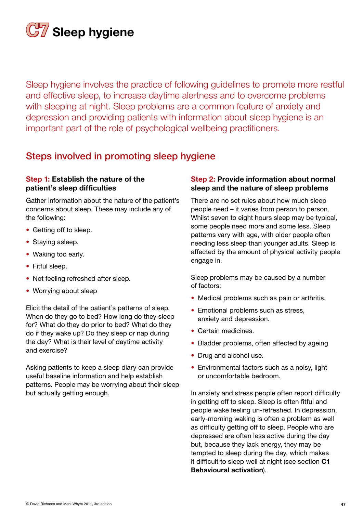

Sleep hygiene involves the practice of following guidelines to promote more restful and effective sleep, to increase daytime alertness and to overcome problems with sleeping at night. Sleep problems are a common feature of anxiety and depression and providing patients with information about sleep hygiene is an important part of the role of psychological wellbeing practitioners.

## Steps involved in promoting sleep hygiene

#### Step 1: Establish the nature of the patient's sleep difficulties

Gather information about the nature of the patient's concerns about sleep. These may include any of the following:

- Getting off to sleep.
- Staying asleep.
- Waking too early.
- Fitful sleep.
- Not feeling refreshed after sleep.
- Worrying about sleep

Elicit the detail of the patient's patterns of sleep. When do they go to bed? How long do they sleep for? What do they do prior to bed? What do they do if they wake up? Do they sleep or nap during the day? What is their level of daytime activity and exercise?

Asking patients to keep a sleep diary can provide useful baseline information and help establish patterns. People may be worrying about their sleep but actually getting enough.

#### Step 2: Provide information about normal sleep and the nature of sleep problems

There are no set rules about how much sleep people need – it varies from person to person. Whilst seven to eight hours sleep may be typical, some people need more and some less. Sleep patterns vary with age, with older people often needing less sleep than younger adults. Sleep is affected by the amount of physical activity people engage in.

Sleep problems may be caused by a number of factors:

- Medical problems such as pain or arthritis.
- Emotional problems such as stress. anxiety and depression.
- Certain medicines.
- Bladder problems, often affected by ageing
- Drug and alcohol use.
- Environmental factors such as a noisy, light or uncomfortable bedroom.

In anxiety and stress people often report difficulty in getting off to sleep. Sleep is often fitful and people wake feeling un-refreshed. In depression, early-morning waking is often a problem as well as difficulty getting off to sleep. People who are depressed are often less active during the day but, because they lack energy, they may be tempted to sleep during the day, which makes it difficult to sleep well at night (see section C1 Behavioural activation).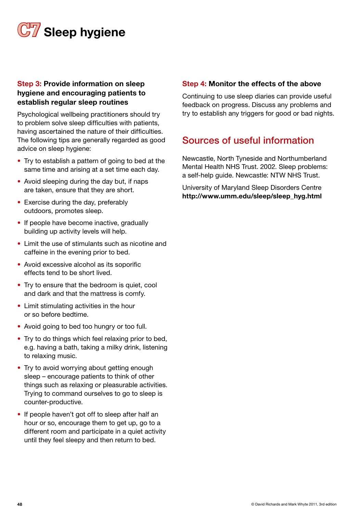

#### Step 3: Provide information on sleep hygiene and encouraging patients to establish regular sleep routines

Psychological wellbeing practitioners should try to problem solve sleep difficulties with patients, having ascertained the nature of their difficulties. The following tips are generally regarded as good advice on sleep hygiene:

- Try to establish a pattern of going to bed at the same time and arising at a set time each day.
- Avoid sleeping during the day but, if naps are taken, ensure that they are short.
- Exercise during the day, preferably outdoors, promotes sleep.
- If people have become inactive, gradually building up activity levels will help.
- Limit the use of stimulants such as nicotine and caffeine in the evening prior to bed.
- Avoid excessive alcohol as its soporific effects tend to be short lived.
- Try to ensure that the bedroom is quiet, cool and dark and that the mattress is comfy.
- Limit stimulating activities in the hour or so before bedtime.
- Avoid going to bed too hungry or too full.
- Try to do things which feel relaxing prior to bed, e.g. having a bath, taking a milky drink, listening to relaxing music.
- Try to avoid worrying about getting enough sleep – encourage patients to think of other things such as relaxing or pleasurable activities. Trying to command ourselves to go to sleep is counter-productive.
- If people haven't got off to sleep after half an hour or so, encourage them to get up, go to a different room and participate in a quiet activity until they feel sleepy and then return to bed.

#### Step 4: Monitor the effects of the above

Continuing to use sleep diaries can provide useful feedback on progress. Discuss any problems and try to establish any triggers for good or bad nights.

## Sources of useful information

Newcastle, North Tyneside and Northumberland Mental Health NHS Trust. 2002. Sleep problems: a self-help guide. Newcastle: NTW NHS Trust.

University of Maryland Sleep Disorders Centre http://www.umm.edu/sleep/sleep\_hyg.html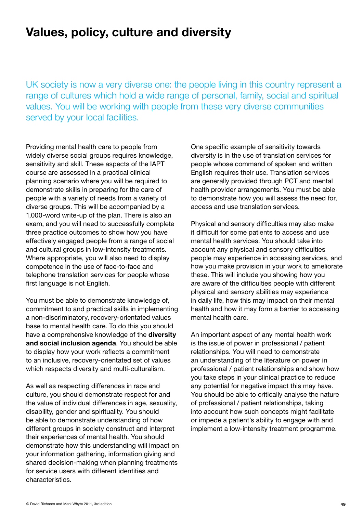## Values, policy, culture and diversity

UK society is now a very diverse one: the people living in this country represent a range of cultures which hold a wide range of personal, family, social and spiritual values. You will be working with people from these very diverse communities served by your local facilities.

Providing mental health care to people from widely diverse social groups requires knowledge, sensitivity and skill. These aspects of the IAPT course are assessed in a practical clinical planning scenario where you will be required to demonstrate skills in preparing for the care of people with a variety of needs from a variety of diverse groups. This will be accompanied by a 1,000-word write-up of the plan. There is also an exam, and you will need to successfully complete three practice outcomes to show how you have effectively engaged people from a range of social and cultural groups in low-intensity treatments. Where appropriate, you will also need to display competence in the use of face-to-face and telephone translation services for people whose first language is not English.

You must be able to demonstrate knowledge of, commitment to and practical skills in implementing a non-discriminatory, recovery-orientated values base to mental health care. To do this you should have a comprehensive knowledge of the diversity and social inclusion agenda. You should be able to display how your work reflects a commitment to an inclusive, recovery-orientated set of values which respects diversity and multi-culturalism.

As well as respecting differences in race and culture, you should demonstrate respect for and the value of individual differences in age, sexuality, disability, gender and spirituality. You should be able to demonstrate understanding of how different groups in society construct and interpret their experiences of mental health. You should demonstrate how this understanding will impact on your information gathering, information giving and shared decision-making when planning treatments for service users with different identities and characteristics.

One specific example of sensitivity towards diversity is in the use of translation services for people whose command of spoken and written English requires their use. Translation services are generally provided through PCT and mental health provider arrangements. You must be able to demonstrate how you will assess the need for, access and use translation services.

Physical and sensory difficulties may also make it difficult for some patients to access and use mental health services. You should take into account any physical and sensory difficulties people may experience in accessing services, and how you make provision in your work to ameliorate these. This will include you showing how you are aware of the difficulties people with different physical and sensory abilities may experience in daily life, how this may impact on their mental health and how it may form a barrier to accessing mental health care.

An important aspect of any mental health work is the issue of power in professional / patient relationships. You will need to demonstrate an understanding of the literature on power in professional / patient relationships and show how you take steps in your clinical practice to reduce any potential for negative impact this may have. You should be able to critically analyse the nature of professional / patient relationships, taking into account how such concepts might facilitate or impede a patient's ability to engage with and implement a low-intensity treatment programme.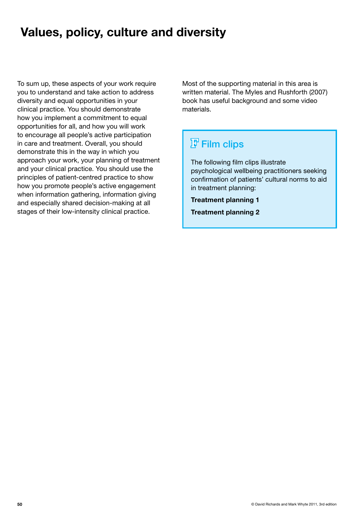## Values, policy, culture and diversity

To sum up, these aspects of your work require you to understand and take action to address diversity and equal opportunities in your clinical practice. You should demonstrate how you implement a commitment to equal opportunities for all, and how you will work to encourage all people's active participation in care and treatment. Overall, you should demonstrate this in the way in which you approach your work, your planning of treatment and your clinical practice. You should use the principles of patient-centred practice to show how you promote people's active engagement when information gathering, information giving and especially shared decision-making at all stages of their low-intensity clinical practice.

Most of the supporting material in this area is written material. The Myles and Rushforth (2007) book has useful background and some video materials.

## **F** Film clips

The following film clips illustrate psychological wellbeing practitioners seeking confirmation of patients' cultural norms to aid in treatment planning:

Treatment planning 1

Treatment planning 2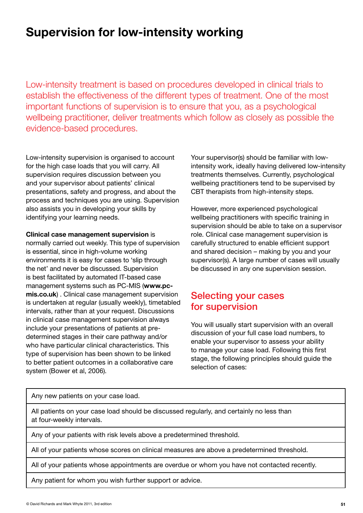## Supervision for low-intensity working

Low-intensity treatment is based on procedures developed in clinical trials to establish the effectiveness of the different types of treatment. One of the most important functions of supervision is to ensure that you, as a psychological wellbeing practitioner, deliver treatments which follow as closely as possible the evidence-based procedures.

Low-intensity supervision is organised to account for the high case loads that you will carry. All supervision requires discussion between you and your supervisor about patients' clinical presentations, safety and progress, and about the process and techniques you are using. Supervision also assists you in developing your skills by identifying your learning needs.

#### Clinical case management supervision is

normally carried out weekly. This type of supervision is essential, since in high-volume working environments it is easy for cases to 'slip through the net' and never be discussed. Supervision is best facilitated by automated IT-based case management systems such as PC-MIS (www.pcmis.co.uk) . Clinical case management supervision is undertaken at regular (usually weekly), timetabled intervals, rather than at your request. Discussions in clinical case management supervision always include your presentations of patients at predetermined stages in their care pathway and/or who have particular clinical characteristics. This type of supervision has been shown to be linked to better patient outcomes in a collaborative care system (Bower et al, 2006).

Your supervisor(s) should be familiar with lowintensity work, ideally having delivered low-intensity treatments themselves. Currently, psychological wellbeing practitioners tend to be supervised by CBT therapists from high-intensity steps.

However, more experienced psychological wellbeing practitioners with specific training in supervision should be able to take on a supervisor role. Clinical case management supervision is carefully structured to enable efficient support and shared decision – making by you and your supervisor(s). A large number of cases will usually be discussed in any one supervision session.

## Selecting your cases for supervision

You will usually start supervision with an overall discussion of your full case load numbers, to enable your supervisor to assess your ability to manage your case load. Following this first stage, the following principles should guide the selection of cases:

Any new patients on your case load.

All patients on your case load should be discussed regularly, and certainly no less than at four-weekly intervals.

Any of your patients with risk levels above a predetermined threshold.

All of your patients whose scores on clinical measures are above a predetermined threshold.

All of your patients whose appointments are overdue or whom you have not contacted recently.

Any patient for whom you wish further support or advice.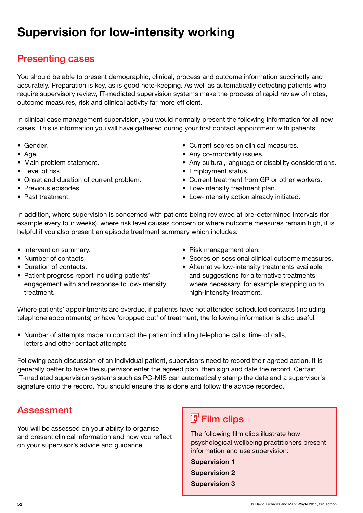## Supervision for low-intensity working

## Presenting cases

You should be able to present demographic, clinical, process and outcome information succinctly and accurately. Preparation is key, as is good note-keeping. As well as automatically detecting patients who require supervisory review, IT-mediated supervision systems make the process of rapid review of notes, outcome measures, risk and clinical activity far more efficient.

In clinical case management supervision, you would normally present the following information for all new cases. This is information you will have gathered during your first contact appointment with patients:

- Gender.
- Age.
- Main problem statement.
- Level of risk.
- Onset and duration of current problem.
- Previous episodes.
- Past treatment.
- Current scores on clinical measures.
- Any co-morbidity issues.
- Any cultural, language or disability considerations.
- Employment status.
- Current treatment from GP or other workers.
- Low-intensity treatment plan.
- Low-intensity action already initiated.

In addition, where supervision is concerned with patients being reviewed at pre-determined intervals (for example every four weeks), where risk level causes concern or where outcome measures remain high, it is helpful if you also present an episode treatment summary which includes:

- Intervention summary.
- Number of contacts.
- Duration of contacts.
- Patient progress report including patients' engagement with and response to low-intensity treatment.
- Risk management plan.
- Scores on sessional clinical outcome measures.
- Alternative low-intensity treatments available and suggestions for alternative treatments where necessary, for example stepping up to high-intensity treatment.

Where patients' appointments are overdue, if patients have not attended scheduled contacts (including telephone appointments) or have 'dropped out' of treatment, the following information is also useful:

• Number of attempts made to contact the patient including telephone calls, time of calls, letters and other contact attempts

Following each discussion of an individual patient, supervisors need to record their agreed action. It is generally better to have the supervisor enter the agreed plan, then sign and date the record. Certain IT-mediated supervision systems such as PC-MIS can automatically stamp the date and a supervisor's signature onto the record. You should ensure this is done and follow the advice recorded.

## Assessment

You will be assessed on your ability to organise and present clinical information and how you reflect on your supervisor's advice and guidance.

## **F** Film clips

The following film clips illustrate how psychological wellbeing practitioners present information and use supervision:

- Supervision 1
- Supervision 2
- Supervision 3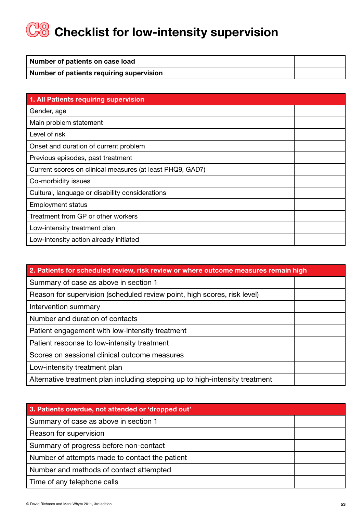# **C8** Checklist for low-intensity supervision

| Number of patients on case load          |  |
|------------------------------------------|--|
| Number of patients requiring supervision |  |

| 1. All Patients requiring supervision                     |  |  |  |  |  |
|-----------------------------------------------------------|--|--|--|--|--|
| Gender, age                                               |  |  |  |  |  |
| Main problem statement                                    |  |  |  |  |  |
| Level of risk                                             |  |  |  |  |  |
| Onset and duration of current problem                     |  |  |  |  |  |
| Previous episodes, past treatment                         |  |  |  |  |  |
| Current scores on clinical measures (at least PHQ9, GAD7) |  |  |  |  |  |
| Co-morbidity issues                                       |  |  |  |  |  |
| Cultural, language or disability considerations           |  |  |  |  |  |
| <b>Employment status</b>                                  |  |  |  |  |  |
| Treatment from GP or other workers                        |  |  |  |  |  |
| Low-intensity treatment plan                              |  |  |  |  |  |
| Low-intensity action already initiated                    |  |  |  |  |  |

| 2. Patients for scheduled review, risk review or where outcome measures remain high |  |  |  |  |  |
|-------------------------------------------------------------------------------------|--|--|--|--|--|
| Summary of case as above in section 1                                               |  |  |  |  |  |
| Reason for supervision (scheduled review point, high scores, risk level)            |  |  |  |  |  |
| Intervention summary                                                                |  |  |  |  |  |
| Number and duration of contacts                                                     |  |  |  |  |  |
| Patient engagement with low-intensity treatment                                     |  |  |  |  |  |
| Patient response to low-intensity treatment                                         |  |  |  |  |  |
| Scores on sessional clinical outcome measures                                       |  |  |  |  |  |
| Low-intensity treatment plan                                                        |  |  |  |  |  |
| Alternative treatment plan including stepping up to high-intensity treatment        |  |  |  |  |  |

| 3. Patients overdue, not attended or 'dropped out' |  |
|----------------------------------------------------|--|
| Summary of case as above in section 1              |  |
| Reason for supervision                             |  |
| Summary of progress before non-contact             |  |
| Number of attempts made to contact the patient     |  |
| Number and methods of contact attempted            |  |
| Time of any telephone calls                        |  |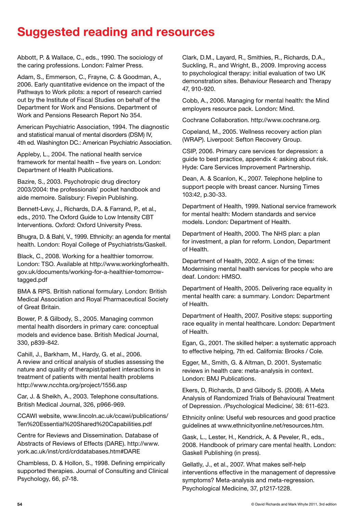## Suggested reading and resources

Abbott, P. & Wallace, C., eds., 1990. The sociology of the caring professions. London: Falmer Press.

Adam, S., Emmerson, C., Frayne, C. & Goodman, A., 2006. Early quantitative evidence on the impact of the Pathways to Work pilots: a report of research carried out by the Institute of Fiscal Studies on behalf of the Department for Work and Pensions. Department of Work and Pensions Research Report No 354.

American Psychiatric Association, 1994. The diagnostic and statistical manual of mental disorders (DSM) IV, 4th ed. Washington DC.: American Psychiatric Association.

Appleby, L., 2004. The national health service framework for mental health – five years on. London: Department of Health Publications.

Bazire, S., 2003. Psychotropic drug directory 2003/2004: the professionals' pocket handbook and aide memoire. Salisbury: Fivepin Publishing.

Bennett-Levy, J., Richards, D.A. & Farrand, P., et al., eds., 2010. The Oxford Guide to Low Intensity CBT Interventions. Oxford: Oxford University Press.

Bhugra, D. & Bahl, V., 1999. Ethnicity: an agenda for mental health. London: Royal College of Psychiatrists/Gaskell.

Black, C., 2008. Working for a healthier tomorrow. London: TSO. Available at http://www.workingforhealth. gov.uk/documents/working-for-a-healthier-tomorrowtagged.pdf

BMA & RPS. British national formulary. London: British Medical Association and Royal Pharmaceutical Society of Great Britain.

Bower, P. & Gilbody, S., 2005. Managing common mental health disorders in primary care: conceptual models and evidence base. British Medical Journal, 330, p839-842.

Cahill, J., Barkham, M., Hardy, G. et al., 2006. A review and critical analysis of studies assessing the nature and quality of therapist/patient interactions in treatment of patients with mental health problems http://www.ncchta.org/project/1556.asp

Car, J. & Sheikh, A., 2003. Telephone consultations. British Medical Journal, 326, p966-969.

CCAWI website, www.lincoln.ac.uk/ccawi/publications/ Ten%20Essential%20Shared%20Capabilities.pdf

Centre for Reviews and Dissemination. Database of Abstracts of Reviews of Effects (DARE). http://www. york.ac.uk/inst/crd/crddatabases.htm#DARE

Chambless, D. & Hollon, S., 1998. Defining empirically supported therapies. Journal of Consulting and Clinical Psychology, 66, p7-18.

Clark, D.M., Layard, R., Smithies, R., Richards, D.A., Suckling, R., and Wright, B., 2009. Improving access to psychological therapy: initial evaluation of two UK demonstration sites. Behaviour Research and Therapy 47, 910-920.

Cobb, A., 2006. Managing for mental health: the Mind employers resource pack. London: Mind.

Cochrane Collaboration. http://www.cochrane.org.

Copeland, M., 2005. Wellness recovery action plan (WRAP). Liverpool: Sefton Recovery Group.

CSIP, 2006. Primary care services for depression: a guide to best practice, appendix 4: asking about risk. Hyde: Care Services Improvement Partnership.

Dean, A. & Scanlon, K., 2007. Telephone helpline to support people with breast cancer. Nursing Times 103:42, p.30-33.

Department of Health, 1999. National service framework for mental health: Modern standards and service models. London: Department of Health.

Department of Health, 2000. The NHS plan: a plan for investment, a plan for reform. London, Department of Health.

Department of Health, 2002. A sign of the times: Modernising mental health services for people who are deaf. London: HMSO.

Department of Health, 2005. Delivering race equality in mental health care: a summary. London: Department of Health.

Department of Health, 2007. Positive steps: supporting race equality in mental healthcare. London: Department of Health.

Egan, G., 2001. The skilled helper: a systematic approach to effective helping, 7th ed. California: Brooks / Cole.

Egger, M., Smith, G. & Altman, D. 2001. Systematic reviews in health care: meta-analysis in context. London: BMJ Publications.

Ekers, D, Richards, D and Gilbody S. (2008). A Meta Analysis of Randomized Trials of Behavioural Treatment of Depression. /Psychological Medicine/, 38: 611-623.

Ethnicity online: Useful web resources and good practice guidelines at www.ethnicityonline.net/resources.htm.

Gask, L., Lester, H., Kendrick, A. & Peveler, R., eds., 2008. Handbook of primary care mental health. London: Gaskell Publishing (in press).

Gellatly, J., et al., 2007. What makes self-help interventions effective in the management of depressive symptoms? Meta-analysis and meta-regression. Psychological Medicine, 37, p1217-1228.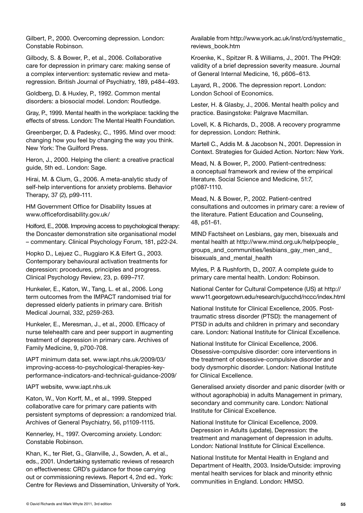Gilbert, P., 2000. Overcoming depression. London: Constable Robinson.

Gilbody, S. & Bower, P., et al., 2006. Collaborative care for depression in primary care: making sense of a complex intervention: systematic review and metaregression. British Journal of Psychiatry, 189, p484-493.

Goldberg, D. & Huxley, P., 1992. Common mental disorders: a biosocial model. London: Routledge.

Gray, P., 1999. Mental health in the workplace: tackling the effects of stress. London: The Mental Health Foundation.

Greenberger, D. & Padesky, C., 1995. Mind over mood: changing how you feel by changing the way you think. New York: The Guilford Press.

Heron, J., 2000. Helping the client: a creative practical guide, 5th ed.. London: Sage.

Hirai, M. & Clum, G., 2006. A meta-analytic study of self-help interventions for anxiety problems. Behavior Therapy, 37 (2), p99-111.

HM Government Office for Disability Issues at www.officefordisability.gov.uk/

Holford, E., 2008. Improving access to psychological therapy: the Doncaster demonstration site organisational model – commentary. Clinical Psychology Forum, 181, p22-24.

Hopko D., Lejuez C., Ruggiaro K.& Eifert G., 2003. Contemporary behavioural activation treatments for depression: procedures, principles and progress. Clinical Psychology Review, 23, p. 699–717.

Hunkeler, E., Katon, W., Tang, L. et al., 2006. Long term outcomes from the IMPACT randomised trial for depressed elderly patients in primary care. British Medical Journal, 332, p259-263.

Hunkeler, E., Meresman, J., et al., 2000. Efficacy of nurse telehealth care and peer support in augmenting treatment of depression in primary care. Archives of Family Medicine, 9, p700-708.

IAPT minimum data set. www.iapt.nhs.uk/2009/03/ improving-access-to-psychological-therapies-keyperformance-indicators-and-technical-guidance-2009/

IAPT website, www.iapt.nhs.uk

Katon, W., Von Korff, M., et al., 1999. Stepped collaborative care for primary care patients with persistent symptoms of depression: a randomized trial. Archives of General Psychiatry, 56, p1109-1115.

Kennerley, H., 1997. Overcoming anxiety. London: Constable Robinson.

Khan, K., ter Riet, G., Glanville, J., Sowden, A. et al., eds., 2001. Undertaking systematic reviews of research on effectiveness: CRD's guidance for those carrying out or commissioning reviews. Report 4, 2nd ed.. York: Centre for Reviews and Dissemination, University of York. Available from http://www.york.ac.uk/inst/crd/systematic\_ reviews\_book.htm

Kroenke, K., Spitzer R. & Williams, J., 2001. The PHQ9: validity of a brief depression severity measure. Journal of General Internal Medicine, 16, p606–613.

Layard, R., 2006. The depression report. London: London School of Economics.

Lester, H. & Glasby, J., 2006. Mental health policy and practice. Basingstoke: Palgrave Macmillan.

Lovell, K. & Richards, D., 2008. A recovery programme for depression. London: Rethink.

Martell C., Addis M. & Jacobson N., 2001. Depression in Context. Strategies for Guided Action. Norton: New York.

Mead, N. & Bower, P., 2000. Patient-centredness: a conceptual framework and review of the empirical literature. Social Science and Medicine, 51:7, p1087-1110.

Mead, N. & Bower, P., 2002. Patient-centred consultations and outcomes in primary care: a review of the literature. Patient Education and Counseling, 48, p51-61.

MIND Factsheet on Lesbians, gay men, bisexuals and mental health at http://www.mind.org.uk/help/people\_ groups\_and\_communities/lesbians\_gay\_men\_and\_ bisexuals and mental health

Myles, P. & Rushforth, D., 2007. A complete guide to primary care mental health. London: Robinson.

National Center for Cultural Competence (US) at http:// www11.georgetown.edu/research/gucchd/nccc/index.html

National Institute for Clinical Excellence, 2005. Posttraumatic stress disorder (PTSD): the management of PTSD in adults and children in primary and secondary care. London: National Institute for Clinical Excellence.

National Institute for Clinical Excellence, 2006. Obsessive-compulsive disorder: core interventions in the treatment of obsessive-compulsive disorder and body dysmorphic disorder. London: National Institute for Clinical Excellence.

Generalised anxiety disorder and panic disorder (with or without agoraphobia) in adults Management in primary, secondary and community care. London: National Institute for Clinical Excellence.

National Institute for Clinical Excellence, 2009. Depression in Adults (update), Depression: the treatment and management of depression in adults. London: National Institute for Clinical Excellence.

National Institute for Mental Health in England and Department of Health, 2003. Inside/Outside: improving mental health services for black and minority ethnic communities in England. London: HMSO.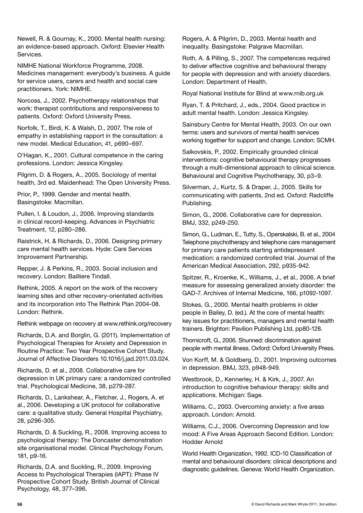Newell, R. & Gournay, K., 2000. Mental health nursing: an evidence-based approach. Oxford: Elsevier Health Services.

NIMHE National Workforce Programme, 2008. Medicines management: everybody's business. A guide for service users, carers and health and social care practitioners. York: NIMHE.

Norcoss, J., 2002. Psychotherapy relationships that work: therapist contributions and responsiveness to patients. Oxford: Oxford University Press.

Norfolk, T., Birdi, K. & Walsh, D., 2007. The role of empathy in establishing rapport in the consultation: a new model. Medical Education, 41, p690–697.

O'Hagan, K., 2001. Cultural competence in the caring professions. London: Jessica Kingsley.

Pilgrim, D. & Rogers, A., 2005. Sociology of mental health, 3rd ed. Maidenhead: The Open University Press.

Prior, P., 1999. Gender and mental health. Basingstoke: Macmillan.

Pullen, I. & Loudon, J., 2006. Improving standards in clinical record-keeping. Advances in Psychiatric Treatment, 12, p280–286.

Raistrick, H. & Richards, D., 2006. Designing primary care mental health services. Hyde: Care Services Improvement Partnership.

Repper, J. & Perkins, R., 2003. Social inclusion and recovery. London: Bailliere Tindall.

Rethink, 2005. A report on the work of the recovery learning sites and other recovery-orientated activities and its incorporation into The Rethink Plan 2004-08. London: Rethink.

Rethink webpage on recovery at www.rethink.org/recovery

Richards, D.A. and Borglin, G. (2011). Implementation of Psychological Therapies for Anxiety and Depression in Routine Practice: Two Year Prospective Cohort Study. Journal of Affective Disorders 10.1016/j.jad.2011.03.024.

Richards, D. et al., 2008. Collaborative care for depression in UK primary care: a randomized controlled trial. Psychological Medicine, 38, p279-287.

Richards, D., Lankshear, A., Fletcher, J., Rogers, A. et al., 2006. Developing a UK protocol for collaborative care: a qualitative study. General Hospital Psychiatry, 28, p296-305.

Richards, D. & Suckling, R., 2008. Improving access to psychological therapy: The Doncaster demonstration site organisational model. Clinical Psychology Forum, 181, p9-16.

Richards, D.A. and Suckling, R., 2009. Improving Access to Psychological Therapies (IAPT): Phase IV Prospective Cohort Study. British Journal of Clinical Psychology, 48, 377–396.

Rogers, A. & Pilgrim, D., 2003. Mental health and inequality. Basingstoke: Palgrave Macmillan.

Roth, A. & Pilling, S., 2007. The competences required to deliver effective cognitive and behavioural therapy for people with depression and with anxiety disorders. London: Department of Health.

Royal National Institute for Blind at www.rnib.org.uk

Ryan, T. & Pritchard, J., eds., 2004. Good practice in adult mental health. London: Jessica Kingsley.

Sainsbury Centre for Mental Health, 2003. On our own terms: users and survivors of mental health services working together for support and change. London: SCMH.

Salkovskis, P., 2002. Empirically grounded clinical interventions: cognitive behavioural therapy progresses through a multi-dimensional approach to clinical science. Behavioural and Cognitive Psychotherapy, 30, p3–9.

Silverman, J., Kurtz, S. & Draper, J., 2005. Skills for communicating with patients, 2nd ed. Oxford: Radcliffe Publishing.

Simon, G., 2006. Collaborative care for depression. BMJ, 332, p249-250.

Simon, G., Ludman, E., Tutty, S., Operskalski, B. et al., 2004 Telephone psychotherapy and telephone care management for primary care patients starting antidepressant medication: a randomized controlled trial. Journal of the American Medical Association, 292, p935-942.

Spitzer, R., Kroenke, K., Williams, J., et al., 2006. A brief measure for assessing generalized anxiety disorder: the GAD-7. Archives of Internal Medicine, 166, p1092-1097.

Stokes, G., 2000. Mental health problems in older people in Bailey, D. (ed.). At the core of mental health: key issues for practitioners, managers and mental health trainers. Brighton: Pavilion Publishing Ltd, pp80-128.

Thornicroft, G., 2006. Shunned: discrimination against people with mental illness. Oxford: Oxford University Press.

Von Korff, M. & Goldberg, D., 2001. Improving outcomes in depression. BMJ, 323, p948-949.

Westbrook, D., Kennerley, H. & Kirk, J., 2007. An introduction to cognitive behaviour therapy: skills and applications. Michigan: Sage.

Williams, C., 2003. Overcoming anxiety: a five areas approach. London: Arnold.

Williams, C.J., 2006. Overcoming Depression and low mood: A Five Areas Approach Second Edition. London: Hodder Arnold

World Health Organization, 1992. ICD-10 Classification of mental and behavioural disorders: clinical descriptions and diagnostic guidelines. Geneva: World Health Organization.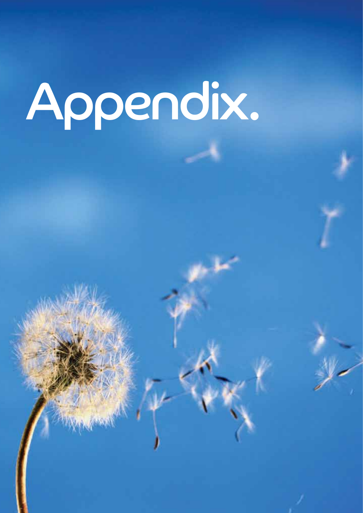# Appendix.

© David Richards and Mark Whyte 2011, 3rd edition 57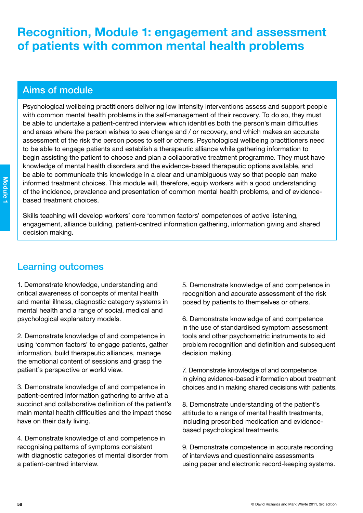## Recognition, Module 1: engagement and assessment of patients with common mental health problems

## Aims of module

Psychological wellbeing practitioners delivering low intensity interventions assess and support people with common mental health problems in the self-management of their recovery. To do so, they must be able to undertake a patient-centred interview which identifies both the person's main difficulties and areas where the person wishes to see change and / or recovery, and which makes an accurate assessment of the risk the person poses to self or others. Psychological wellbeing practitioners need to be able to engage patients and establish a therapeutic alliance while gathering information to begin assisting the patient to choose and plan a collaborative treatment programme. They must have knowledge of mental health disorders and the evidence-based therapeutic options available, and be able to communicate this knowledge in a clear and unambiguous way so that people can make informed treatment choices. This module will, therefore, equip workers with a good understanding of the incidence, prevalence and presentation of common mental health problems, and of evidencebased treatment choices.

Skills teaching will develop workers' core 'common factors' competences of active listening, engagement, alliance building, patient-centred information gathering, information giving and shared decision making.

## Learning outcomes

1. Demonstrate knowledge, understanding and critical awareness of concepts of mental health and mental illness, diagnostic category systems in mental health and a range of social, medical and psychological explanatory models.

2. Demonstrate knowledge of and competence in using 'common factors' to engage patients, gather information, build therapeutic alliances, manage the emotional content of sessions and grasp the patient's perspective or world view.

3. Demonstrate knowledge of and competence in patient-centred information gathering to arrive at a succinct and collaborative definition of the patient's main mental health difficulties and the impact these have on their daily living.

4. Demonstrate knowledge of and competence in recognising patterns of symptoms consistent with diagnostic categories of mental disorder from a patient-centred interview.

5. Demonstrate knowledge of and competence in recognition and accurate assessment of the risk posed by patients to themselves or others.

6. Demonstrate knowledge of and competence in the use of standardised symptom assessment tools and other psychometric instruments to aid problem recognition and definition and subsequent decision making.

7. Demonstrate knowledge of and competence in giving evidence-based information about treatment choices and in making shared decisions with patients.

8. Demonstrate understanding of the patient's attitude to a range of mental health treatments, including prescribed medication and evidencebased psychological treatments.

9. Demonstrate competence in accurate recording of interviews and questionnaire assessments using paper and electronic record-keeping systems.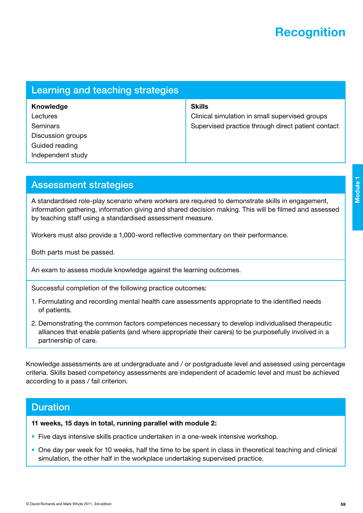## **Recognition**

| <b>Learning and teaching strategies</b> |                                                    |
|-----------------------------------------|----------------------------------------------------|
| <b>Knowledge</b>                        | <b>Skills</b>                                      |
| Lectures                                | Clinical simulation in small supervised groups     |
| <b>Seminars</b>                         | Supervised practice through direct patient contact |
| Discussion groups                       |                                                    |
| Guided reading                          |                                                    |
| Independent study                       |                                                    |

## Assessment strategies

A standardised role-play scenario where workers are required to demonstrate skills in engagement, information gathering, information giving and shared decision making. This will be filmed and assessed by teaching staff using a standardised assessment measure.

Workers must also provide a 1,000-word reflective commentary on their performance.

Both parts must be passed.

An exam to assess module knowledge against the learning outcomes.

Successful completion of the following practice outcomes:

- 1. Formulating and recording mental health care assessments appropriate to the identified needs of patients.
- 2. Demonstrating the common factors competences necessary to develop individualised therapeutic alliances that enable patients (and where appropriate their carers) to be purposefully involved in a partnership of care.

Knowledge assessments are at undergraduate and / or postgraduate level and assessed using percentage criteria. Skills based competency assessments are independent of academic level and must be achieved according to a pass / fail criterion.

## **Duration**

#### 11 weeks, 15 days in total, running parallel with module 2:

- Five days intensive skills practice undertaken in a one-week intensive workshop.
- One day per week for 10 weeks, half the time to be spent in class in theoretical teaching and clinical simulation, the other half in the workplace undertaking supervised practice.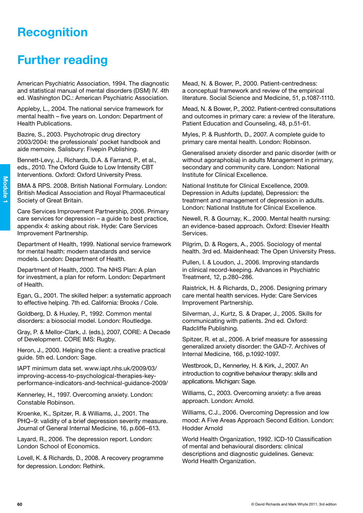## **Recognition**

## Further reading

American Psychiatric Association, 1994. The diagnostic and statistical manual of mental disorders (DSM) IV. 4th ed. Washington DC.: American Psychiatric Association.

Appleby, L., 2004. The national service framework for mental health – five years on. London: Department of Health Publications.

Bazire, S., 2003. Psychotropic drug directory 2003/2004: the professionals' pocket handbook and aide memoire. Salisbury: Fivepin Publishing.

Bennett-Levy, J., Richards, D.A. & Farrand, P., et al., eds., 2010. The Oxford Guide to Low Intensity CBT Interventions. Oxford: Oxford University Press.

BMA & RPS. 2008. British National Formulary. London: British Medical Association and Royal Pharmaceutical Society of Great Britain.

Care Services Improvement Partnership, 2006. Primary care services for depression – a guide to best practice, appendix 4: asking about risk. Hyde: Care Services Improvement Partnership.

Department of Health, 1999. National service framework for mental health: modern standards and service models. London: Department of Health.

Department of Health, 2000. The NHS Plan: A plan for investment, a plan for reform. London: Department of Health.

Egan, G., 2001. The skilled helper: a systematic approach to effective helping. 7th ed. California: Brooks / Cole.

Goldberg, D. & Huxley, P., 1992. Common mental disorders: a biosocial model. London: Routledge.

Gray, P. & Mellor-Clark, J. (eds.), 2007, CORE: A Decade of Development. CORE IMS: Rugby.

Heron, J., 2000. Helping the client: a creative practical guide. 5th ed. London: Sage.

IAPT minimum data set. www.iapt.nhs.uk/2009/03/ improving-access-to-psychological-therapies-keyperformance-indicators-and-technical-guidance-2009/

Kennerley, H., 1997. Overcoming anxiety. London: Constable Robinson.

Kroenke, K., Spitzer, R. & Williams, J., 2001. The PHQ–9: validity of a brief depression severity measure. Journal of General Internal Medicine, 16, p.606–613.

Layard, R., 2006. The depression report. London: London School of Economics.

Lovell, K. & Richards, D., 2008. A recovery programme for depression. London: Rethink.

Mead, N. & Bower, P., 2000. Patient-centredness: a conceptual framework and review of the empirical literature. Social Science and Medicine, 51, p.1087-1110.

Mead, N. & Bower, P., 2002. Patient-centred consultations and outcomes in primary care: a review of the literature. Patient Education and Counseling, 48, p.51-61.

Myles, P. & Rushforth, D., 2007. A complete guide to primary care mental health. London: Robinson.

Generalised anxiety disorder and panic disorder (with or without agoraphobia) in adults Management in primary, secondary and community care. London: National Institute for Clinical Excellence.

National Institute for Clinical Excellence, 2009. Depression in Adults (update), Depression: the treatment and management of depression in adults. London: National Institute for Clinical Excellence.

Newell, R. & Gournay, K., 2000. Mental health nursing: an evidence-based approach. Oxford: Elsevier Health Services.

Pilgrim, D. & Rogers, A., 2005. Sociology of mental health. 3rd ed. Maidenhead: The Open University Press.

Pullen, I. & Loudon, J., 2006. Improving standards in clinical record-keeping. Advances in Psychiatric Treatment, 12, p.280–286.

Raistrick, H. & Richards, D., 2006. Designing primary care mental health services. Hyde: Care Services Improvement Partnership.

Silverman, J., Kurtz, S. & Draper, J., 2005. Skills for communicating with patients. 2nd ed. Oxford: Radcliffe Publishing.

Spitzer, R. et al., 2006. A brief measure for assessing generalized anxiety disorder: the GAD-7. Archives of Internal Medicine, 166, p.1092-1097.

Westbrook, D., Kennerley, H. & Kirk, J., 2007. An introduction to cognitive behaviour therapy: skills and applications. Michigan: Sage.

Williams, C., 2003. Overcoming anxiety: a five areas approach. London: Arnold.

Williams, C.J., 2006. Overcoming Depression and low mood: A Five Areas Approach Second Edition. London: Hodder Arnold

World Health Organization, 1992. ICD-10 Classification of mental and behavioural disorders: clinical descriptions and diagnostic guidelines. Geneva: World Health Organization.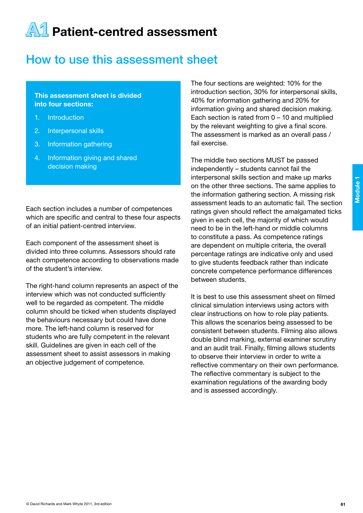# **A1** Patient-centred assessment

## How to use this assessment sheet

#### This assessment sheet is divided into four sections:

- 1. Introduction
- 2. Interpersonal skills
- 3. Information gathering
- 4. Information giving and shared decision making

Each section includes a number of competences which are specific and central to these four aspects of an initial patient-centred interview.

Each component of the assessment sheet is divided into three columns. Assessors should rate each competence according to observations made of the student's interview.

The right-hand column represents an aspect of the interview which was not conducted sufficiently well to be regarded as competent. The middle column should be ticked when students displayed the behaviours necessary but could have done more. The left-hand column is reserved for students who are fully competent in the relevant skill. Guidelines are given in each cell of the assessment sheet to assist assessors in making an objective judgement of competence.

The four sections are weighted: 10% for the introduction section, 30% for interpersonal skills, 40% for information gathering and 20% for information giving and shared decision making. Each section is rated from  $0 - 10$  and multiplied by the relevant weighting to give a final score. The assessment is marked as an overall pass / fail exercise.

The middle two sections MUST be passed independently – students cannot fail the interpersonal skills section and make up marks on the other three sections. The same applies to the information gathering section. A missing risk assessment leads to an automatic fail. The section ratings given should reflect the amalgamated ticks given in each cell, the majority of which would need to be in the left-hand or middle columns to constitute a pass. As competence ratings are dependent on multiple criteria, the overall percentage ratings are indicative only and used to give students feedback rather than indicate concrete competence performance differences between students.

It is best to use this assessment sheet on filmed clinical simulation interviews using actors with clear instructions on how to role play patients. This allows the scenarios being assessed to be consistent between students. Filming also allows double blind marking, external examiner scrutiny and an audit trail. Finally, filming allows students to observe their interview in order to write a reflective commentary on their own performance. The reflective commentary is subject to the examination regulations of the awarding body and is assessed accordingly.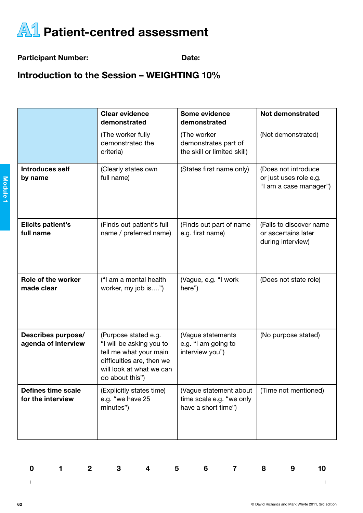

Participant Number: Date:

## Introduction to the Session – WEIGHTING 10%

|                                           | <b>Clear evidence</b><br>demonstrated                                                                                                                  | Some evidence<br>demonstrated                                             | <b>Not demonstrated</b>                                                 |
|-------------------------------------------|--------------------------------------------------------------------------------------------------------------------------------------------------------|---------------------------------------------------------------------------|-------------------------------------------------------------------------|
|                                           | (The worker fully<br>demonstrated the<br>criteria)                                                                                                     | (The worker<br>demonstrates part of<br>the skill or limited skill)        | (Not demonstrated)                                                      |
| <b>Introduces self</b><br>by name         | (Clearly states own<br>full name)                                                                                                                      | (States first name only)                                                  | (Does not introduce<br>or just uses role e.g.<br>"I am a case manager") |
| <b>Elicits patient's</b><br>full name     | (Finds out patient's full<br>name / preferred name)                                                                                                    | (Finds out part of name<br>e.g. first name)                               | (Fails to discover name<br>or ascertains later<br>during interview)     |
| <b>Role of the worker</b><br>made clear   | ("I am a mental health<br>worker, my job is")                                                                                                          | (Vague, e.g. "I work<br>here")                                            | (Does not state role)                                                   |
| Describes purpose/<br>agenda of interview | (Purpose stated e.g.<br>"I will be asking you to<br>tell me what your main<br>difficulties are, then we<br>will look at what we can<br>do about this") | (Vague statements<br>e.g. "I am going to<br>interview you")               | (No purpose stated)                                                     |
| Defines time scale<br>for the interview   | (Explicitly states time)<br>e.g. "we have 25<br>minutes")                                                                                              | (Vague statement about<br>time scale e.g. "we only<br>have a short time") | (Time not mentioned)                                                    |

|  |  |  | 0 1 2 3 4 5 6 7 8 9 10 |  |  |
|--|--|--|------------------------|--|--|
|  |  |  |                        |  |  |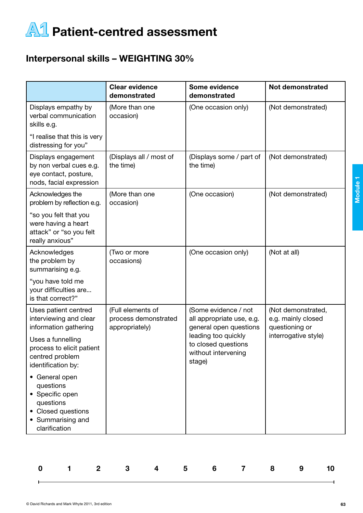

## Interpersonal skills – WEIGHTING 30%

|                                                                                                                         | <b>Clear evidence</b><br>demonstrated                       | Some evidence<br>demonstrated                                               | <b>Not demonstrated</b>                                    |
|-------------------------------------------------------------------------------------------------------------------------|-------------------------------------------------------------|-----------------------------------------------------------------------------|------------------------------------------------------------|
| Displays empathy by<br>verbal communication<br>skills e.g.                                                              | (More than one<br>occasion)                                 | (One occasion only)                                                         | (Not demonstrated)                                         |
| "I realise that this is very<br>distressing for you"                                                                    |                                                             |                                                                             |                                                            |
| Displays engagement<br>by non verbal cues e.g.<br>eye contact, posture,<br>nods, facial expression                      | (Displays all / most of<br>the time)                        | (Displays some / part of<br>the time)                                       | (Not demonstrated)                                         |
| Acknowledges the<br>problem by reflection e.g.                                                                          | (More than one<br>occasion)                                 | (One occasion)                                                              | (Not demonstrated)                                         |
| "so you felt that you<br>were having a heart<br>attack" or "so you felt<br>really anxious"                              |                                                             |                                                                             |                                                            |
| Acknowledges<br>the problem by<br>summarising e.g.                                                                      | (Two or more<br>occasions)                                  | (One occasion only)                                                         | (Not at all)                                               |
| "you have told me<br>your difficulties are<br>is that correct?"                                                         |                                                             |                                                                             |                                                            |
| Uses patient centred<br>interviewing and clear<br>information gathering                                                 | (Full elements of<br>process demonstrated<br>appropriately) | (Some evidence / not<br>all appropriate use, e.g.<br>general open questions | (Not demonstrated,<br>e.g. mainly closed<br>questioning or |
| Uses a funnelling<br>process to elicit patient<br>centred problem<br>identification by:                                 |                                                             | leading too quickly<br>to closed questions<br>without intervening<br>stage) | interrogative style)                                       |
| • General open<br>questions<br>• Specific open<br>questions<br>• Closed questions<br>• Summarising and<br>clarification |                                                             |                                                                             |                                                            |

|  |  | 0 1 2 3 4 5 6 7 8 9 10 |  |  |  |
|--|--|------------------------|--|--|--|
|  |  |                        |  |  |  |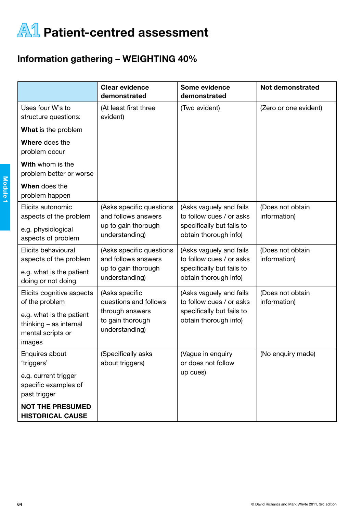

## Information gathering – WEIGHTING 40%

|                                                                                   | <b>Clear evidence</b><br>demonstrated                 | Some evidence<br>demonstrated                       | <b>Not demonstrated</b>          |
|-----------------------------------------------------------------------------------|-------------------------------------------------------|-----------------------------------------------------|----------------------------------|
| Uses four W's to<br>structure questions:                                          | (At least first three<br>evident)                     | (Two evident)                                       | (Zero or one evident)            |
| What is the problem                                                               |                                                       |                                                     |                                  |
| Where does the<br>problem occur                                                   |                                                       |                                                     |                                  |
| With whom is the<br>problem better or worse                                       |                                                       |                                                     |                                  |
| When does the<br>problem happen                                                   |                                                       |                                                     |                                  |
| Elicits autonomic<br>aspects of the problem                                       | (Asks specific questions<br>and follows answers       | (Asks vaguely and fails<br>to follow cues / or asks | (Does not obtain<br>information) |
| e.g. physiological<br>aspects of problem                                          | up to gain thorough<br>understanding)                 | specifically but fails to<br>obtain thorough info)  |                                  |
| Elicits behavioural<br>aspects of the problem                                     | (Asks specific questions<br>and follows answers       | (Asks vaguely and fails<br>to follow cues / or asks | (Does not obtain<br>information) |
| e.g. what is the patient<br>doing or not doing                                    | up to gain thorough<br>understanding)                 | specifically but fails to<br>obtain thorough info)  |                                  |
| Elicits cognitive aspects<br>of the problem                                       | (Asks specific<br>questions and follows               | (Asks vaguely and fails<br>to follow cues / or asks | (Does not obtain<br>information) |
| e.g. what is the patient<br>thinking - as internal<br>mental scripts or<br>images | through answers<br>to gain thorough<br>understanding) | specifically but fails to<br>obtain thorough info)  |                                  |
| Enquires about<br>'triggers'                                                      | (Specifically asks<br>about triggers)                 | (Vague in enquiry<br>or does not follow             | (No enquiry made)                |
| e.g. current trigger<br>specific examples of<br>past trigger                      |                                                       | up cues)                                            |                                  |
| <b>NOT THE PRESUMED</b><br><b>HISTORICAL CAUSE</b>                                |                                                       |                                                     |                                  |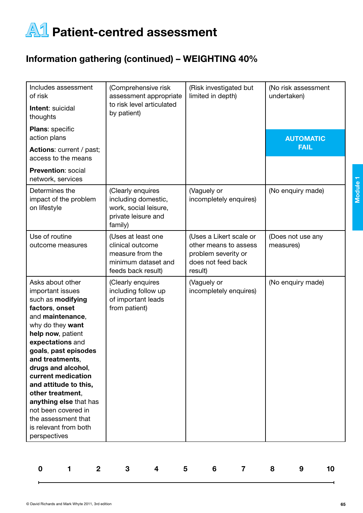

## Information gathering (continued) – WEIGHTING 40%

| Includes assessment<br>of risk<br><b>Intent: suicidal</b><br>thoughts<br><b>Plans: specific</b><br>action plans<br>Actions: current / past;<br>access to the means                                                                                                                                                                                                                                                | (Comprehensive risk<br>assessment appropriate<br>to risk level articulated<br>by patient)               | (Risk investigated but<br>limited in depth)                                                              | (No risk assessment<br>undertaken)<br><b>AUTOMATIC</b><br><b>FAIL</b> |
|-------------------------------------------------------------------------------------------------------------------------------------------------------------------------------------------------------------------------------------------------------------------------------------------------------------------------------------------------------------------------------------------------------------------|---------------------------------------------------------------------------------------------------------|----------------------------------------------------------------------------------------------------------|-----------------------------------------------------------------------|
| <b>Prevention: social</b><br>network, services                                                                                                                                                                                                                                                                                                                                                                    |                                                                                                         |                                                                                                          |                                                                       |
| Determines the<br>impact of the problem<br>on lifestyle                                                                                                                                                                                                                                                                                                                                                           | (Clearly enquires<br>including domestic,<br>work, social leisure,<br>private leisure and<br>family)     | (Vaguely or<br>incompletely enquires)                                                                    | (No enquiry made)                                                     |
| Use of routine<br>outcome measures                                                                                                                                                                                                                                                                                                                                                                                | (Uses at least one<br>clinical outcome<br>measure from the<br>minimum dataset and<br>feeds back result) | (Uses a Likert scale or<br>other means to assess<br>problem severity or<br>does not feed back<br>result) | (Does not use any<br>measures)                                        |
| Asks about other<br>important issues<br>such as modifying<br>factors, onset<br>and maintenance,<br>why do they want<br>help now, patient<br>expectations and<br>goals, past episodes<br>and treatments,<br>drugs and alcohol,<br>current medication<br>and attitude to this,<br>other treatment,<br>anything else that has<br>not been covered in<br>the assessment that<br>is relevant from both<br>perspectives | (Clearly enquires<br>including follow up<br>of important leads<br>from patient)                         | (Vaguely or<br>incompletely enquires)                                                                    | (No enquiry made)                                                     |

|  |  | 0 1 2 3 4 5 6 7 8 9 10 |  |  |  |
|--|--|------------------------|--|--|--|
|  |  |                        |  |  |  |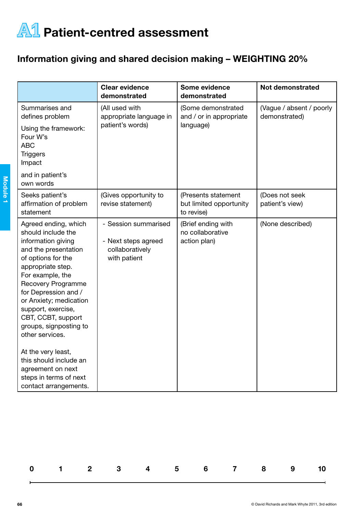

## Information giving and shared decision making – WEIGHTING 20%

|                                                                                                                                                                                                                                                                                                                                                                                                                                                  | <b>Clear evidence</b><br>demonstrated                                          | Some evidence<br>demonstrated                                | <b>Not demonstrated</b>                   |
|--------------------------------------------------------------------------------------------------------------------------------------------------------------------------------------------------------------------------------------------------------------------------------------------------------------------------------------------------------------------------------------------------------------------------------------------------|--------------------------------------------------------------------------------|--------------------------------------------------------------|-------------------------------------------|
| Summarises and<br>defines problem<br>Using the framework:<br>Four W's<br><b>ABC</b><br><b>Triggers</b><br>Impact<br>and in patient's<br>own words                                                                                                                                                                                                                                                                                                | (All used with<br>appropriate language in<br>patient's words)                  | (Some demonstrated<br>and / or in appropriate<br>language)   | (Vague / absent / poorly<br>demonstrated) |
| Seeks patient's<br>affirmation of problem<br>statement                                                                                                                                                                                                                                                                                                                                                                                           | (Gives opportunity to<br>revise statement)                                     | (Presents statement<br>but limited opportunity<br>to revise) | (Does not seek<br>patient's view)         |
| Agreed ending, which<br>should include the<br>information giving<br>and the presentation<br>of options for the<br>appropriate step.<br>For example, the<br>Recovery Programme<br>for Depression and /<br>or Anxiety; medication<br>support, exercise,<br>CBT, CCBT, support<br>groups, signposting to<br>other services.<br>At the very least,<br>this should include an<br>agreement on next<br>steps in terms of next<br>contact arrangements. | - Session summarised<br>- Next steps agreed<br>collaboratively<br>with patient | (Brief ending with<br>no collaborative<br>action plan)       | (None described)                          |

|  |  |  | 0 1 2 3 4 5 6 7 8 9 10 |  |  |
|--|--|--|------------------------|--|--|
|  |  |  |                        |  |  |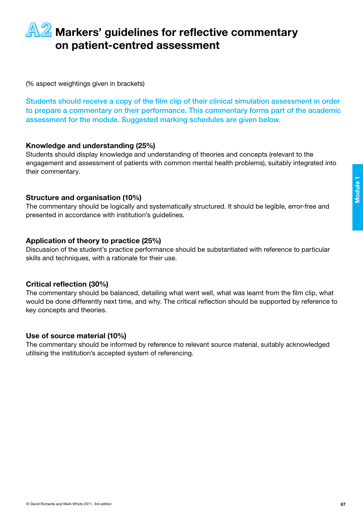## **A2** Markers' guidelines for reflective commentary on patient-centred assessment

(% aspect weightings given in brackets)

Students should receive a copy of the film clip of their clinical simulation assessment in order to prepare a commentary on their performance. This commentary forms part of the academic assessment for the module. Suggested marking schedules are given below.

#### Knowledge and understanding (25%)

Students should display knowledge and understanding of theories and concepts (relevant to the engagement and assessment of patients with common mental health problems), suitably integrated into their commentary.

## Structure and organisation (10%)

The commentary should be logically and systematically structured. It should be legible, error-free and presented in accordance with institution's guidelines.

## Application of theory to practice (25%)

Discussion of the student's practice performance should be substantiated with reference to particular skills and techniques, with a rationale for their use.

## Critical reflection (30%)

The commentary should be balanced, detailing what went well, what was learnt from the film clip, what would be done differently next time, and why. The critical reflection should be supported by reference to key concepts and theories.

## Use of source material (10%)

The commentary should be informed by reference to relevant source material, suitably acknowledged utilising the institution's accepted system of referencing.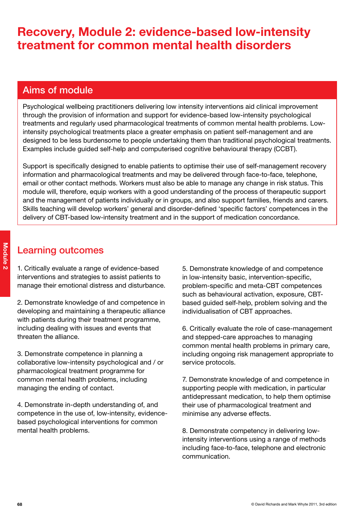## Recovery, Module 2: evidence-based low-intensity treatment for common mental health disorders

## Aims of module

Psychological wellbeing practitioners delivering low intensity interventions aid clinical improvement through the provision of information and support for evidence-based low-intensity psychological treatments and regularly used pharmacological treatments of common mental health problems. Lowintensity psychological treatments place a greater emphasis on patient self-management and are designed to be less burdensome to people undertaking them than traditional psychological treatments. Examples include guided self-help and computerised cognitive behavioural therapy (CCBT).

Support is specifically designed to enable patients to optimise their use of self-management recovery information and pharmacological treatments and may be delivered through face-to-face, telephone, email or other contact methods. Workers must also be able to manage any change in risk status. This module will, therefore, equip workers with a good understanding of the process of therapeutic support and the management of patients individually or in groups, and also support families, friends and carers. Skills teaching will develop workers' general and disorder-defined 'specific factors' competences in the delivery of CBT-based low-intensity treatment and in the support of medication concordance.

## Learning outcomes

1. Critically evaluate a range of evidence-based interventions and strategies to assist patients to manage their emotional distress and disturbance.

2. Demonstrate knowledge of and competence in developing and maintaining a therapeutic alliance with patients during their treatment programme, including dealing with issues and events that threaten the alliance.

3. Demonstrate competence in planning a collaborative low-intensity psychological and / or pharmacological treatment programme for common mental health problems, including managing the ending of contact.

4. Demonstrate in-depth understanding of, and competence in the use of, low-intensity, evidencebased psychological interventions for common mental health problems.

5. Demonstrate knowledge of and competence in low-intensity basic, intervention-specific, problem-specific and meta-CBT competences such as behavioural activation, exposure, CBTbased guided self-help, problem solving and the individualisation of CBT approaches.

6. Critically evaluate the role of case-management and stepped-care approaches to managing common mental health problems in primary care, including ongoing risk management appropriate to service protocols.

7. Demonstrate knowledge of and competence in supporting people with medication, in particular antidepressant medication, to help them optimise their use of pharmacological treatment and minimise any adverse effects.

8. Demonstrate competency in delivering lowintensity interventions using a range of methods including face-to-face, telephone and electronic communication.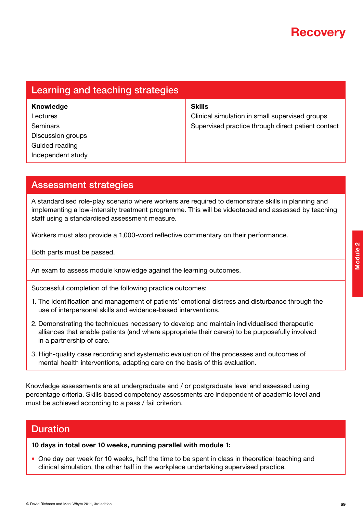

| Learning and teaching strategies |                                                    |  |  |  |  |
|----------------------------------|----------------------------------------------------|--|--|--|--|
| Knowledge                        | <b>Skills</b>                                      |  |  |  |  |
| Lectures                         | Clinical simulation in small supervised groups     |  |  |  |  |
| Seminars                         | Supervised practice through direct patient contact |  |  |  |  |
| Discussion groups                |                                                    |  |  |  |  |
| Guided reading                   |                                                    |  |  |  |  |
| Independent study                |                                                    |  |  |  |  |

## Assessment strategies

A standardised role-play scenario where workers are required to demonstrate skills in planning and implementing a low-intensity treatment programme. This will be videotaped and assessed by teaching staff using a standardised assessment measure.

Workers must also provide a 1,000-word reflective commentary on their performance.

Both parts must be passed.

An exam to assess module knowledge against the learning outcomes.

Successful completion of the following practice outcomes:

- 1. The identification and management of patients' emotional distress and disturbance through the use of interpersonal skills and evidence-based interventions.
- 2. Demonstrating the techniques necessary to develop and maintain individualised therapeutic alliances that enable patients (and where appropriate their carers) to be purposefully involved in a partnership of care.
- 3. High-quality case recording and systematic evaluation of the processes and outcomes of mental health interventions, adapting care on the basis of this evaluation.

Knowledge assessments are at undergraduate and / or postgraduate level and assessed using percentage criteria. Skills based competency assessments are independent of academic level and must be achieved according to a pass / fail criterion.

## **Duration**

10 days in total over 10 weeks, running parallel with module 1:

• One day per week for 10 weeks, half the time to be spent in class in theoretical teaching and clinical simulation, the other half in the workplace undertaking supervised practice.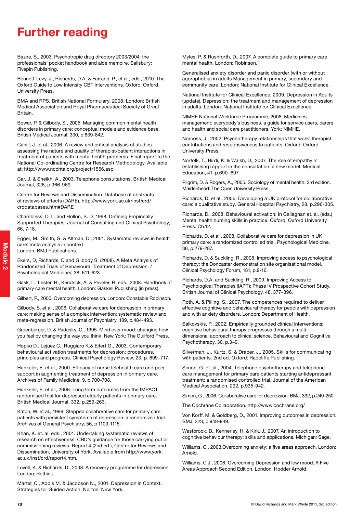## Further reading

Bazire, S., 2003. Psychotropic drug directory 2003/2004: the professionals' pocket handbook and aide memoire. Salisbury: Fivepin Publishing.

Bennett-Levy, J., Richards, D.A. & Farrand, P., et al., eds., 2010. The Oxford Guide to Low Intensity CBT Interventions. Oxford: Oxford University Press.

BMA and RPS. British National Formulary. 2008. London: British Medical Association and Royal Pharmaceutical Society of Great **Britain** 

Bower, P. & Gilbody, S., 2005. Managing common mental health disorders in primary care: conceptual models and evidence base. British Medical Journal, 330, p.839-842.

Cahill, J. et al., 2006. A review and critical analysis of studies assessing the nature and quality of therapist/patient interactions in treatment of patients with mental health problems. Final report to the National Co-ordinating Centre for Research Methodology. Available at: http://www.ncchta.org/project/1556.asp

Car, J. & Sheikh, A., 2003. Telephone consultations. British Medical Journal, 326, p.966-969.

Centre for Reviews and Dissemination. Database of abstracts of reviews of effects (DARE). http://www.york.ac.uk/inst/crd/ crddatabases.htm#DARE

Chambless, D. L. and Hollon, S. D. 1998. Defining Empirically Supported Therapies. Journal of Consulting and Clinical Psychology, 66, 7-18.

Egger, M., Smith, G. & Altman, D., 2001. Systematic reviews in health care: meta analysis in context. London: BMJ Publications.

Ekers, D, Richards, D and Gilbody S. (2008). A Meta Analysis of Randomized Trials of Behavioural Treatment of Depression. / Psychological Medicine/, 38: 611-623.

Gask, L., Lester, H., Kendrick, A. & Peveler, R. eds., 2008. Handbook of primary care mental health. London: Gaskell Publishing (in press).

Gilbert, P., 2000. Overcoming depression. London: Constable Robinson.

Gilbody, S. et al., 2006. Collaborative care for depression in primary care: making sense of a complex intervention: systematic review and meta-regression. British Journal of Psychiatry, 189, p.484-493.

Greenberger, D. & Padesky, C., 1995. Mind over mood: changing how you feel by changing the way you think. New York: The Guilford Press.

Hopko D., Lejuez C., Ruggiaro K.& Eifert G., 2003. Contemporary behavioural activation treatments for depression: procedures, principles and progress. Clinical Psychology Review, 23, p. 699–717.

Hunkeler, E. et al., 2000. Efficacy of nurse telehealth care and peer support in augmenting treatment of depression in primary care. Archives of Family Medicine, 9, p.700-708.

Hunkeler, E. et al., 2006. Long term outcomes from the IMPACT randomised trial for depressed elderly patients in primary care. British Medical Journal, 332, p.259-263.

Katon, W. et al., 1999. Stepped collaborative care for primary care patients with persistent symptoms of depression: a randomized trial. Archives of General Psychiatry, 56, p.1109-1115.

Khan, K. et. al. eds., 2001. Undertaking systematic reviews of research on effectiveness: CRD's guidance for those carrying out or commissioning reviews. Report 4 (2nd ed.), Centre for Reviews and Dissemination, University of York. Available from http://www.york. ac.uk/inst/crd/report4.htm.

Lovell, K. & Richards, D., 2008. A recovery programme for depression. London: Rethink.

Martell C., Addis M. & Jacobson N., 2001. Depression in Context. Strategies for Guided Action. Norton: New York.

Myles, P. & Rushforth, D., 2007. A complete guide to primary care mental health. London: Robinson.

Generalised anxiety disorder and panic disorder (with or without agoraphobia) in adults Management in primary, secondary and community care. London: National Institute for Clinical Excellence.

National Institute for Clinical Excellence, 2009. Depression in Adults (update), Depression: the treatment and management of depression in adults. London: National Institute for Clinical Excellence.

NIMHE National Workforce Programme, 2008. Medicines management: everybody's business. a guide for service users, carers and health and social care practitioners. York: NIMHE.

Norcoss, J., 2002. Psychotherapy relationships that work: therapist contributions and responsiveness to patients. Oxford: Oxford University Press.

Norfolk, T., Birdi, K. & Walsh, D., 2007. The role of empathy in establishing rapport in the consultation: a new model. Medical Education, 41, p.690–697.

Pilgrim, D. & Rogers, A., 2005. Sociology of mental health. 3rd edition. Maidenhead: The Open University Press.

Richards, D. et al., 2006. Developing a UK protocol for collaborative care: a qualitative study. General Hospital Psychiatry, 28, p.296-305.

Richards, D., 2008. Behavioural activation. In Callaghan et. al. (eds.) Mental health nursing skills in practice. Oxford: Oxford University Press. Ch.12.

Richards, D. et al., 2008. Collaborative care for depression in UK primary care: a randomized controlled trial. Psychological Medicine, 38, p.279-287.

Richards, D. & Suckling, R., 2008. Improving access to psychological therapy: the Doncaster demonstration site organisational model. Clinical Psychology Forum, 181, p.9-16.

Richards, D.A. and Suckling, R., 2009. Improving Access to Psychological Therapies (IAPT): Phase IV Prospective Cohort Study. British Journal of Clinical Psychology, 48, 377–396.

Roth, A. & Pilling, S., 2007. The competences required to deliver effective cognitive and behavioural therapy for people with depression and with anxiety disorders. London: Department of Health.

Salkovskis, P., 2002. Empirically grounded clinical interventions: cognitive behavioural therapy progresses through a multidimensional approach to clinical science. Behavioural and Cognitive Psychotherapy, 30, p.3–9.

Silverman, J., Kurtz, S. & Draper, J., 2005. Skills for communicating with patients. 2nd ed. Oxford: Radcliffe Publishing.

Simon, G. et. al., 2004. Telephone psychotherapy and telephone care management for primary care patients starting antidepressant treatment: a randomised controlled trial. Journal of the American Medical Association, 292, p.935-942.

Simon, G., 2006. Collaborative care for depression. BMJ, 332, p.249-250.

The Cochrane Collaboration. http://www.cochrane.org/

Von Korff, M. & Goldberg, D., 2001. Improving outcomes in depression. BMJ, 323, p.948-949.

Westbrook, D., Kennerley, H. & Kirk, J., 2007. An introduction to cognitive behaviour therapy: skills and applications. Michigan: Sage.

Williams, C., 2003.Overcoming anxiety: a five areas approach. London: Arnold.

Williams, C.J., 2006. Overcoming Depression and low mood: A Five Areas Approach Second Edition. London: Hodder Arnold.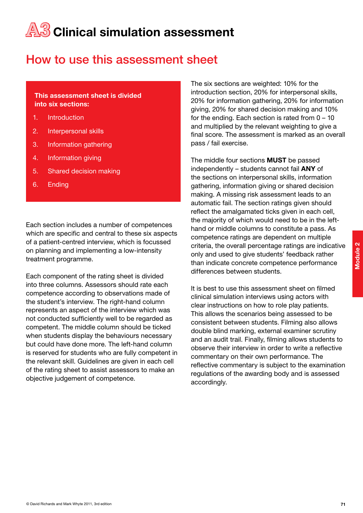# A3<sup>8</sup> Clinical simulation assessment

## How to use this assessment sheet

#### This assessment sheet is divided into six sections:

- 1. Introduction
- 2. Interpersonal skills
- 3. Information gathering
- 4. Information giving
- 5. Shared decision making
- 6. Ending

Each section includes a number of competences which are specific and central to these six aspects of a patient-centred interview, which is focussed on planning and implementing a low-intensity treatment programme.

Each component of the rating sheet is divided into three columns. Assessors should rate each competence according to observations made of the student's interview. The right-hand column represents an aspect of the interview which was not conducted sufficiently well to be regarded as competent. The middle column should be ticked when students display the behaviours necessary but could have done more. The left-hand column is reserved for students who are fully competent in the relevant skill. Guidelines are given in each cell of the rating sheet to assist assessors to make an objective judgement of competence.

The six sections are weighted: 10% for the introduction section, 20% for interpersonal skills, 20% for information gathering, 20% for information giving, 20% for shared decision making and 10% for the ending. Each section is rated from  $0 - 10$ and multiplied by the relevant weighting to give a final score. The assessment is marked as an overall pass / fail exercise.

The middle four sections MUST be passed independently – students cannot fail ANY of the sections on interpersonal skills, information gathering, information giving or shared decision making. A missing risk assessment leads to an automatic fail. The section ratings given should reflect the amalgamated ticks given in each cell, the majority of which would need to be in the lefthand or middle columns to constitute a pass. As competence ratings are dependent on multiple criteria, the overall percentage ratings are indicative only and used to give students' feedback rather than indicate concrete competence performance differences between students.

It is best to use this assessment sheet on filmed clinical simulation interviews using actors with clear instructions on how to role play patients. This allows the scenarios being assessed to be consistent between students. Filming also allows double blind marking, external examiner scrutiny and an audit trail. Finally, filming allows students to observe their interview in order to write a reflective commentary on their own performance. The reflective commentary is subject to the examination regulations of the awarding body and is assessed accordingly.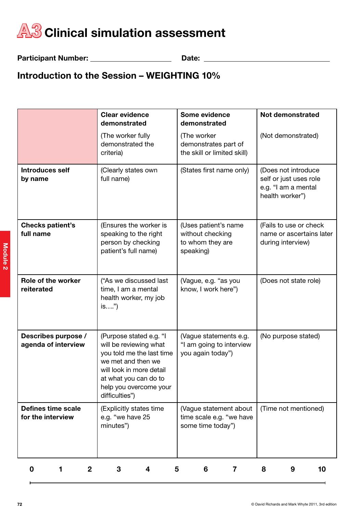## **A3** Clinical simulation assessment

Participant Number: Date:

## Introduction to the Session – WEIGHTING 10%

|                                            | <b>Clear evidence</b><br>demonstrated                                                                                                                                                                 | Some evidence<br>demonstrated                                             | <b>Not demonstrated</b>                                                                 |
|--------------------------------------------|-------------------------------------------------------------------------------------------------------------------------------------------------------------------------------------------------------|---------------------------------------------------------------------------|-----------------------------------------------------------------------------------------|
|                                            | (The worker fully<br>demonstrated the<br>criteria)                                                                                                                                                    | (The worker<br>demonstrates part of<br>the skill or limited skill)        | (Not demonstrated)                                                                      |
| Introduces self<br>by name                 | (Clearly states own<br>full name)                                                                                                                                                                     | (States first name only)                                                  | (Does not introduce<br>self or just uses role<br>e.g. "I am a mental<br>health worker") |
| <b>Checks patient's</b><br>full name       | (Ensures the worker is<br>speaking to the right<br>person by checking<br>patient's full name)                                                                                                         | (Uses patient's name<br>without checking<br>to whom they are<br>speaking) | (Fails to use or check<br>name or ascertains later<br>during interview)                 |
| <b>Role of the worker</b><br>reiterated    | ("As we discussed last<br>time, I am a mental<br>health worker, my job<br>is")                                                                                                                        | (Vague, e.g. "as you<br>know, I work here")                               | (Does not state role)                                                                   |
| Describes purpose /<br>agenda of interview | (Purpose stated e.g. "I<br>will be reviewing what<br>you told me the last time<br>we met and then we<br>will look in more detail<br>at what you can do to<br>help you overcome your<br>difficulties") | (Vague statements e.g.<br>"I am going to interview<br>you again today")   | (No purpose stated)                                                                     |
| Defines time scale<br>for the interview    | (Explicitly states time<br>e.g. "we have 25<br>minutes")                                                                                                                                              | (Vague statement about<br>time scale e.g. "we have<br>some time today")   | (Time not mentioned)                                                                    |
| 0<br>$\mathbf{2}$<br>1                     | 3<br>4                                                                                                                                                                                                | 5<br>6<br>7                                                               | 8<br>10<br>9                                                                            |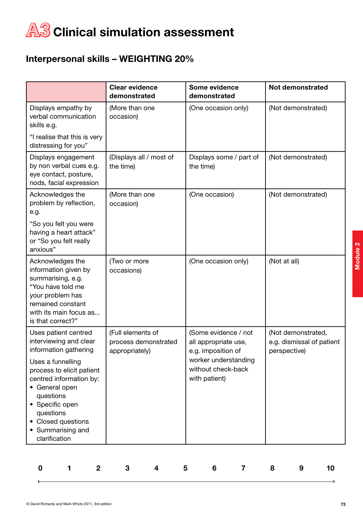

## Interpersonal skills – WEIGHTING 20%

|                                                                                                                                                                                                      | <b>Clear evidence</b><br>demonstrated                       | Some evidence<br>demonstrated                                      | Not demonstrated                                                |
|------------------------------------------------------------------------------------------------------------------------------------------------------------------------------------------------------|-------------------------------------------------------------|--------------------------------------------------------------------|-----------------------------------------------------------------|
| Displays empathy by<br>verbal communication<br>skills e.g.                                                                                                                                           | (More than one<br>occasion)                                 | (One occasion only)                                                | (Not demonstrated)                                              |
| "I realise that this is very<br>distressing for you"                                                                                                                                                 |                                                             |                                                                    |                                                                 |
| Displays engagement<br>by non verbal cues e.g.<br>eye contact, posture,<br>nods, facial expression                                                                                                   | (Displays all / most of<br>the time)                        | Displays some / part of<br>the time)                               | (Not demonstrated)                                              |
| Acknowledges the<br>problem by reflection,<br>e.g.                                                                                                                                                   | (More than one<br>occasion)                                 | (One occasion)                                                     | (Not demonstrated)                                              |
| "So you felt you were<br>having a heart attack"<br>or "So you felt really<br>anxious"                                                                                                                |                                                             |                                                                    |                                                                 |
| Acknowledges the<br>information given by<br>summarising, e.g.<br>"You have told me<br>your problem has<br>remained constant<br>with its main focus as<br>is that correct?"                           | (Two or more<br>occasions)                                  | (One occasion only)                                                | (Not at all)                                                    |
| Uses patient centred<br>interviewing and clear<br>information gathering                                                                                                                              | (Full elements of<br>process demonstrated<br>appropriately) | (Some evidence / not<br>all appropriate use,<br>e.g. imposition of | (Not demonstrated,<br>e.g. dismissal of patient<br>perspective) |
| Uses a funnelling<br>process to elicit patient<br>centred information by:<br>• General open<br>questions<br>• Specific open<br>questions<br>• Closed questions<br>• Summarising and<br>clarification |                                                             | worker understanding<br>without check-back<br>with patient)        |                                                                 |

|  |  | 0 1 2 3 4 5 6 7 8 9 10 |  |  |  |
|--|--|------------------------|--|--|--|
|  |  |                        |  |  |  |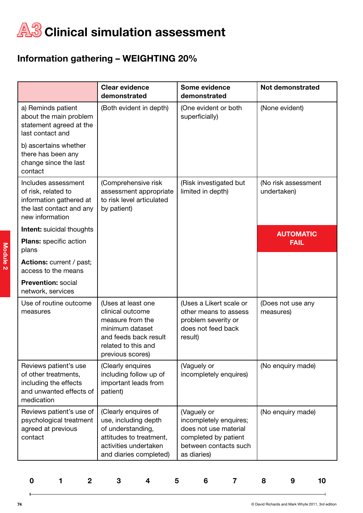

## Information gathering – WEIGHTING 20%

|                                                                                                                      | <b>Clear evidence</b><br>demonstrated                                                                                                             | Some evidence<br>demonstrated                                                                                                  | <b>Not demonstrated</b>            |
|----------------------------------------------------------------------------------------------------------------------|---------------------------------------------------------------------------------------------------------------------------------------------------|--------------------------------------------------------------------------------------------------------------------------------|------------------------------------|
| a) Reminds patient<br>about the main problem<br>statement agreed at the<br>last contact and                          | (Both evident in depth)                                                                                                                           | (One evident or both<br>superficially)                                                                                         | (None evident)                     |
| b) ascertains whether<br>there has been any<br>change since the last<br>contact                                      |                                                                                                                                                   |                                                                                                                                |                                    |
| Includes assessment<br>of risk, related to<br>information gathered at<br>the last contact and any<br>new information | (Comprehensive risk<br>assessment appropriate<br>to risk level articulated<br>by patient)                                                         | (Risk investigated but<br>limited in depth)                                                                                    | (No risk assessment<br>undertaken) |
| <b>Intent:</b> suicidal thoughts                                                                                     |                                                                                                                                                   |                                                                                                                                | <b>AUTOMATIC</b>                   |
| <b>Plans:</b> specific action<br>plans                                                                               |                                                                                                                                                   |                                                                                                                                | <b>FAIL</b>                        |
| Actions: current / past;<br>access to the means                                                                      |                                                                                                                                                   |                                                                                                                                |                                    |
| <b>Prevention: social</b><br>network, services                                                                       |                                                                                                                                                   |                                                                                                                                |                                    |
| Use of routine outcome<br>measures                                                                                   | (Uses at least one<br>clinical outcome<br>measure from the<br>minimum dataset<br>and feeds back result<br>related to this and<br>previous scores) | (Uses a Likert scale or<br>other means to assess<br>problem severity or<br>does not feed back<br>result)                       | (Does not use any<br>measures)     |
| Reviews patient's use<br>of other treatments,<br>including the effects<br>and unwanted effects of<br>medication      | (Clearly enquires<br>including follow up of<br>important leads from<br>patient)                                                                   | (Vaguely or<br>incompletely enquires)                                                                                          | (No enquiry made)                  |
| Reviews patient's use of<br>psychological treatment<br>agreed at previous<br>contact                                 | (Clearly enquires of<br>use, including depth<br>of understanding,<br>attitudes to treatment,<br>activities undertaken<br>and diaries completed)   | (Vaguely or<br>incompletely enquires;<br>does not use material<br>completed by patient<br>between contacts such<br>as diaries) | (No enquiry made)                  |

0 1 2 3 4 5 6 7 8 9 10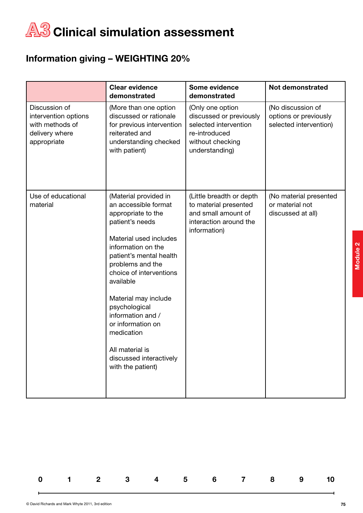# **A3** Clinical simulation assessment

## Information giving – WEIGHTING 20%

|                                                                                           | <b>Clear evidence</b><br>demonstrated                                                                                                                                                                                                                                                                                                                                                             | Some evidence<br>demonstrated                                                                                               | <b>Not demonstrated</b>                                              |
|-------------------------------------------------------------------------------------------|---------------------------------------------------------------------------------------------------------------------------------------------------------------------------------------------------------------------------------------------------------------------------------------------------------------------------------------------------------------------------------------------------|-----------------------------------------------------------------------------------------------------------------------------|----------------------------------------------------------------------|
| Discussion of<br>intervention options<br>with methods of<br>delivery where<br>appropriate | (More than one option<br>discussed or rationale<br>for previous intervention<br>reiterated and<br>understanding checked<br>with patient)                                                                                                                                                                                                                                                          | (Only one option<br>discussed or previously<br>selected intervention<br>re-introduced<br>without checking<br>understanding) | (No discussion of<br>options or previously<br>selected intervention) |
| Use of educational<br>material                                                            | (Material provided in<br>an accessible format<br>appropriate to the<br>patient's needs<br>Material used includes<br>information on the<br>patient's mental health<br>problems and the<br>choice of interventions<br>available<br>Material may include<br>psychological<br>information and /<br>or information on<br>medication<br>All material is<br>discussed interactively<br>with the patient) | (Little breadth or depth<br>to material presented<br>and small amount of<br>interaction around the<br>information)          | (No material presented<br>or material not<br>discussed at all)       |

|  |  |  |  | 0 1 2 3 4 5 6 7 8 9 10 |  |
|--|--|--|--|------------------------|--|
|  |  |  |  |                        |  |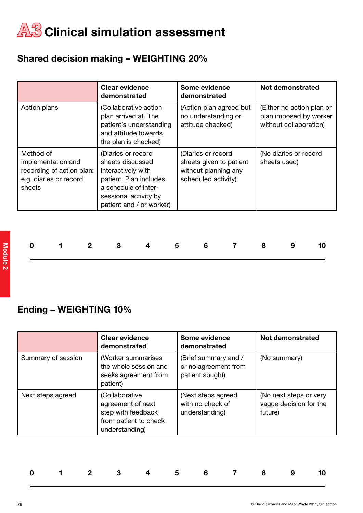# **A3** Clinical simulation assessment

## Shared decision making – WEIGHTING 20%

|                                                                                                  | <b>Clear evidence</b><br>demonstrated                                                                                                                               | Some evidence<br>demonstrated                                                                | <b>Not demonstrated</b>                                                       |
|--------------------------------------------------------------------------------------------------|---------------------------------------------------------------------------------------------------------------------------------------------------------------------|----------------------------------------------------------------------------------------------|-------------------------------------------------------------------------------|
| Action plans                                                                                     | (Collaborative action<br>plan arrived at. The<br>patient's understanding<br>and attitude towards<br>the plan is checked)                                            | (Action plan agreed but<br>no understanding or<br>attitude checked)                          | (Either no action plan or<br>plan imposed by worker<br>without collaboration) |
| Method of<br>implementation and<br>recording of action plan:<br>e.g. diaries or record<br>sheets | (Diaries or record<br>sheets discussed<br>interactively with<br>patient. Plan includes<br>a schedule of inter-<br>sessional activity by<br>patient and / or worker) | (Diaries or record<br>sheets given to patient<br>without planning any<br>scheduled activity) | (No diaries or record<br>sheets used)                                         |

|  |  | 0 1 2 3 4 5 6 7 8 9 10 |  |  |  |
|--|--|------------------------|--|--|--|
|  |  |                        |  |  |  |

## Ending – WEIGHTING 10%

|                    | <b>Clear evidence</b><br>demonstrated                                                                | Some evidence<br>demonstrated                                   | <b>Not demonstrated</b>                                     |
|--------------------|------------------------------------------------------------------------------------------------------|-----------------------------------------------------------------|-------------------------------------------------------------|
| Summary of session | (Worker summarises<br>the whole session and<br>seeks agreement from<br>patient)                      | (Brief summary and /<br>or no agreement from<br>patient sought) | (No summary)                                                |
| Next steps agreed  | (Collaborative<br>agreement of next<br>step with feedback<br>from patient to check<br>understanding) | (Next steps agreed<br>with no check of<br>understanding)        | (No next steps or very<br>vague decision for the<br>future) |

|  |  | 0 1 2 3 4 5 6 7 8 9 10 |  |  |  |
|--|--|------------------------|--|--|--|
|  |  |                        |  |  |  |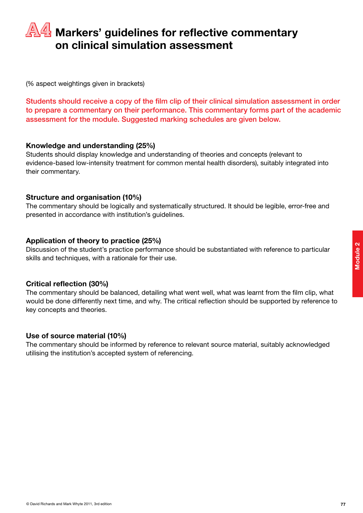# **A4** Markers' guidelines for reflective commentary on clinical simulation assessment

(% aspect weightings given in brackets)

Students should receive a copy of the film clip of their clinical simulation assessment in order to prepare a commentary on their performance. This commentary forms part of the academic assessment for the module. Suggested marking schedules are given below.

#### Knowledge and understanding (25%)

Students should display knowledge and understanding of theories and concepts (relevant to evidence-based low-intensity treatment for common mental health disorders), suitably integrated into their commentary.

#### Structure and organisation (10%)

The commentary should be logically and systematically structured. It should be legible, error-free and presented in accordance with institution's guidelines.

#### Application of theory to practice (25%)

Discussion of the student's practice performance should be substantiated with reference to particular skills and techniques, with a rationale for their use.

#### Critical reflection (30%)

The commentary should be balanced, detailing what went well, what was learnt from the film clip, what would be done differently next time, and why. The critical reflection should be supported by reference to key concepts and theories.

#### Use of source material (10%)

The commentary should be informed by reference to relevant source material, suitably acknowledged utilising the institution's accepted system of referencing.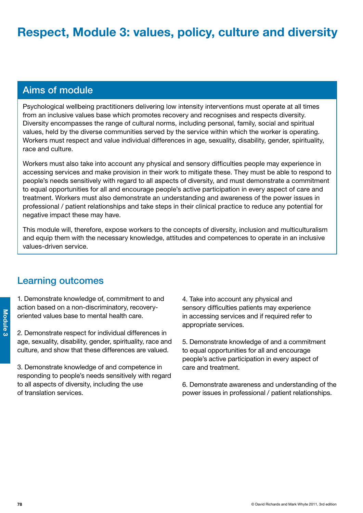### Aims of module

Psychological wellbeing practitioners delivering low intensity interventions must operate at all times from an inclusive values base which promotes recovery and recognises and respects diversity. Diversity encompasses the range of cultural norms, including personal, family, social and spiritual values, held by the diverse communities served by the service within which the worker is operating. Workers must respect and value individual differences in age, sexuality, disability, gender, spirituality, race and culture.

Workers must also take into account any physical and sensory difficulties people may experience in accessing services and make provision in their work to mitigate these. They must be able to respond to people's needs sensitively with regard to all aspects of diversity, and must demonstrate a commitment to equal opportunities for all and encourage people's active participation in every aspect of care and treatment. Workers must also demonstrate an understanding and awareness of the power issues in professional / patient relationships and take steps in their clinical practice to reduce any potential for negative impact these may have.

This module will, therefore, expose workers to the concepts of diversity, inclusion and multiculturalism and equip them with the necessary knowledge, attitudes and competences to operate in an inclusive values-driven service.

### Learning outcomes

1. Demonstrate knowledge of, commitment to and action based on a non-discriminatory, recoveryoriented values base to mental health care.

2. Demonstrate respect for individual differences in age, sexuality, disability, gender, spirituality, race and culture, and show that these differences are valued.

3. Demonstrate knowledge of and competence in responding to people's needs sensitively with regard to all aspects of diversity, including the use of translation services.

4. Take into account any physical and sensory difficulties patients may experience in accessing services and if required refer to appropriate services.

5. Demonstrate knowledge of and a commitment to equal opportunities for all and encourage people's active participation in every aspect of care and treatment.

6. Demonstrate awareness and understanding of the power issues in professional / patient relationships.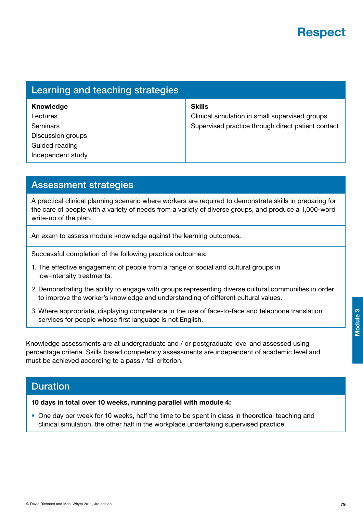## **Respect**

| Learning and teaching strategies |                                                    |
|----------------------------------|----------------------------------------------------|
| <b>Knowledge</b>                 | <b>Skills</b>                                      |
| Lectures                         | Clinical simulation in small supervised groups     |
| Seminars                         | Supervised practice through direct patient contact |
| Discussion groups                |                                                    |
| Guided reading                   |                                                    |
| Independent study                |                                                    |

### Assessment strategies

A practical clinical planning scenario where workers are required to demonstrate skills in preparing for the care of people with a variety of needs from a variety of diverse groups, and produce a 1,000-word write-up of the plan.

An exam to assess module knowledge against the learning outcomes.

Successful completion of the following practice outcomes:

- 1. The effective engagement of people from a range of social and cultural groups in low-intensity treatments.
- 2. Demonstrating the ability to engage with groups representing diverse cultural communities in order to improve the worker's knowledge and understanding of different cultural values.
- 3. Where appropriate, displaying competence in the use of face-to-face and telephone translation services for people whose first language is not English.

Knowledge assessments are at undergraduate and / or postgraduate level and assessed using percentage criteria. Skills based competency assessments are independent of academic level and must be achieved according to a pass / fail criterion.

### Duration

10 days in total over 10 weeks, running parallel with module 4:

• One day per week for 10 weeks, half the time to be spent in class in theoretical teaching and clinical simulation, the other half in the workplace undertaking supervised practice.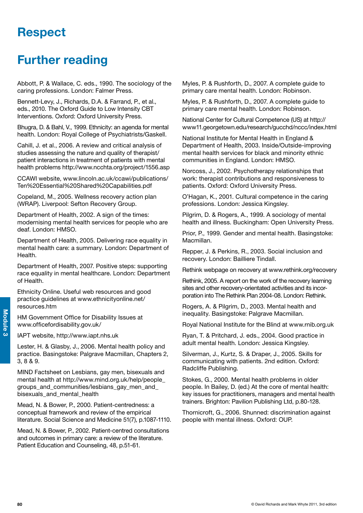# **Respect**

## Further reading

Abbott, P. & Wallace, C. eds., 1990. The sociology of the caring professions. London: Falmer Press.

Bennett-Levy, J., Richards, D.A. & Farrand, P., et al., eds., 2010. The Oxford Guide to Low Intensity CBT Interventions. Oxford: Oxford University Press.

Bhugra, D. & Bahl, V., 1999. Ethnicity: an agenda for mental health. London: Royal College of Psychiatrists/Gaskell.

Cahill, J. et al., 2006. A review and critical analysis of studies assessing the nature and quality of therapist/ patient interactions in treatment of patients with mental health problems http://www.ncchta.org/project/1556.asp

CCAWI website, www.lincoln.ac.uk/ccawi/publications/ Ten%20Essential%20Shared%20Capabilities.pdf

Copeland, M., 2005. Wellness recovery action plan (WRAP). Liverpool: Sefton Recovery Group.

Department of Health, 2002. A sign of the times: modernising mental health services for people who are deaf. London: HMSO.

Department of Health, 2005. Delivering race equality in mental health care: a summary. London: Department of Health.

Department of Health, 2007. Positive steps: supporting race equality in mental healthcare. London: Department of Health.

Ethnicity Online. Useful web resources and good practice guidelines at www.ethnicityonline.net/ resources.htm

HM Government Office for Disability Issues at www.officefordisability.gov.uk/

IAPT website, http://www.iapt.nhs.uk

Lester, H. & Glasby, J., 2006. Mental health policy and practice. Basingstoke: Palgrave Macmillan, Chapters 2, 3, 8 & 9.

MIND Factsheet on Lesbians, gay men, bisexuals and mental health at http://www.mind.org.uk/help/people\_ groups\_and\_communities/lesbians\_gay\_men\_and\_ bisexuals\_and\_mental\_health

Mead, N. & Bower, P., 2000. Patient-centredness: a conceptual framework and review of the empirical literature. Social Science and Medicine 51(7), p.1087-1110.

Mead, N. & Bower, P., 2002. Patient-centred consultations and outcomes in primary care: a review of the literature. Patient Education and Counseling, 48, p.51-61.

Myles, P. & Rushforth, D., 2007. A complete guide to primary care mental health. London: Robinson.

Myles, P. & Rushforth, D., 2007. A complete guide to primary care mental health. London: Robinson.

National Center for Cultural Competence (US) at http:// www11.georgetown.edu/research/gucchd/nccc/index.html

National Institute for Mental Health in England & Department of Health, 2003. Inside/Outside-improving mental health services for black and minority ethnic communities in England. London: HMSO.

Norcoss, J., 2002. Psychotherapy relationships that work: therapist contributions and responsiveness to patients. Oxford: Oxford University Press.

O'Hagan, K., 2001. Cultural competence in the caring professions. London: Jessica Kingsley.

Pilgrim, D. & Rogers, A., 1999. A sociology of mental health and illness. Buckingham: Open University Press.

Prior, P., 1999. Gender and mental health. Basingstoke: Macmillan.

Repper, J. & Perkins, R., 2003. Social inclusion and recovery. London: Bailliere Tindall.

Rethink webpage on recovery at www.rethink.org/recovery

Rethink, 2005. A report on the work of the recovery learning sites and other recovery-orientated activities and its incorporation into The Rethink Plan 2004-08. London: Rethink.

Rogers, A. & Pilgrim, D., 2003. Mental health and inequality. Basingstoke: Palgrave Macmillan.

Royal National Institute for the Blind at www.rnib.org.uk

Ryan, T. & Pritchard, J. eds., 2004. Good practice in adult mental health. London: Jessica Kingsley.

Silverman, J., Kurtz, S. & Draper, J., 2005. Skills for communicating with patients. 2nd edition. Oxford: Radcliffe Publishing.

Stokes, G., 2000. Mental health problems in older people. In Bailey, D. (ed.) At the core of mental health: key issues for practitioners, managers and mental health trainers. Brighton: Pavilion Publishing Ltd, p.80-128.

Thornicroft, G., 2006. Shunned: discrimination against people with mental illness. Oxford: OUP.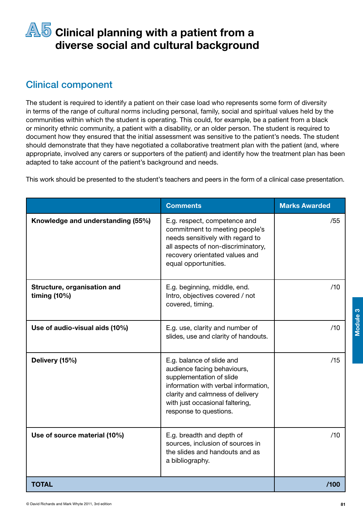# **A5** Clinical planning with a patient from a diverse social and cultural background

### Clinical component

The student is required to identify a patient on their case load who represents some form of diversity in terms of the range of cultural norms including personal, family, social and spiritual values held by the communities within which the student is operating. This could, for example, be a patient from a black or minority ethnic community, a patient with a disability, or an older person. The student is required to document how they ensured that the initial assessment was sensitive to the patient's needs. The student should demonstrate that they have negotiated a collaborative treatment plan with the patient (and, where appropriate, involved any carers or supporters of the patient) and identify how the treatment plan has been adapted to take account of the patient's background and needs.

This work should be presented to the student's teachers and peers in the form of a clinical case presentation.

|                                             | <b>Comments</b>                                                                                                                                                                                                               | <b>Marks Awarded</b> |
|---------------------------------------------|-------------------------------------------------------------------------------------------------------------------------------------------------------------------------------------------------------------------------------|----------------------|
| Knowledge and understanding (55%)           | E.g. respect, competence and<br>commitment to meeting people's<br>needs sensitively with regard to<br>all aspects of non-discriminatory,<br>recovery orientated values and<br>equal opportunities.                            | /55                  |
| Structure, organisation and<br>timing (10%) | E.g. beginning, middle, end.<br>Intro, objectives covered / not<br>covered, timing.                                                                                                                                           | /10                  |
| Use of audio-visual aids (10%)              | E.g. use, clarity and number of<br>slides, use and clarity of handouts.                                                                                                                                                       | /10                  |
| Delivery (15%)                              | E.g. balance of slide and<br>audience facing behaviours,<br>supplementation of slide<br>information with verbal information,<br>clarity and calmness of delivery<br>with just occasional faltering,<br>response to questions. | /15                  |
| Use of source material (10%)                | E.g. breadth and depth of<br>sources, inclusion of sources in<br>the slides and handouts and as<br>a bibliography.                                                                                                            | /10                  |
| <b>TOTAL</b>                                |                                                                                                                                                                                                                               | /100                 |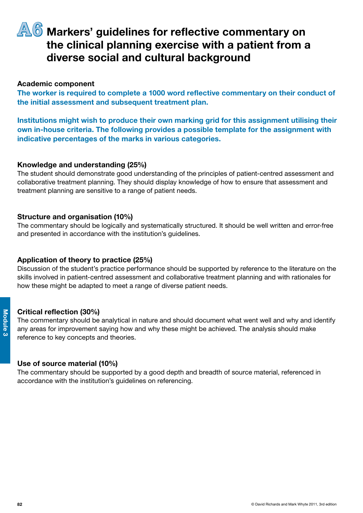

## **A6** Markers' guidelines for reflective commentary on the clinical planning exercise with a patient from a diverse social and cultural background

#### Academic component

The worker is required to complete a 1000 word reflective commentary on their conduct of the initial assessment and subsequent treatment plan.

Institutions might wish to produce their own marking grid for this assignment utilising their own in-house criteria. The following provides a possible template for the assignment with indicative percentages of the marks in various categories.

#### Knowledge and understanding (25%)

The student should demonstrate good understanding of the principles of patient-centred assessment and collaborative treatment planning. They should display knowledge of how to ensure that assessment and treatment planning are sensitive to a range of patient needs.

#### Structure and organisation (10%)

The commentary should be logically and systematically structured. It should be well written and error-free and presented in accordance with the institution's guidelines.

#### Application of theory to practice (25%)

Discussion of the student's practice performance should be supported by reference to the literature on the skills involved in patient-centred assessment and collaborative treatment planning and with rationales for how these might be adapted to meet a range of diverse patient needs.

#### Critical reflection (30%)

The commentary should be analytical in nature and should document what went well and why and identify any areas for improvement saying how and why these might be achieved. The analysis should make reference to key concepts and theories.

#### Use of source material (10%)

The commentary should be supported by a good depth and breadth of source material, referenced in accordance with the institution's guidelines on referencing.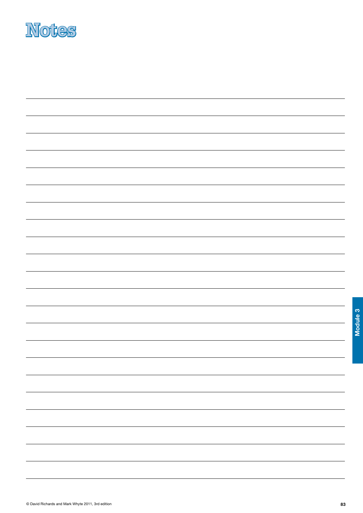

Module 3 Module 3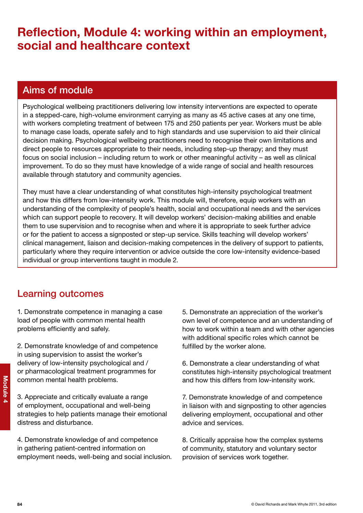## Reflection, Module 4: working within an employment, social and healthcare context

### Aims of module

Psychological wellbeing practitioners delivering low intensity interventions are expected to operate in a stepped-care, high-volume environment carrying as many as 45 active cases at any one time, with workers completing treatment of between 175 and 250 patients per year. Workers must be able to manage case loads, operate safely and to high standards and use supervision to aid their clinical decision making. Psychological wellbeing practitioners need to recognise their own limitations and direct people to resources appropriate to their needs, including step-up therapy; and they must focus on social inclusion – including return to work or other meaningful activity – as well as clinical improvement. To do so they must have knowledge of a wide range of social and health resources available through statutory and community agencies.

They must have a clear understanding of what constitutes high-intensity psychological treatment and how this differs from low-intensity work. This module will, therefore, equip workers with an understanding of the complexity of people's health, social and occupational needs and the services which can support people to recovery. It will develop workers' decision-making abilities and enable them to use supervision and to recognise when and where it is appropriate to seek further advice or for the patient to access a signposted or step-up service. Skills teaching will develop workers' clinical management, liaison and decision-making competences in the delivery of support to patients, particularly where they require intervention or advice outside the core low-intensity evidence-based individual or group interventions taught in module 2.

## Learning outcomes

1. Demonstrate competence in managing a case load of people with common mental health problems efficiently and safely.

2. Demonstrate knowledge of and competence in using supervision to assist the worker's delivery of low-intensity psychological and / or pharmacological treatment programmes for common mental health problems.

3. Appreciate and critically evaluate a range of employment, occupational and well-being strategies to help patients manage their emotional distress and disturbance.

4. Demonstrate knowledge of and competence in gathering patient-centred information on employment needs, well-being and social inclusion. 5. Demonstrate an appreciation of the worker's own level of competence and an understanding of how to work within a team and with other agencies with additional specific roles which cannot be fulfilled by the worker alone.

6. Demonstrate a clear understanding of what constitutes high-intensity psychological treatment and how this differs from low-intensity work.

7. Demonstrate knowledge of and competence in liaison with and signposting to other agencies delivering employment, occupational and other advice and services.

8. Critically appraise how the complex systems of community, statutory and voluntary sector provision of services work together.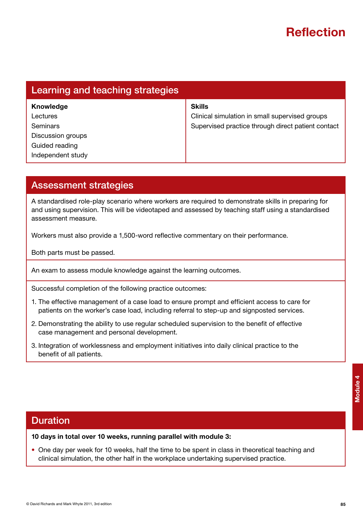| Learning and teaching strategies |                                                    |  |  |  |  |
|----------------------------------|----------------------------------------------------|--|--|--|--|
| <b>Knowledge</b>                 | <b>Skills</b>                                      |  |  |  |  |
| Lectures                         | Clinical simulation in small supervised groups     |  |  |  |  |
| <b>Seminars</b>                  | Supervised practice through direct patient contact |  |  |  |  |
| Discussion groups                |                                                    |  |  |  |  |
| Guided reading                   |                                                    |  |  |  |  |
| Independent study                |                                                    |  |  |  |  |

### Assessment strategies

A standardised role-play scenario where workers are required to demonstrate skills in preparing for and using supervision. This will be videotaped and assessed by teaching staff using a standardised assessment measure.

Workers must also provide a 1,500-word reflective commentary on their performance.

Both parts must be passed.

An exam to assess module knowledge against the learning outcomes.

Successful completion of the following practice outcomes:

- 1. The effective management of a case load to ensure prompt and efficient access to care for patients on the worker's case load, including referral to step-up and signposted services.
- 2. Demonstrating the ability to use regular scheduled supervision to the benefit of effective case management and personal development.
- 3. Integration of worklessness and employment initiatives into daily clinical practice to the benefit of all patients.

### Duration

10 days in total over 10 weeks, running parallel with module 3:

• One day per week for 10 weeks, half the time to be spent in class in theoretical teaching and clinical simulation, the other half in the workplace undertaking supervised practice.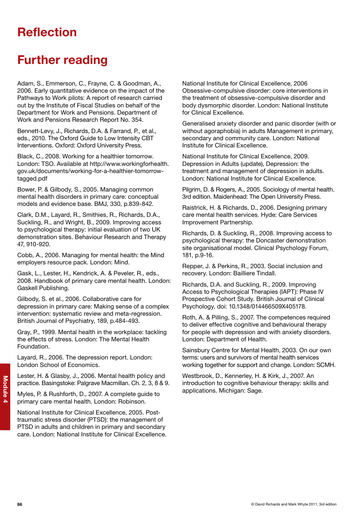## **Reflection**

## Further reading

Adam, S., Emmerson, C., Frayne, C. & Goodman, A., 2006. Early quantitative evidence on the impact of the Pathways to Work pilots: A report of research carried out by the Institute of Fiscal Studies on behalf of the Department for Work and Pensions. Department of Work and Pensions Research Report No. 354.

Bennett-Levy, J., Richards, D.A. & Farrand, P., et al., eds., 2010. The Oxford Guide to Low Intensity CBT Interventions. Oxford: Oxford University Press.

Black, C., 2008. Working for a healthier tomorrow. London: TSO. Available at http://www.workingforhealth. gov.uk/documents/working-for-a-healthier-tomorrowtagged.pdf

Bower, P. & Gilbody, S., 2005. Managing common mental health disorders in primary care: conceptual models and evidence base. BMJ, 330, p.839-842.

Clark, D.M., Layard, R., Smithies, R., Richards, D.A., Suckling, R., and Wright, B., 2009. Improving access to psychological therapy: initial evaluation of two UK demonstration sites. Behaviour Research and Therapy 47, 910-920.

Cobb, A., 2006. Managing for mental health: the Mind employers resource pack. London: Mind.

Gask, L., Lester, H., Kendrick, A. & Peveler, R., eds., 2008. Handbook of primary care mental health. London: Gaskell Publishing.

Gilbody, S. et al., 2006. Collaborative care for depression in primary care: Making sense of a complex intervention: systematic review and meta-regression. British Journal of Psychiatry, 189, p.484-493.

Gray, P., 1999. Mental health in the workplace: tackling the effects of stress. London: The Mental Health Foundation.

Layard, R., 2006. The depression report. London: London School of Economics.

Lester, H. & Glasby, J., 2006. Mental health policy and practice. Basingstoke: Palgrave Macmillan. Ch. 2, 3, 8 & 9.

Myles, P. & Rushforth, D., 2007. A complete guide to primary care mental health. London: Robinson.

National Institute for Clinical Excellence, 2005. Posttraumatic stress disorder (PTSD): the management of PTSD in adults and children in primary and secondary care. London: National Institute for Clinical Excellence. National Institute for Clinical Excellence, 2006 Obsessive-compulsive disorder: core interventions in the treatment of obsessive-compulsive disorder and body dysmorphic disorder. London: National Institute for Clinical Excellence.

Generalised anxiety disorder and panic disorder (with or without agoraphobia) in adults Management in primary, secondary and community care. London: National Institute for Clinical Excellence.

National Institute for Clinical Excellence, 2009. Depression in Adults (update), Depression: the treatment and management of depression in adults. London: National Institute for Clinical Excellence.

Pilgrim, D. & Rogers, A., 2005. Sociology of mental health. 3rd edition. Maidenhead: The Open University Press.

Raistrick, H. & Richards, D., 2006. Designing primary care mental health services. Hyde: Care Services Improvement Partnership.

Richards, D. & Suckling, R., 2008. Improving access to psychological therapy: the Doncaster demonstration site organisational model. Clinical Psychology Forum, 181, p.9-16.

Repper, J. & Perkins, R., 2003. Social inclusion and recovery. London: Bailliere Tindall.

Richards, D.A. and Suckling, R., 2009. Improving Access to Psychological Therapies (IAPT): Phase IV Prospective Cohort Study. British Journal of Clinical Psychology, doi: 10.1348/014466509X405178.

Roth, A. & Pilling, S., 2007. The competences required to deliver effective cognitive and behavioural therapy for people with depression and with anxiety disorders. London: Department of Health.

Sainsbury Centre for Mental Health, 2003. On our own terms: users and survivors of mental health services working together for support and change. London: SCMH.

Westbrook, D., Kennerley, H. & Kirk, J., 2007. An introduction to cognitive behaviour therapy: skills and applications. Michigan: Sage.

Module 4

Module<sub>4</sub>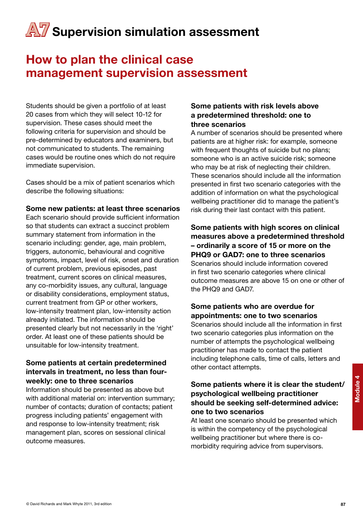## How to plan the clinical case management supervision assessment

Students should be given a portfolio of at least 20 cases from which they will select 10-12 for supervision. These cases should meet the following criteria for supervision and should be pre-determined by educators and examiners, but not communicated to students. The remaining cases would be routine ones which do not require immediate supervision.

Cases should be a mix of patient scenarios which describe the following situations:

#### Some new patients: at least three scenarios

Each scenario should provide sufficient information so that students can extract a succinct problem summary statement from information in the scenario including: gender, age, main problem, triggers, autonomic, behavioural and cognitive symptoms, impact, level of risk, onset and duration of current problem, previous episodes, past treatment, current scores on clinical measures, any co-morbidity issues, any cultural, language or disability considerations, employment status, current treatment from GP or other workers, low-intensity treatment plan, low-intensity action already initiated. The information should be presented clearly but not necessarily in the 'right' order. At least one of these patients should be unsuitable for low-intensity treatment.

#### Some patients at certain predetermined intervals in treatment, no less than fourweekly: one to three scenarios

Information should be presented as above but with additional material on: intervention summary; number of contacts; duration of contacts; patient progress including patients' engagement with and response to low-intensity treatment; risk management plan, scores on sessional clinical outcome measures.

#### Some patients with risk levels above a predetermined threshold: one to three scenarios

A number of scenarios should be presented where patients are at higher risk: for example, someone with frequent thoughts of suicide but no plans; someone who is an active suicide risk; someone who may be at risk of neglecting their children. These scenarios should include all the information presented in first two scenario categories with the addition of information on what the psychological wellbeing practitioner did to manage the patient's risk during their last contact with this patient.

Some patients with high scores on clinical measures above a predetermined threshold – ordinarily a score of 15 or more on the PHQ9 or GAD7: one to three scenarios Scenarios should include information covered in first two scenario categories where clinical outcome measures are above 15 on one or other of the PHQ9 and GAD7.

#### Some patients who are overdue for appointments: one to two scenarios

Scenarios should include all the information in first two scenario categories plus information on the number of attempts the psychological wellbeing practitioner has made to contact the patient including telephone calls, time of calls, letters and other contact attempts.

#### Some patients where it is clear the student/ psychological wellbeing practitioner should be seeking self-determined advice: one to two scenarios

At least one scenario should be presented which is within the competency of the psychological wellbeing practitioner but where there is comorbidity requiring advice from supervisors.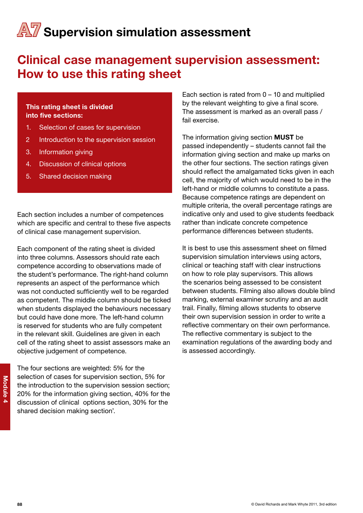## Clinical case management supervision assessment: How to use this rating sheet

#### This rating sheet is divided into five sections:

- 1. Selection of cases for supervision
- 2 Introduction to the supervision session
- 3. Information giving
- 4. Discussion of clinical options
- 5. Shared decision making

Each section includes a number of competences which are specific and central to these five aspects of clinical case management supervision.

Each component of the rating sheet is divided into three columns. Assessors should rate each competence according to observations made of the student's performance. The right-hand column represents an aspect of the performance which was not conducted sufficiently well to be regarded as competent. The middle column should be ticked when students displayed the behaviours necessary but could have done more. The left-hand column is reserved for students who are fully competent in the relevant skill. Guidelines are given in each cell of the rating sheet to assist assessors make an objective judgement of competence.

The four sections are weighted: 5% for the selection of cases for supervision section, 5% for the introduction to the supervision session section; 20% for the information giving section, 40% for the discussion of clinical options section, 30% for the shared decision making section'. Module 4

Each section is rated from 0 – 10 and multiplied by the relevant weighting to give a final score. The assessment is marked as an overall pass / fail exercise.

The information giving section MUST be passed independently – students cannot fail the information giving section and make up marks on the other four sections. The section ratings given should reflect the amalgamated ticks given in each cell, the majority of which would need to be in the left-hand or middle columns to constitute a pass. Because competence ratings are dependent on multiple criteria, the overall percentage ratings are indicative only and used to give students feedback rather than indicate concrete competence performance differences between students.

It is best to use this assessment sheet on filmed supervision simulation interviews using actors, clinical or teaching staff with clear instructions on how to role play supervisors. This allows the scenarios being assessed to be consistent between students. Filming also allows double blind marking, external examiner scrutiny and an audit trail. Finally, filming allows students to observe their own supervision session in order to write a reflective commentary on their own performance. The reflective commentary is subject to the examination regulations of the awarding body and is assessed accordingly.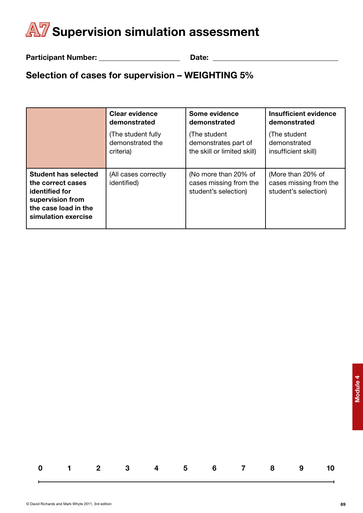Participant Number: Date:

## Selection of cases for supervision – WEIGHTING 5%

|                                                                                                                                       | <b>Clear evidence</b>                       | Some evidence                                                          | <b>Insufficient evidence</b>                                        |
|---------------------------------------------------------------------------------------------------------------------------------------|---------------------------------------------|------------------------------------------------------------------------|---------------------------------------------------------------------|
|                                                                                                                                       | demonstrated                                | demonstrated                                                           | demonstrated                                                        |
|                                                                                                                                       | (The student fully)                         | (The student                                                           | (The student                                                        |
|                                                                                                                                       | demonstrated the                            | demonstrates part of                                                   | demonstrated                                                        |
|                                                                                                                                       | criteria)                                   | the skill or limited skill)                                            | insufficient skill)                                                 |
| <b>Student has selected</b><br>the correct cases<br>identified for<br>supervision from<br>the case load in the<br>simulation exercise | (All cases correctly<br><i>identified</i> ) | (No more than 20% of<br>cases missing from the<br>student's selection) | (More than 20% of<br>cases missing from the<br>student's selection) |

|  |  |  | 0 1 2 3 4 5 6 7 8 9 10 |  |  |
|--|--|--|------------------------|--|--|
|  |  |  |                        |  |  |

Module 4

Module 4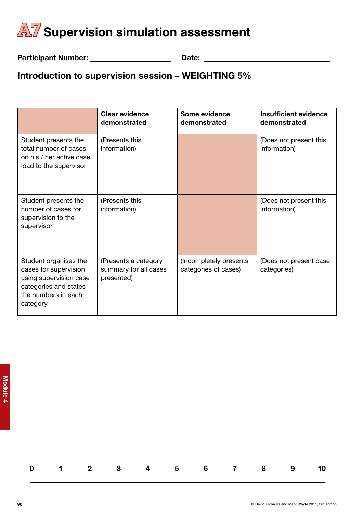Participant Number: Date:

## Introduction to supervision session – WEIGHTING 5%

|                                                                                                                                      | <b>Clear evidence</b><br>demonstrated                       | Some evidence<br>demonstrated                   | <b>Insufficient evidence</b><br>demonstrated |
|--------------------------------------------------------------------------------------------------------------------------------------|-------------------------------------------------------------|-------------------------------------------------|----------------------------------------------|
| Student presents the<br>total number of cases<br>on his / her active case<br>load to the supervisor                                  | (Presents this<br>information)                              |                                                 | (Does not present this<br>information)       |
| Student presents the<br>number of cases for<br>supervision to the<br>supervisor                                                      | (Presents this<br>information)                              |                                                 | (Does not present this<br>information)       |
| Student organises the<br>cases for supervision<br>using supervision case<br>categories and states<br>the numbers in each<br>category | (Presents a category<br>summary for all cases<br>presented) | (Incompletely presents)<br>categories of cases) | (Does not present case<br>categories)        |

0 1 2 3 4 5 6 7 8 9 10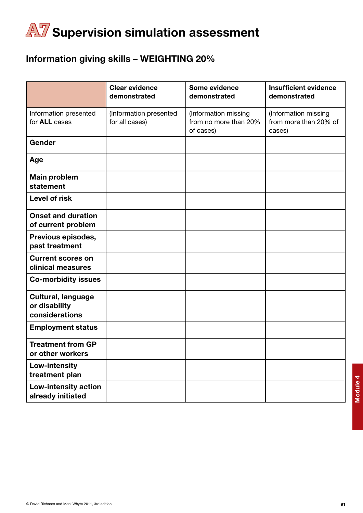## Information giving skills – WEIGHTING 20%

|                                                              | <b>Clear evidence</b><br>demonstrated    | Some evidence<br>demonstrated                              | <b>Insufficient evidence</b><br>demonstrated            |
|--------------------------------------------------------------|------------------------------------------|------------------------------------------------------------|---------------------------------------------------------|
| Information presented<br>for <b>ALL</b> cases                | (Information presented<br>for all cases) | (Information missing<br>from no more than 20%<br>of cases) | (Information missing<br>from more than 20% of<br>cases) |
| Gender                                                       |                                          |                                                            |                                                         |
| Age                                                          |                                          |                                                            |                                                         |
| <b>Main problem</b><br>statement                             |                                          |                                                            |                                                         |
| <b>Level of risk</b>                                         |                                          |                                                            |                                                         |
| <b>Onset and duration</b><br>of current problem              |                                          |                                                            |                                                         |
| Previous episodes,<br>past treatment                         |                                          |                                                            |                                                         |
| <b>Current scores on</b><br>clinical measures                |                                          |                                                            |                                                         |
| <b>Co-morbidity issues</b>                                   |                                          |                                                            |                                                         |
| <b>Cultural, language</b><br>or disability<br>considerations |                                          |                                                            |                                                         |
| <b>Employment status</b>                                     |                                          |                                                            |                                                         |
| <b>Treatment from GP</b><br>or other workers                 |                                          |                                                            |                                                         |
| Low-intensity<br>treatment plan                              |                                          |                                                            |                                                         |
| Low-intensity action<br>already initiated                    |                                          |                                                            |                                                         |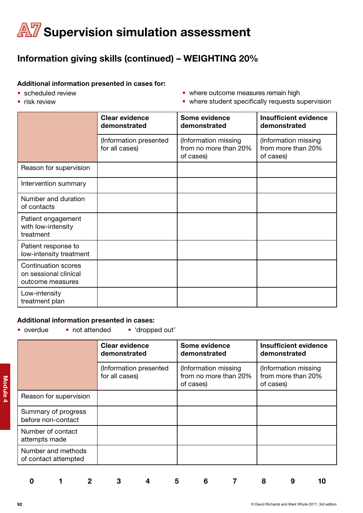## Information giving skills (continued) – WEIGHTING 20%

#### Additional information presented in cases for:

- scheduled review
- risk review
- where outcome measures remain high
- where student specifically requests supervision

|                                                                         | <b>Clear evidence</b><br>demonstrated    | Some evidence<br>demonstrated                              | <b>Insufficient evidence</b><br>demonstrated            |
|-------------------------------------------------------------------------|------------------------------------------|------------------------------------------------------------|---------------------------------------------------------|
|                                                                         | (Information presented<br>for all cases) | (Information missing<br>from no more than 20%<br>of cases) | (Information missing<br>from more than 20%<br>of cases) |
| Reason for supervision                                                  |                                          |                                                            |                                                         |
| Intervention summary                                                    |                                          |                                                            |                                                         |
| Number and duration<br>of contacts                                      |                                          |                                                            |                                                         |
| Patient engagement<br>with low-intensity<br>treatment                   |                                          |                                                            |                                                         |
| Patient response to<br>low-intensity treatment                          |                                          |                                                            |                                                         |
| <b>Continuation scores</b><br>on sessional clinical<br>outcome measures |                                          |                                                            |                                                         |
| Low-intensity<br>treatment plan                                         |                                          |                                                            |                                                         |

#### Additional information presented in cases:

• overdue • not attended • 'dropped out'

|                                            | <b>Clear evidence</b><br>demonstrated    | Some evidence<br>demonstrated                              | <b>Insufficient evidence</b><br>demonstrated            |
|--------------------------------------------|------------------------------------------|------------------------------------------------------------|---------------------------------------------------------|
|                                            | (Information presented<br>for all cases) | (Information missing<br>from no more than 20%<br>of cases) | (Information missing<br>from more than 20%<br>of cases) |
| Reason for supervision                     |                                          |                                                            |                                                         |
| Summary of progress<br>before non-contact  |                                          |                                                            |                                                         |
| Number of contact<br>attempts made         |                                          |                                                            |                                                         |
| Number and methods<br>of contact attempted |                                          |                                                            |                                                         |
|                                            |                                          |                                                            |                                                         |

0 1 2 3 4 5 6 7 8 9 10

Module 4 Module 4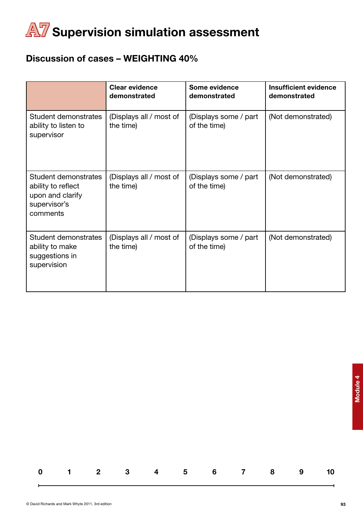### Discussion of cases – WEIGHTING 40%

|                                                                                            | <b>Clear evidence</b><br>demonstrated | Some evidence<br>demonstrated         | <b>Insufficient evidence</b><br>demonstrated |
|--------------------------------------------------------------------------------------------|---------------------------------------|---------------------------------------|----------------------------------------------|
| <b>Student demonstrates</b><br>ability to listen to<br>supervisor                          | (Displays all / most of<br>the time)  | (Displays some / part<br>of the time) | (Not demonstrated)                           |
| Student demonstrates<br>ability to reflect<br>upon and clarify<br>supervisor's<br>comments | (Displays all / most of<br>the time)  | (Displays some / part<br>of the time) | (Not demonstrated)                           |
| <b>Student demonstrates</b><br>ability to make<br>suggestions in<br>supervision            | (Displays all / most of<br>the time)  | (Displays some / part<br>of the time) | (Not demonstrated)                           |

Module 4 Module 4

0 1 2 3 4 5 6 7 8 9 10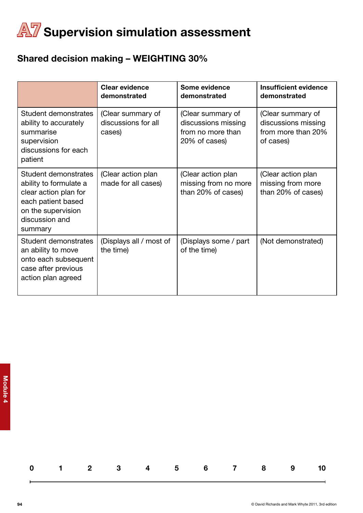## Shared decision making – WEIGHTING 30%

|                                                                                                                                                  | Clear evidence<br>demonstrated                     | Some evidence<br>demonstrated                                                  | <b>Insufficient evidence</b><br>demonstrated                                |
|--------------------------------------------------------------------------------------------------------------------------------------------------|----------------------------------------------------|--------------------------------------------------------------------------------|-----------------------------------------------------------------------------|
| Student demonstrates<br>ability to accurately<br>summarise<br>supervision<br>discussions for each<br>patient                                     | (Clear summary of<br>discussions for all<br>cases) | (Clear summary of<br>discussions missing<br>from no more than<br>20% of cases) | (Clear summary of<br>discussions missing<br>from more than 20%<br>of cases) |
| Student demonstrates<br>ability to formulate a<br>clear action plan for<br>each patient based<br>on the supervision<br>discussion and<br>summary | (Clear action plan<br>made for all cases)          | (Clear action plan<br>missing from no more<br>than 20% of cases)               | (Clear action plan<br>missing from more<br>than 20% of cases)               |
| Student demonstrates<br>an ability to move<br>onto each subsequent<br>case after previous<br>action plan agreed                                  | (Displays all / most of<br>the time)               | (Displays some / part<br>of the time)                                          | (Not demonstrated)                                                          |

0 1 2 3 4 5 6 7 8 9 10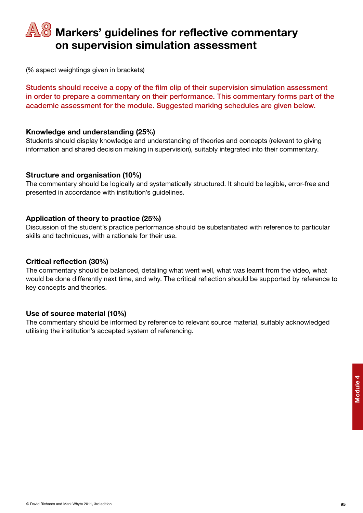## **A8** Markers' guidelines for reflective commentary on supervision simulation assessment

(% aspect weightings given in brackets)

Students should receive a copy of the film clip of their supervision simulation assessment in order to prepare a commentary on their performance. This commentary forms part of the academic assessment for the module. Suggested marking schedules are given below.

#### Knowledge and understanding (25%)

Students should display knowledge and understanding of theories and concepts (relevant to giving information and shared decision making in supervision), suitably integrated into their commentary.

#### Structure and organisation (10%)

The commentary should be logically and systematically structured. It should be legible, error-free and presented in accordance with institution's guidelines.

#### Application of theory to practice (25%)

Discussion of the student's practice performance should be substantiated with reference to particular skills and techniques, with a rationale for their use.

#### Critical reflection (30%)

The commentary should be balanced, detailing what went well, what was learnt from the video, what would be done differently next time, and why. The critical reflection should be supported by reference to key concepts and theories.

#### Use of source material (10%)

The commentary should be informed by reference to relevant source material, suitably acknowledged utilising the institution's accepted system of referencing.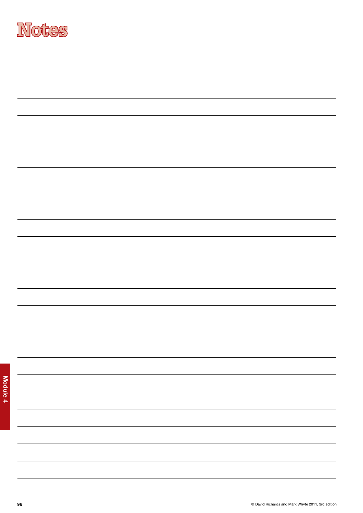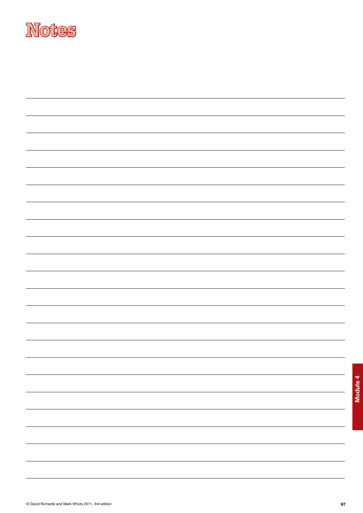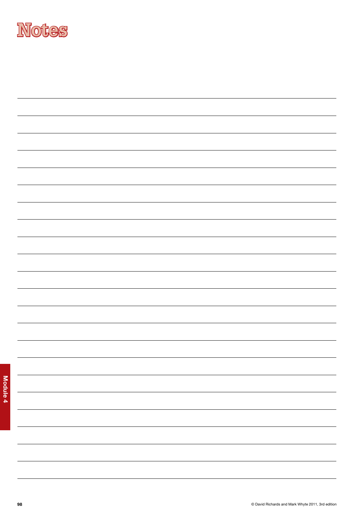

Module 4

Module 4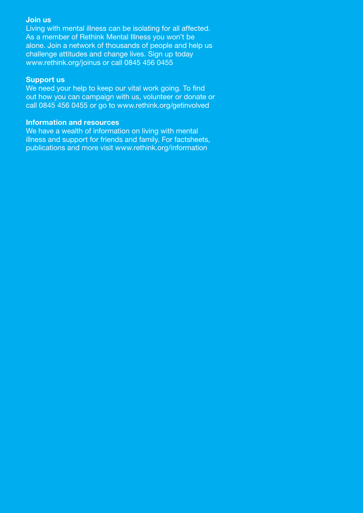#### Join us

Living with mental illness can be isolating for all affected. As a member of Rethink Mental Illness you won't be alone. Join a network of thousands of people and help us challenge attitudes and change lives. Sign up today www.rethink.org/joinus or call 0845 456 0455

#### Support us

We need your help to keep our vital work going. To find out how you can campaign with us, volunteer or donate or call 0845 456 0455 or go to www.rethink.org/getinvolved

#### Information and resources

We have a wealth of information on living with mental illness and support for friends and family. For factsheets, publications and more visit www.rethink.org/information